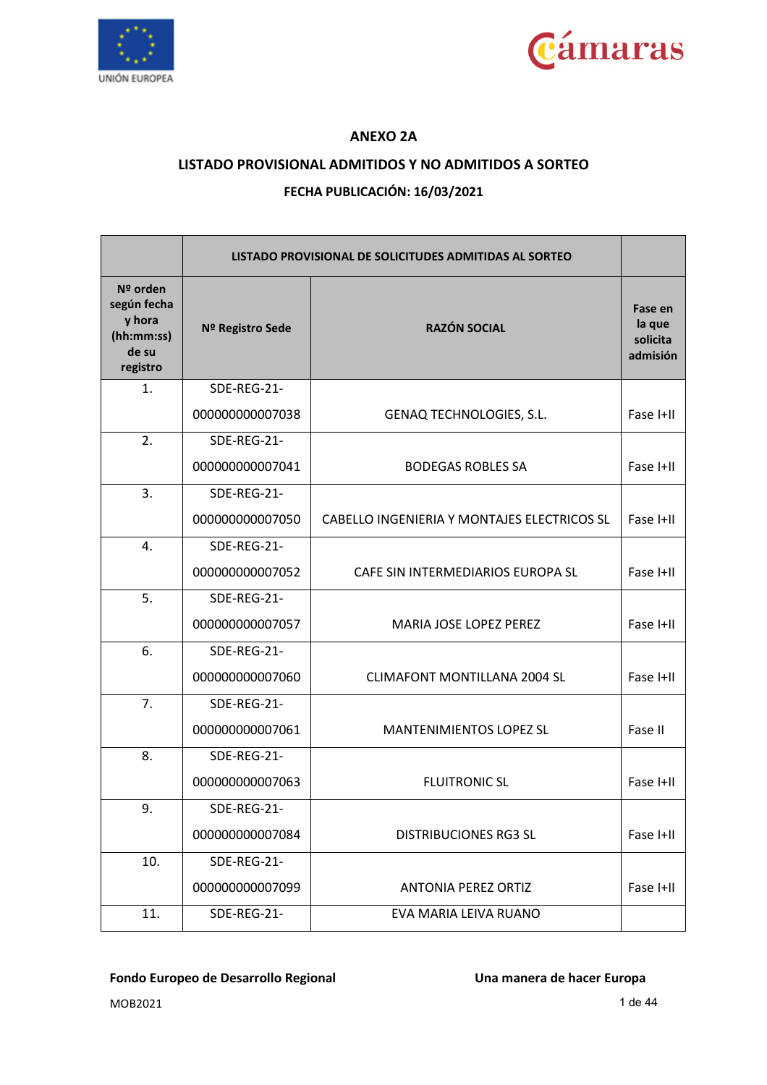



### **ANEXO 2A**

### **LISTADO PROVISIONAL ADMITIDOS Y NO ADMITIDOS A SORTEO**

### **FECHA PUBLICACIÓN: 16/03/2021**

|                                                                        |                  | LISTADO PROVISIONAL DE SOLICITUDES ADMITIDAS AL SORTEO |                                           |
|------------------------------------------------------------------------|------------------|--------------------------------------------------------|-------------------------------------------|
| $N2$ orden<br>según fecha<br>y hora<br>(hh:mm:ss)<br>de su<br>registro | Nº Registro Sede | <b>RAZÓN SOCIAL</b>                                    | Fase en<br>la que<br>solicita<br>admisión |
| 1.                                                                     | SDE-REG-21-      |                                                        |                                           |
|                                                                        | 000000000007038  | GENAQ TECHNOLOGIES, S.L.                               | Fase I+II                                 |
| 2.                                                                     | SDE-REG-21-      |                                                        |                                           |
|                                                                        | 000000000007041  | <b>BODEGAS ROBLES SA</b>                               | Fase I+II                                 |
| 3.                                                                     | SDE-REG-21-      |                                                        |                                           |
|                                                                        | 000000000007050  | CABELLO INGENIERIA Y MONTAJES ELECTRICOS SL            | Fase I+II                                 |
| 4.                                                                     | SDE-REG-21-      |                                                        |                                           |
|                                                                        | 000000000007052  | CAFE SIN INTERMEDIARIOS EUROPA SL                      | Fase I+II                                 |
| 5.                                                                     | SDE-REG-21-      |                                                        |                                           |
|                                                                        | 000000000007057  | MARIA JOSE LOPEZ PEREZ                                 | Fase I+II                                 |
| 6.                                                                     | SDE-REG-21-      |                                                        |                                           |
|                                                                        | 000000000007060  | <b>CLIMAFONT MONTILLANA 2004 SL</b>                    | Fase I+II                                 |
| 7.                                                                     | SDE-REG-21-      |                                                        |                                           |
|                                                                        | 000000000007061  | <b>MANTENIMIENTOS LOPEZ SL</b>                         | Fase II                                   |
| 8.                                                                     | SDE-REG-21-      |                                                        |                                           |
|                                                                        | 000000000007063  | <b>FLUITRONIC SL</b>                                   | Fase I+II                                 |
| 9.                                                                     | SDE-REG-21-      |                                                        |                                           |
|                                                                        | 000000000007084  | <b>DISTRIBUCIONES RG3 SL</b>                           | Fase I+II                                 |
| 10.                                                                    | SDE-REG-21-      |                                                        |                                           |
|                                                                        | 000000000007099  | <b>ANTONIA PEREZ ORTIZ</b>                             | Fase I+II                                 |
| 11.                                                                    | SDE-REG-21-      | EVA MARIA LEIVA RUANO                                  |                                           |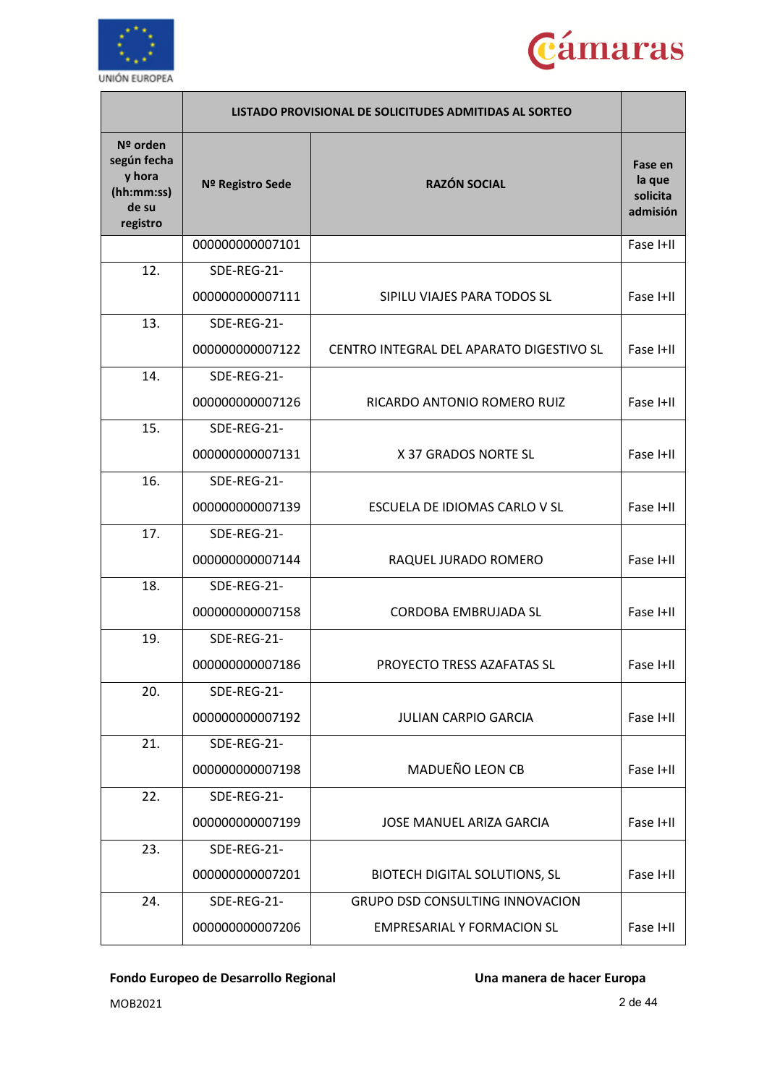



|                                                                      | LISTADO PROVISIONAL DE SOLICITUDES ADMITIDAS AL SORTEO |                                          |                                           |
|----------------------------------------------------------------------|--------------------------------------------------------|------------------------------------------|-------------------------------------------|
| Nº orden<br>según fecha<br>y hora<br>(hh:mm:ss)<br>de su<br>registro | Nº Registro Sede                                       | <b>RAZÓN SOCIAL</b>                      | Fase en<br>la que<br>solicita<br>admisión |
|                                                                      | 000000000007101                                        |                                          | Fase I+II                                 |
| 12.                                                                  | SDE-REG-21-                                            |                                          |                                           |
|                                                                      | 000000000007111                                        | SIPILU VIAJES PARA TODOS SL              | Fase I+II                                 |
| 13.                                                                  | SDE-REG-21-                                            |                                          |                                           |
|                                                                      | 000000000007122                                        | CENTRO INTEGRAL DEL APARATO DIGESTIVO SL | Fase I+II                                 |
| 14.                                                                  | SDE-REG-21-                                            |                                          |                                           |
|                                                                      | 000000000007126                                        | RICARDO ANTONIO ROMERO RUIZ              | Fase I+II                                 |
| 15.                                                                  | SDE-REG-21-                                            |                                          |                                           |
|                                                                      | 000000000007131                                        | X 37 GRADOS NORTE SL                     | Fase I+II                                 |
| 16.                                                                  | SDE-REG-21-                                            |                                          |                                           |
|                                                                      | 000000000007139                                        | ESCUELA DE IDIOMAS CARLO V SL            | Fase I+II                                 |
| 17.                                                                  | SDE-REG-21-                                            |                                          |                                           |
|                                                                      | 000000000007144                                        | RAQUEL JURADO ROMERO                     | Fase I+II                                 |
| 18.                                                                  | SDE-REG-21-                                            |                                          |                                           |
|                                                                      | 000000000007158                                        | <b>CORDOBA EMBRUJADA SL</b>              | Fase I+II                                 |
| 19.                                                                  | SDE-REG-21-                                            |                                          |                                           |
|                                                                      | 00000000007186                                         | PROYECTO TRESS AZAFATAS SL               | Fase I+II                                 |
| 20.                                                                  | SDE-REG-21-                                            |                                          |                                           |
|                                                                      | 000000000007192                                        | <b>JULIAN CARPIO GARCIA</b>              | Fase I+II                                 |
| 21.                                                                  | SDE-REG-21-                                            |                                          |                                           |
|                                                                      | 000000000007198                                        | MADUEÑO LEON CB                          | Fase I+II                                 |
| 22.                                                                  | SDE-REG-21-                                            |                                          |                                           |
|                                                                      | 000000000007199                                        | <b>JOSE MANUEL ARIZA GARCIA</b>          | Fase I+II                                 |
| 23.                                                                  | SDE-REG-21-                                            |                                          |                                           |
|                                                                      | 000000000007201                                        | <b>BIOTECH DIGITAL SOLUTIONS, SL</b>     | Fase I+II                                 |
| 24.                                                                  | SDE-REG-21-                                            | GRUPO DSD CONSULTING INNOVACION          |                                           |
|                                                                      | 000000000007206                                        | <b>EMPRESARIAL Y FORMACION SL</b>        | Fase I+II                                 |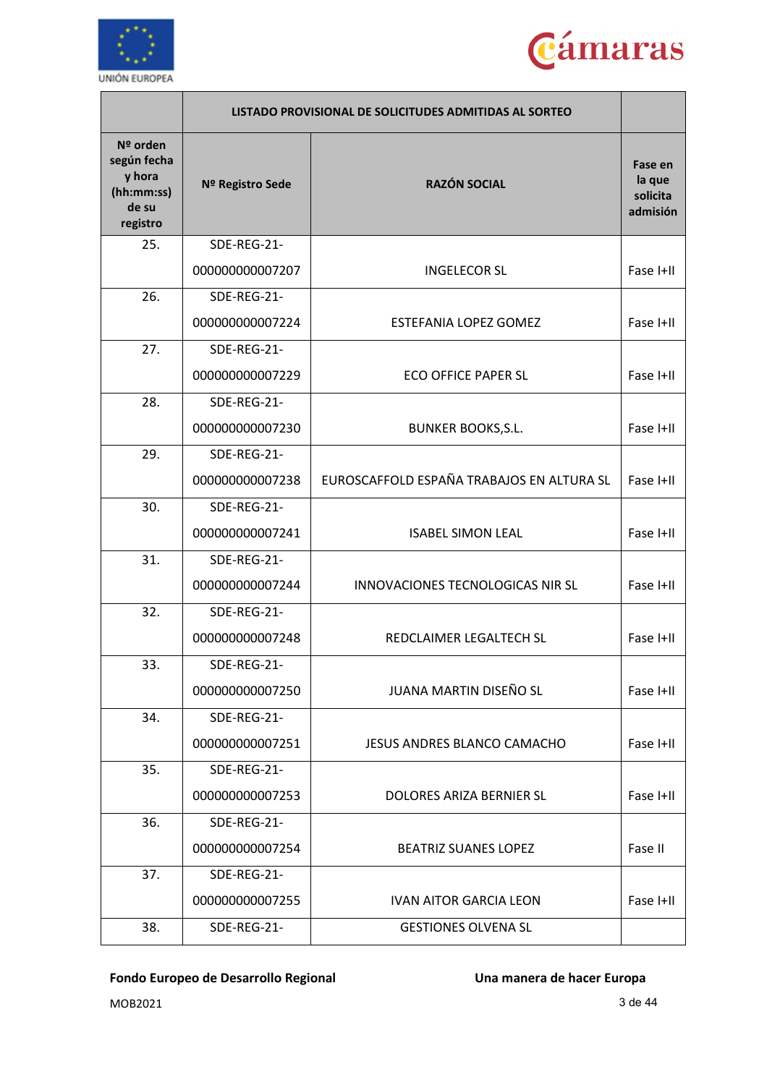



|                                                                      | LISTADO PROVISIONAL DE SOLICITUDES ADMITIDAS AL SORTEO |                                           |                                           |
|----------------------------------------------------------------------|--------------------------------------------------------|-------------------------------------------|-------------------------------------------|
| Nº orden<br>según fecha<br>y hora<br>(hh:mm:ss)<br>de su<br>registro | Nº Registro Sede                                       | <b>RAZÓN SOCIAL</b>                       | Fase en<br>la que<br>solicita<br>admisión |
| 25.                                                                  | SDE-REG-21-                                            |                                           |                                           |
|                                                                      | 000000000007207                                        | <b>INGELECOR SL</b>                       | Fase I+II                                 |
| 26.                                                                  | SDE-REG-21-                                            |                                           |                                           |
|                                                                      | 000000000007224                                        | <b>ESTEFANIA LOPEZ GOMEZ</b>              | Fase I+II                                 |
| 27.                                                                  | SDE-REG-21-                                            |                                           |                                           |
|                                                                      | 000000000007229                                        | <b>ECO OFFICE PAPER SL</b>                | Fase I+II                                 |
| 28.                                                                  | SDE-REG-21-                                            |                                           |                                           |
|                                                                      | 000000000007230                                        | <b>BUNKER BOOKS, S.L.</b>                 | Fase I+II                                 |
| 29.                                                                  | SDE-REG-21-                                            |                                           |                                           |
|                                                                      | 000000000007238                                        | EUROSCAFFOLD ESPAÑA TRABAJOS EN ALTURA SL | Fase I+II                                 |
| 30.                                                                  | SDE-REG-21-                                            |                                           |                                           |
|                                                                      | 000000000007241                                        | <b>ISABEL SIMON LEAL</b>                  | Fase I+II                                 |
| 31.                                                                  | SDE-REG-21-                                            |                                           |                                           |
|                                                                      | 000000000007244                                        | INNOVACIONES TECNOLOGICAS NIR SL          | Fase I+II                                 |
| 32.                                                                  | SDE-REG-21-                                            |                                           |                                           |
|                                                                      | 000000000007248                                        | REDCLAIMER LEGALTECH SL                   | Fase I+II                                 |
| 33.                                                                  | SDE-REG-21-                                            |                                           |                                           |
|                                                                      | 000000000007250                                        | JUANA MARTIN DISEÑO SL                    | Fase I+II                                 |
| 34.                                                                  | SDE-REG-21-                                            |                                           |                                           |
|                                                                      | 000000000007251                                        | JESUS ANDRES BLANCO CAMACHO               | Fase I+II                                 |
| 35.                                                                  | SDE-REG-21-                                            |                                           |                                           |
|                                                                      | 000000000007253                                        | DOLORES ARIZA BERNIER SL                  | Fase I+II                                 |
| 36.                                                                  | SDE-REG-21-                                            |                                           |                                           |
|                                                                      | 000000000007254                                        | <b>BEATRIZ SUANES LOPEZ</b>               | Fase II                                   |
| 37.                                                                  | SDE-REG-21-                                            |                                           |                                           |
|                                                                      | 000000000007255                                        | <b>IVAN AITOR GARCIA LEON</b>             | Fase I+II                                 |
| 38.                                                                  | SDE-REG-21-                                            | <b>GESTIONES OLVENA SL</b>                |                                           |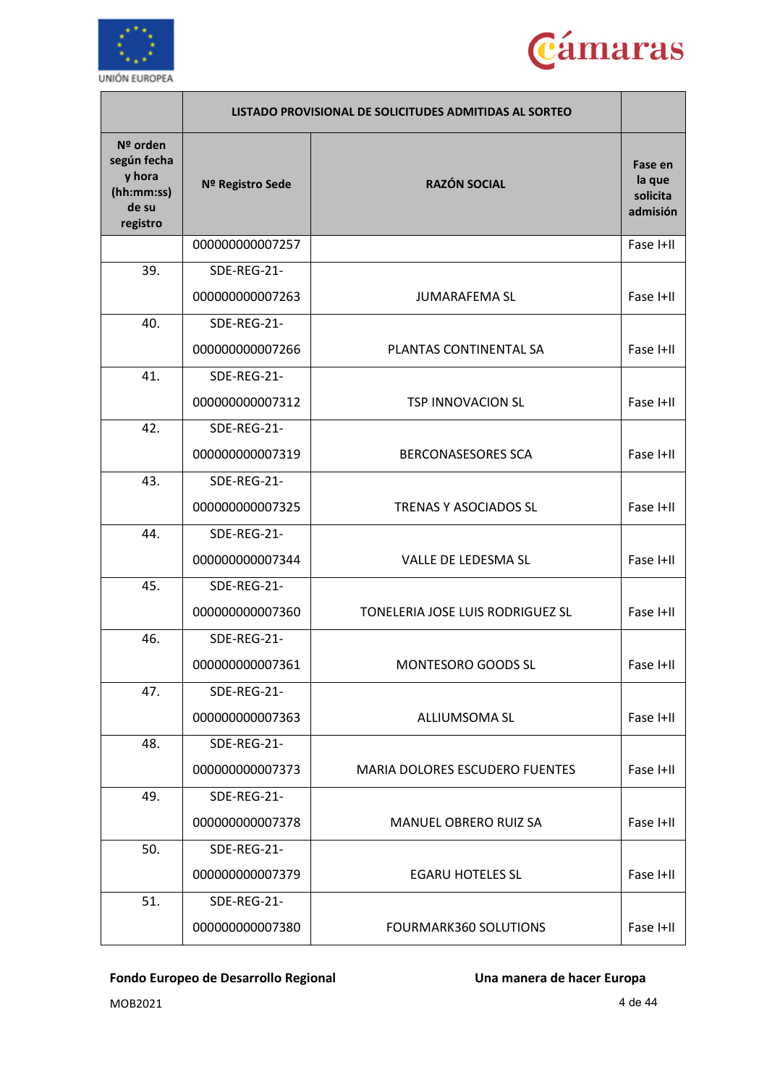



|                                                                      | LISTADO PROVISIONAL DE SOLICITUDES ADMITIDAS AL SORTEO |                                       |                                           |
|----------------------------------------------------------------------|--------------------------------------------------------|---------------------------------------|-------------------------------------------|
| Nº orden<br>según fecha<br>y hora<br>(hh:mm:ss)<br>de su<br>registro | Nº Registro Sede                                       | <b>RAZÓN SOCIAL</b>                   | Fase en<br>la que<br>solicita<br>admisión |
|                                                                      | 000000000007257                                        |                                       | Fase I+II                                 |
| 39.                                                                  | SDE-REG-21-                                            |                                       |                                           |
|                                                                      | 000000000007263                                        | <b>JUMARAFEMA SL</b>                  | Fase I+II                                 |
| 40.                                                                  | SDE-REG-21-                                            |                                       |                                           |
|                                                                      | 000000000007266                                        | PLANTAS CONTINENTAL SA                | Fase I+II                                 |
| 41.                                                                  | SDE-REG-21-                                            |                                       |                                           |
|                                                                      | 000000000007312                                        | <b>TSP INNOVACION SL</b>              | Fase I+II                                 |
| 42.                                                                  | SDE-REG-21-                                            |                                       |                                           |
|                                                                      | 000000000007319                                        | <b>BERCONASESORES SCA</b>             | Fase I+II                                 |
| 43.                                                                  | SDE-REG-21-                                            |                                       |                                           |
|                                                                      | 000000000007325                                        | <b>TRENAS Y ASOCIADOS SL</b>          | Fase I+II                                 |
| 44.                                                                  | SDE-REG-21-                                            |                                       |                                           |
|                                                                      | 000000000007344                                        | VALLE DE LEDESMA SL                   | Fase I+II                                 |
| 45.                                                                  | SDE-REG-21-                                            |                                       |                                           |
|                                                                      | 000000000007360                                        | TONELERIA JOSE LUIS RODRIGUEZ SL      | Fase I+II                                 |
| 46.                                                                  | SDE-REG-21-                                            |                                       |                                           |
|                                                                      | 000000000007361                                        | MONTESORO GOODS SL                    | Fase I+II                                 |
| 47.                                                                  | SDE-REG-21-                                            |                                       |                                           |
|                                                                      | 000000000007363                                        | <b>ALLIUMSOMA SL</b>                  | Fase I+II                                 |
| 48.                                                                  | SDE-REG-21-                                            |                                       |                                           |
|                                                                      | 000000000007373                                        | <b>MARIA DOLORES ESCUDERO FUENTES</b> | Fase I+II                                 |
| 49.                                                                  | SDE-REG-21-                                            |                                       |                                           |
|                                                                      | 000000000007378                                        | <b>MANUEL OBRERO RUIZ SA</b>          | Fase I+II                                 |
| 50.                                                                  | SDE-REG-21-                                            |                                       |                                           |
|                                                                      | 000000000007379                                        | <b>EGARU HOTELES SL</b>               | Fase I+II                                 |
| 51.                                                                  | SDE-REG-21-                                            |                                       |                                           |
|                                                                      | 000000000007380                                        | <b>FOURMARK360 SOLUTIONS</b>          | Fase I+II                                 |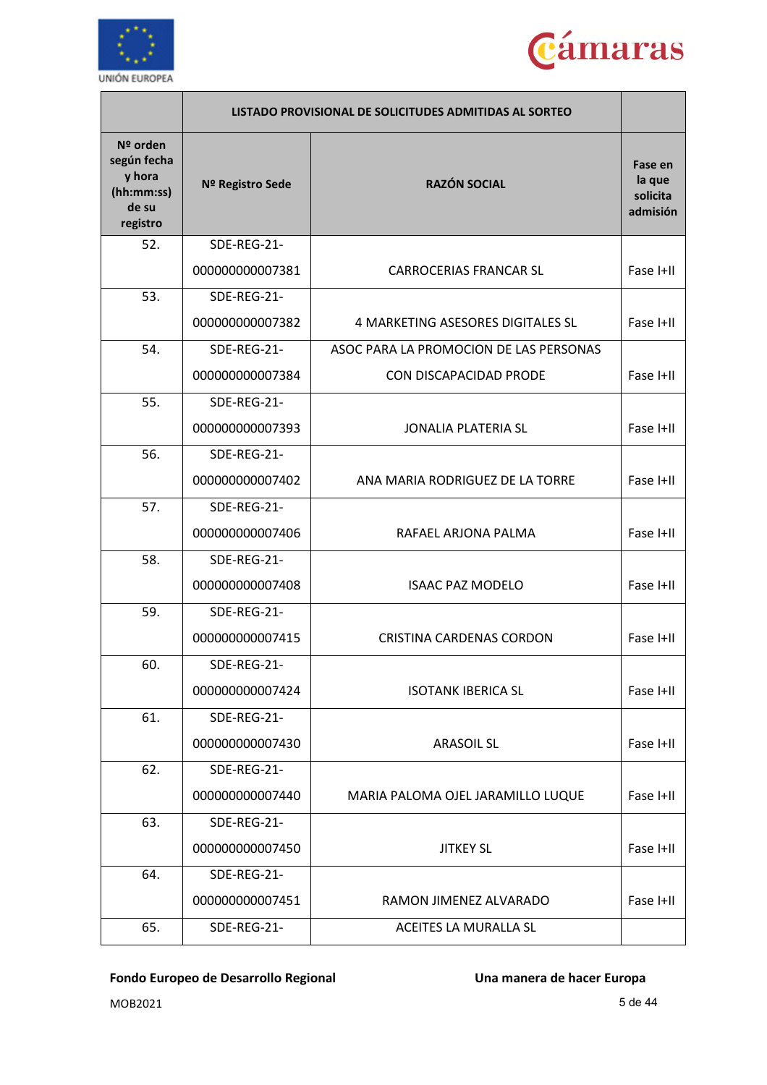



|                                                                      | LISTADO PROVISIONAL DE SOLICITUDES ADMITIDAS AL SORTEO |                                        |                                           |
|----------------------------------------------------------------------|--------------------------------------------------------|----------------------------------------|-------------------------------------------|
| Nº orden<br>según fecha<br>y hora<br>(hh:mm:ss)<br>de su<br>registro | Nº Registro Sede                                       | <b>RAZÓN SOCIAL</b>                    | Fase en<br>la que<br>solicita<br>admisión |
| 52.                                                                  | SDE-REG-21-                                            |                                        |                                           |
|                                                                      | 000000000007381                                        | <b>CARROCERIAS FRANCAR SL</b>          | Fase I+II                                 |
| 53.                                                                  | SDE-REG-21-                                            |                                        |                                           |
|                                                                      | 000000000007382                                        | 4 MARKETING ASESORES DIGITALES SL      | Fase I+II                                 |
| 54.                                                                  | SDE-REG-21-                                            | ASOC PARA LA PROMOCION DE LAS PERSONAS |                                           |
|                                                                      | 000000000007384                                        | <b>CON DISCAPACIDAD PRODE</b>          | Fase I+II                                 |
| 55.                                                                  | SDE-REG-21-                                            |                                        |                                           |
|                                                                      | 000000000007393                                        | <b>JONALIA PLATERIA SL</b>             | Fase I+II                                 |
| 56.                                                                  | SDE-REG-21-                                            |                                        |                                           |
|                                                                      | 000000000007402                                        | ANA MARIA RODRIGUEZ DE LA TORRE        | Fase I+II                                 |
| 57.                                                                  | SDE-REG-21-                                            |                                        |                                           |
|                                                                      | 000000000007406                                        | RAFAEL ARJONA PALMA                    | Fase I+II                                 |
| 58.                                                                  | SDE-REG-21-                                            |                                        |                                           |
|                                                                      | 000000000007408                                        | <b>ISAAC PAZ MODELO</b>                | Fase I+II                                 |
| 59.                                                                  | SDE-REG-21-                                            |                                        |                                           |
|                                                                      | 000000000007415                                        | <b>CRISTINA CARDENAS CORDON</b>        | Fase I+II                                 |
| 60.                                                                  | SDE-REG-21-                                            |                                        |                                           |
|                                                                      | 000000000007424                                        | <b>ISOTANK IBERICA SL</b>              | Fase I+II                                 |
| 61.                                                                  | SDE-REG-21-                                            |                                        |                                           |
|                                                                      | 000000000007430                                        | <b>ARASOIL SL</b>                      | Fase I+II                                 |
| 62.                                                                  | SDE-REG-21-                                            |                                        |                                           |
|                                                                      | 000000000007440                                        | MARIA PALOMA OJEL JARAMILLO LUQUE      | Fase I+II                                 |
| 63.                                                                  | SDE-REG-21-                                            |                                        |                                           |
|                                                                      | 000000000007450                                        | <b>JITKEY SL</b>                       | Fase I+II                                 |
| 64.                                                                  | SDE-REG-21-                                            |                                        |                                           |
|                                                                      | 000000000007451                                        | RAMON JIMENEZ ALVARADO                 | Fase I+II                                 |
| 65.                                                                  | SDE-REG-21-                                            | ACEITES LA MURALLA SL                  |                                           |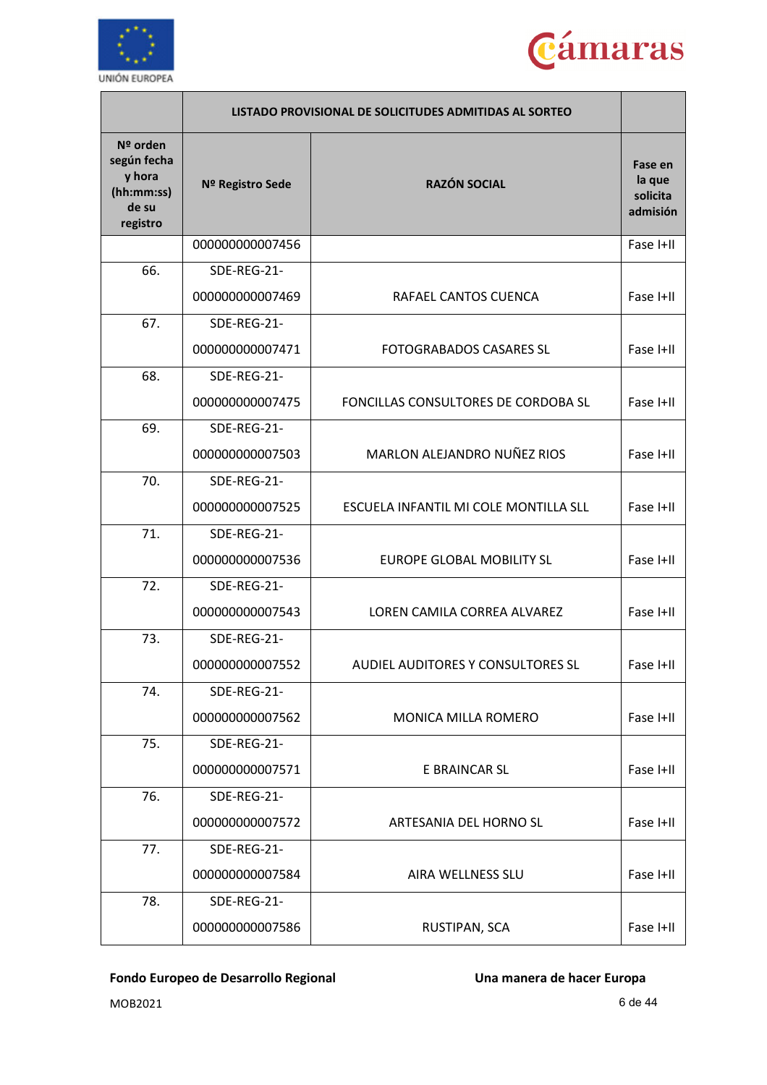



|                                                                      | LISTADO PROVISIONAL DE SOLICITUDES ADMITIDAS AL SORTEO |                                       |                                           |
|----------------------------------------------------------------------|--------------------------------------------------------|---------------------------------------|-------------------------------------------|
| Nº orden<br>según fecha<br>y hora<br>(hh:mm:ss)<br>de su<br>registro | Nº Registro Sede                                       | <b>RAZÓN SOCIAL</b>                   | Fase en<br>la que<br>solicita<br>admisión |
|                                                                      | 000000000007456                                        |                                       | Fase I+II                                 |
| 66.                                                                  | SDE-REG-21-                                            |                                       |                                           |
|                                                                      | 00000000007469                                         | RAFAEL CANTOS CUENCA                  | Fase I+II                                 |
| 67.                                                                  | SDE-REG-21-                                            |                                       |                                           |
|                                                                      | 000000000007471                                        | <b>FOTOGRABADOS CASARES SL</b>        | Fase I+II                                 |
| 68.                                                                  | SDE-REG-21-                                            |                                       |                                           |
|                                                                      | 000000000007475                                        | FONCILLAS CONSULTORES DE CORDOBA SL   | Fase I+II                                 |
| 69.                                                                  | SDE-REG-21-                                            |                                       |                                           |
|                                                                      | 000000000007503                                        | <b>MARLON ALEJANDRO NUÑEZ RIOS</b>    | Fase I+II                                 |
| 70.                                                                  | SDE-REG-21-                                            |                                       |                                           |
|                                                                      | 000000000007525                                        | ESCUELA INFANTIL MI COLE MONTILLA SLL | Fase I+II                                 |
| 71.                                                                  | SDE-REG-21-                                            |                                       |                                           |
|                                                                      | 000000000007536                                        | <b>EUROPE GLOBAL MOBILITY SL</b>      | Fase I+II                                 |
| 72.                                                                  | SDE-REG-21-                                            |                                       |                                           |
|                                                                      | 000000000007543                                        | LOREN CAMILA CORREA ALVAREZ           | Fase I+II                                 |
| 73.                                                                  | SDE-REG-21-                                            |                                       |                                           |
|                                                                      | 000000000007552                                        | AUDIEL AUDITORES Y CONSULTORES SL     | Fase I+II                                 |
| 74.                                                                  | SDE-REG-21-                                            |                                       |                                           |
|                                                                      | 000000000007562                                        | <b>MONICA MILLA ROMERO</b>            | Fase I+II                                 |
| 75.                                                                  | SDE-REG-21-                                            |                                       |                                           |
|                                                                      | 000000000007571                                        | E BRAINCAR SL                         | Fase I+II                                 |
| 76.                                                                  | SDE-REG-21-                                            |                                       |                                           |
|                                                                      | 00000000007572                                         | ARTESANIA DEL HORNO SL                | Fase I+II                                 |
| 77.                                                                  | SDE-REG-21-                                            |                                       |                                           |
|                                                                      | 00000000007584                                         | AIRA WELLNESS SLU                     | Fase I+II                                 |
| 78.                                                                  | SDE-REG-21-                                            |                                       |                                           |
|                                                                      | 00000000007586                                         | RUSTIPAN, SCA                         | Fase I+II                                 |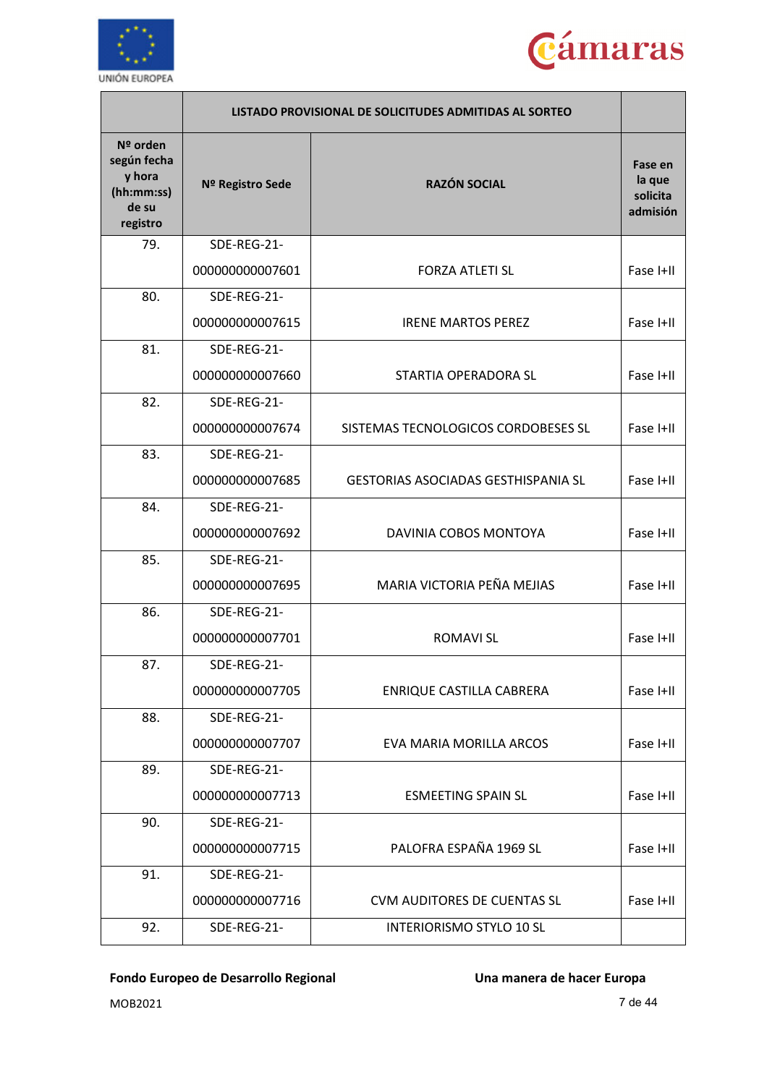



|                                                                      | LISTADO PROVISIONAL DE SOLICITUDES ADMITIDAS AL SORTEO |                                            |                                           |
|----------------------------------------------------------------------|--------------------------------------------------------|--------------------------------------------|-------------------------------------------|
| Nº orden<br>según fecha<br>y hora<br>(hh:mm:ss)<br>de su<br>registro | Nº Registro Sede                                       | <b>RAZÓN SOCIAL</b>                        | Fase en<br>la que<br>solicita<br>admisión |
| 79.                                                                  | SDE-REG-21-                                            |                                            |                                           |
|                                                                      | 000000000007601                                        | <b>FORZA ATLETI SL</b>                     | Fase I+II                                 |
| 80.                                                                  | SDE-REG-21-                                            |                                            |                                           |
|                                                                      | 000000000007615                                        | <b>IRENE MARTOS PEREZ</b>                  | Fase I+II                                 |
| 81.                                                                  | SDE-REG-21-                                            |                                            |                                           |
|                                                                      | 000000000007660                                        | STARTIA OPERADORA SL                       | Fase I+II                                 |
| 82.                                                                  | SDE-REG-21-                                            |                                            |                                           |
|                                                                      | 000000000007674                                        | SISTEMAS TECNOLOGICOS CORDOBESES SL        | Fase I+II                                 |
| 83.                                                                  | SDE-REG-21-                                            |                                            |                                           |
|                                                                      | 000000000007685                                        | <b>GESTORIAS ASOCIADAS GESTHISPANIA SL</b> | Fase I+II                                 |
| 84.                                                                  | SDE-REG-21-                                            |                                            |                                           |
|                                                                      | 000000000007692                                        | DAVINIA COBOS MONTOYA                      | Fase I+II                                 |
| 85.                                                                  | SDE-REG-21-                                            |                                            |                                           |
|                                                                      | 000000000007695                                        | MARIA VICTORIA PEÑA MEJIAS                 | Fase I+II                                 |
| 86.                                                                  | SDE-REG-21-                                            |                                            |                                           |
|                                                                      | 000000000007701                                        | <b>ROMAVI SL</b>                           | Fase I+II                                 |
| 87.                                                                  | SDE-REG-21-                                            |                                            |                                           |
|                                                                      | 000000000007705                                        | ENRIQUE CASTILLA CABRERA                   | Fase I+II                                 |
| 88.                                                                  | SDE-REG-21-                                            |                                            |                                           |
|                                                                      | 000000000007707                                        | EVA MARIA MORILLA ARCOS                    | Fase I+II                                 |
| 89.                                                                  | SDE-REG-21-                                            |                                            |                                           |
|                                                                      | 000000000007713                                        | <b>ESMEETING SPAIN SL</b>                  | Fase I+II                                 |
| 90.                                                                  | SDE-REG-21-                                            |                                            |                                           |
|                                                                      | 000000000007715                                        | PALOFRA ESPAÑA 1969 SL                     | Fase I+II                                 |
| 91.                                                                  | SDE-REG-21-                                            |                                            |                                           |
|                                                                      | 000000000007716                                        | <b>CVM AUDITORES DE CUENTAS SL</b>         | Fase I+II                                 |
| 92.                                                                  | SDE-REG-21-                                            | <b>INTERIORISMO STYLO 10 SL</b>            |                                           |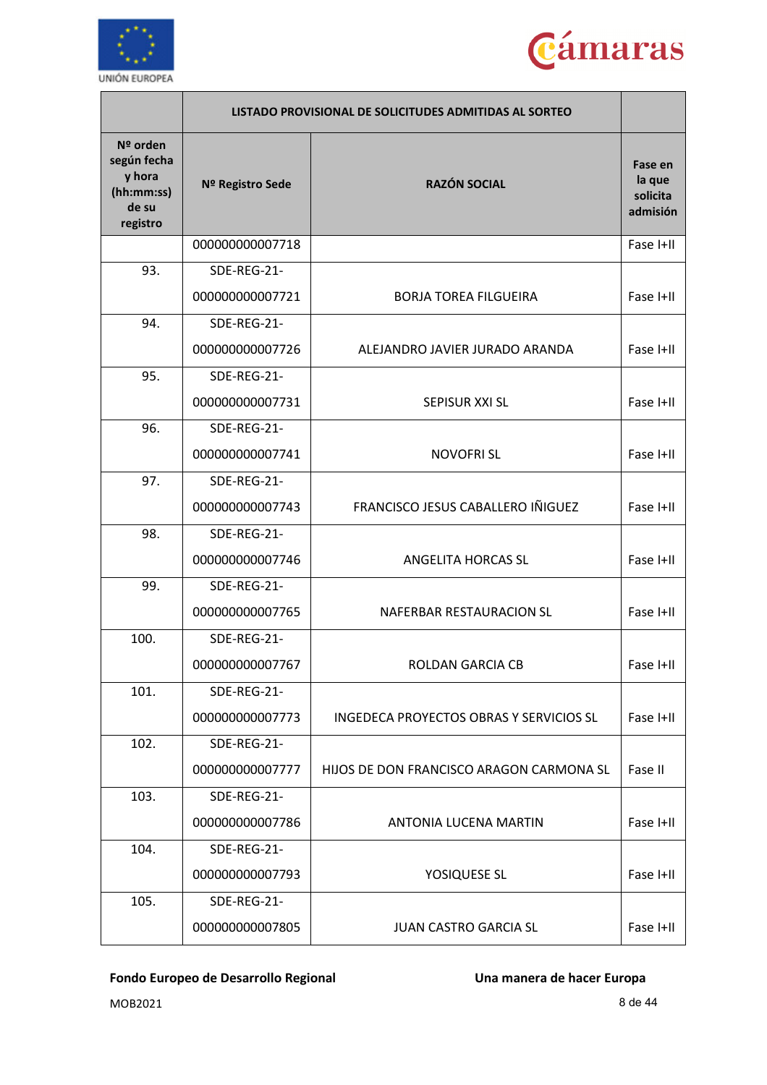



|                                                                      |                  | LISTADO PROVISIONAL DE SOLICITUDES ADMITIDAS AL SORTEO |                                           |
|----------------------------------------------------------------------|------------------|--------------------------------------------------------|-------------------------------------------|
| Nº orden<br>según fecha<br>y hora<br>(hh:mm:ss)<br>de su<br>registro | Nº Registro Sede | <b>RAZÓN SOCIAL</b>                                    | Fase en<br>la que<br>solicita<br>admisión |
|                                                                      | 000000000007718  |                                                        | Fase I+II                                 |
| 93.                                                                  | SDE-REG-21-      |                                                        |                                           |
|                                                                      | 000000000007721  | <b>BORJA TOREA FILGUEIRA</b>                           | Fase I+II                                 |
| 94.                                                                  | SDE-REG-21-      |                                                        |                                           |
|                                                                      | 000000000007726  | ALEJANDRO JAVIER JURADO ARANDA                         | Fase I+II                                 |
| 95.                                                                  | SDE-REG-21-      |                                                        |                                           |
|                                                                      | 000000000007731  | <b>SEPISUR XXI SL</b>                                  | Fase I+II                                 |
| 96.                                                                  | SDE-REG-21-      |                                                        |                                           |
|                                                                      | 000000000007741  | <b>NOVOFRI SL</b>                                      | Fase I+II                                 |
| 97.                                                                  | SDE-REG-21-      |                                                        |                                           |
|                                                                      | 000000000007743  | FRANCISCO JESUS CABALLERO IÑIGUEZ                      | Fase I+II                                 |
| 98.                                                                  | SDE-REG-21-      |                                                        |                                           |
|                                                                      | 000000000007746  | ANGELITA HORCAS SL                                     | Fase I+II                                 |
| 99.                                                                  | SDE-REG-21-      |                                                        |                                           |
|                                                                      | 00000000007765   | NAFERBAR RESTAURACION SL                               | Fase I+II                                 |
| 100.                                                                 | SDE-REG-21-      |                                                        |                                           |
|                                                                      | 000000000007767  | ROLDAN GARCIA CB                                       | Fase I+II                                 |
| 101.                                                                 | SDE-REG-21-      |                                                        |                                           |
|                                                                      | 000000000007773  | INGEDECA PROYECTOS OBRAS Y SERVICIOS SL                | Fase I+II                                 |
| 102.                                                                 | SDE-REG-21-      |                                                        |                                           |
|                                                                      | 000000000007777  | HIJOS DE DON FRANCISCO ARAGON CARMONA SL               | Fase II                                   |
| 103.                                                                 | SDE-REG-21-      |                                                        |                                           |
|                                                                      | 000000000007786  | <b>ANTONIA LUCENA MARTIN</b>                           | Fase I+II                                 |
| 104.                                                                 | SDE-REG-21-      |                                                        |                                           |
|                                                                      | 000000000007793  | YOSIQUESE SL                                           | Fase I+II                                 |
| 105.                                                                 | SDE-REG-21-      |                                                        |                                           |
|                                                                      | 000000000007805  | <b>JUAN CASTRO GARCIA SL</b>                           | Fase I+II                                 |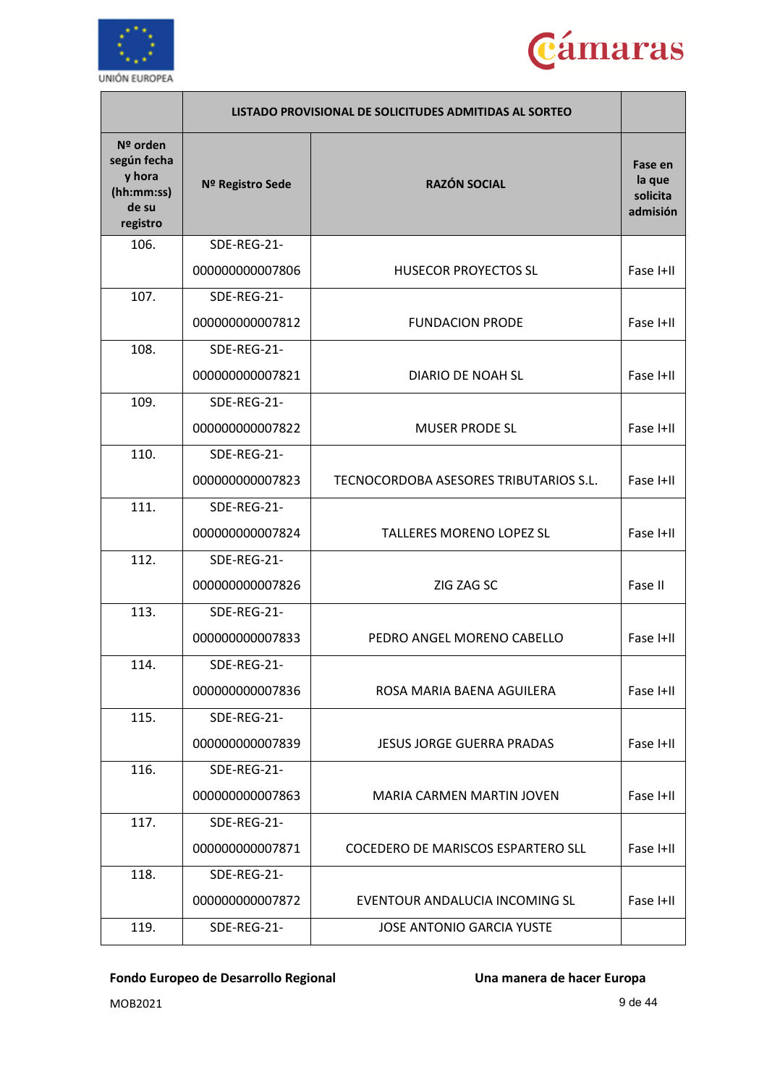



|                                                                        |                  | LISTADO PROVISIONAL DE SOLICITUDES ADMITIDAS AL SORTEO |                                           |
|------------------------------------------------------------------------|------------------|--------------------------------------------------------|-------------------------------------------|
| $N2$ orden<br>según fecha<br>y hora<br>(hh:mm:ss)<br>de su<br>registro | Nº Registro Sede | <b>RAZÓN SOCIAL</b>                                    | Fase en<br>la que<br>solicita<br>admisión |
| 106.                                                                   | SDE-REG-21-      |                                                        |                                           |
|                                                                        | 000000000007806  | <b>HUSECOR PROYECTOS SL</b>                            | Fase I+II                                 |
| 107.                                                                   | SDE-REG-21-      |                                                        |                                           |
|                                                                        | 000000000007812  | <b>FUNDACION PRODE</b>                                 | Fase I+II                                 |
| 108.                                                                   | SDE-REG-21-      |                                                        |                                           |
|                                                                        | 000000000007821  | <b>DIARIO DE NOAH SL</b>                               | Fase I+II                                 |
| 109.                                                                   | SDE-REG-21-      |                                                        |                                           |
|                                                                        | 000000000007822  | <b>MUSER PRODE SL</b>                                  | Fase I+II                                 |
| 110.                                                                   | SDE-REG-21-      |                                                        |                                           |
|                                                                        | 000000000007823  | TECNOCORDOBA ASESORES TRIBUTARIOS S.L.                 | Fase I+II                                 |
| 111.                                                                   | SDE-REG-21-      |                                                        |                                           |
|                                                                        | 000000000007824  | <b>TALLERES MORENO LOPEZ SL</b>                        | Fase I+II                                 |
| 112.                                                                   | SDE-REG-21-      |                                                        |                                           |
|                                                                        | 000000000007826  | ZIG ZAG SC                                             | Fase II                                   |
| 113.                                                                   | SDE-REG-21-      |                                                        |                                           |
|                                                                        | 000000000007833  | PEDRO ANGEL MORENO CABELLO                             | Fase I+II                                 |
| 114.                                                                   | SDE-REG-21-      |                                                        |                                           |
|                                                                        | 000000000007836  | ROSA MARIA BAENA AGUILERA                              | Fase I+II                                 |
| 115.                                                                   | SDE-REG-21-      |                                                        |                                           |
|                                                                        | 000000000007839  | <b>JESUS JORGE GUERRA PRADAS</b>                       | Fase I+II                                 |
| 116.                                                                   | SDE-REG-21-      |                                                        |                                           |
|                                                                        | 000000000007863  | MARIA CARMEN MARTIN JOVEN                              | Fase I+II                                 |
| 117.                                                                   | SDE-REG-21-      |                                                        |                                           |
|                                                                        | 000000000007871  | COCEDERO DE MARISCOS ESPARTERO SLL                     | Fase I+II                                 |
| 118.                                                                   | SDE-REG-21-      |                                                        |                                           |
|                                                                        | 000000000007872  | EVENTOUR ANDALUCIA INCOMING SL                         | Fase I+II                                 |
| 119.                                                                   | SDE-REG-21-      | <b>JOSE ANTONIO GARCIA YUSTE</b>                       |                                           |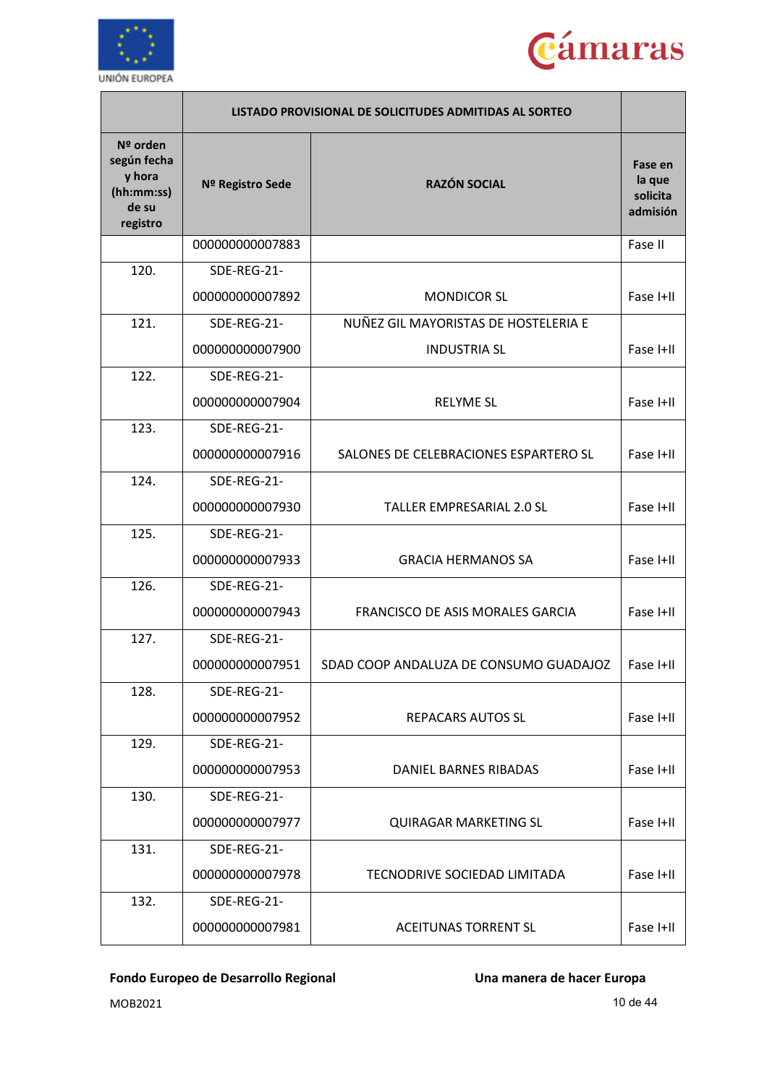



|                                                                      |                  | LISTADO PROVISIONAL DE SOLICITUDES ADMITIDAS AL SORTEO |                                           |
|----------------------------------------------------------------------|------------------|--------------------------------------------------------|-------------------------------------------|
| Nº orden<br>según fecha<br>y hora<br>(hh:mm:ss)<br>de su<br>registro | Nº Registro Sede | <b>RAZÓN SOCIAL</b>                                    | Fase en<br>la que<br>solicita<br>admisión |
|                                                                      | 000000000007883  |                                                        | Fase II                                   |
| 120.                                                                 | SDE-REG-21-      |                                                        |                                           |
|                                                                      | 000000000007892  | <b>MONDICOR SL</b>                                     | Fase I+II                                 |
| 121.                                                                 | SDE-REG-21-      | NUÑEZ GIL MAYORISTAS DE HOSTELERIA E                   |                                           |
|                                                                      | 000000000007900  | <b>INDUSTRIA SL</b>                                    | Fase I+II                                 |
| 122.                                                                 | SDE-REG-21-      |                                                        |                                           |
|                                                                      | 000000000007904  | <b>RELYME SL</b>                                       | Fase I+II                                 |
| 123.                                                                 | SDE-REG-21-      |                                                        |                                           |
|                                                                      | 000000000007916  | SALONES DE CELEBRACIONES ESPARTERO SL                  | Fase I+II                                 |
| 124.                                                                 | SDE-REG-21-      |                                                        |                                           |
|                                                                      | 000000000007930  | <b>TALLER EMPRESARIAL 2.0 SL</b>                       | Fase I+II                                 |
| 125.                                                                 | SDE-REG-21-      |                                                        |                                           |
|                                                                      | 00000000007933   | <b>GRACIA HERMANOS SA</b>                              | Fase I+II                                 |
| 126.                                                                 | SDE-REG-21-      |                                                        |                                           |
|                                                                      | 000000000007943  | FRANCISCO DE ASIS MORALES GARCIA                       | Fase I+II                                 |
| 127.                                                                 | SDE-REG-21-      |                                                        |                                           |
|                                                                      | 00000000007951   | SDAD COOP ANDALUZA DE CONSUMO GUADAJOZ                 | Fase I+II                                 |
| 128.                                                                 | SDE-REG-21-      |                                                        |                                           |
|                                                                      | 000000000007952  | <b>REPACARS AUTOS SL</b>                               | Fase I+II                                 |
| 129.                                                                 | SDE-REG-21-      |                                                        |                                           |
|                                                                      | 000000000007953  | <b>DANIEL BARNES RIBADAS</b>                           | Fase I+II                                 |
| 130.                                                                 | SDE-REG-21-      |                                                        |                                           |
|                                                                      | 000000000007977  | <b>QUIRAGAR MARKETING SL</b>                           | Fase I+II                                 |
| 131.                                                                 | SDE-REG-21-      |                                                        |                                           |
|                                                                      | 000000000007978  | TECNODRIVE SOCIEDAD LIMITADA                           | Fase I+II                                 |
| 132.                                                                 | SDE-REG-21-      |                                                        |                                           |
|                                                                      | 000000000007981  | <b>ACEITUNAS TORRENT SL</b>                            | Fase I+II                                 |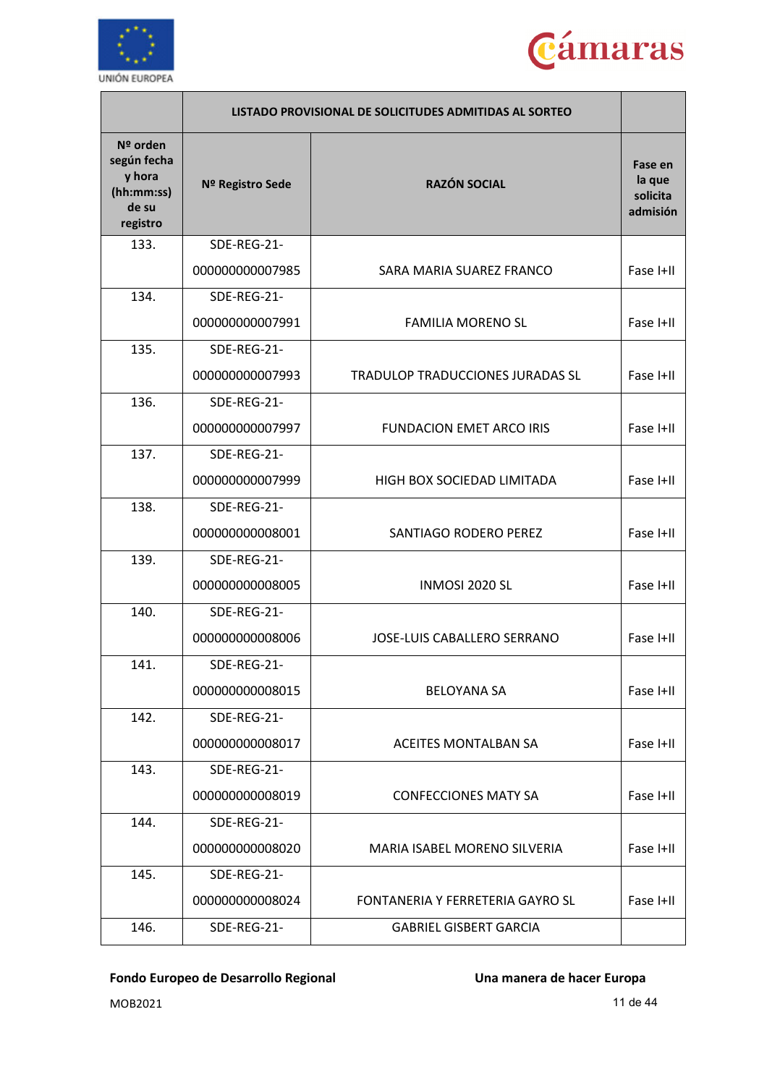



|                                                                      | LISTADO PROVISIONAL DE SOLICITUDES ADMITIDAS AL SORTEO |                                    |                                           |
|----------------------------------------------------------------------|--------------------------------------------------------|------------------------------------|-------------------------------------------|
| Nº orden<br>según fecha<br>y hora<br>(hh:mm:ss)<br>de su<br>registro | Nº Registro Sede                                       | <b>RAZÓN SOCIAL</b>                | Fase en<br>la que<br>solicita<br>admisión |
| 133.                                                                 | SDE-REG-21-                                            |                                    |                                           |
|                                                                      | 000000000007985                                        | SARA MARIA SUAREZ FRANCO           | Fase I+II                                 |
| 134.                                                                 | SDE-REG-21-                                            |                                    |                                           |
|                                                                      | 000000000007991                                        | <b>FAMILIA MORENO SL</b>           | Fase I+II                                 |
| 135.                                                                 | SDE-REG-21-                                            |                                    |                                           |
|                                                                      | 000000000007993                                        | TRADULOP TRADUCCIONES JURADAS SL   | Fase I+II                                 |
| 136.                                                                 | SDE-REG-21-                                            |                                    |                                           |
|                                                                      | 000000000007997                                        | <b>FUNDACION EMET ARCO IRIS</b>    | Fase I+II                                 |
| 137.                                                                 | SDE-REG-21-                                            |                                    |                                           |
|                                                                      | 000000000007999                                        | HIGH BOX SOCIEDAD LIMITADA         | Fase I+II                                 |
| 138.                                                                 | SDE-REG-21-                                            |                                    |                                           |
|                                                                      | 000000000008001                                        | SANTIAGO RODERO PEREZ              | Fase I+II                                 |
| 139.                                                                 | SDE-REG-21-                                            |                                    |                                           |
|                                                                      | 000000000008005                                        | INMOSI 2020 SL                     | Fase I+II                                 |
| 140.                                                                 | SDE-REG-21-                                            |                                    |                                           |
|                                                                      | 000000000008006                                        | <b>JOSE-LUIS CABALLERO SERRANO</b> | Fase I+II                                 |
| 141.                                                                 | SDE-REG-21-                                            |                                    |                                           |
|                                                                      | 000000000008015                                        | <b>BELOYANA SA</b>                 | Fase I+II                                 |
| 142.                                                                 | SDE-REG-21-                                            |                                    |                                           |
|                                                                      | 000000000008017                                        | <b>ACEITES MONTALBAN SA</b>        | Fase I+II                                 |
| 143.                                                                 | SDE-REG-21-                                            |                                    |                                           |
|                                                                      | 000000000008019                                        | <b>CONFECCIONES MATY SA</b>        | Fase I+II                                 |
| 144.                                                                 | SDE-REG-21-                                            |                                    |                                           |
|                                                                      | 000000000008020                                        | MARIA ISABEL MORENO SILVERIA       | Fase I+II                                 |
| 145.                                                                 | SDE-REG-21-                                            |                                    |                                           |
|                                                                      | 000000000008024                                        | FONTANERIA Y FERRETERIA GAYRO SL   | Fase I+II                                 |
| 146.                                                                 | SDE-REG-21-                                            | <b>GABRIEL GISBERT GARCIA</b>      |                                           |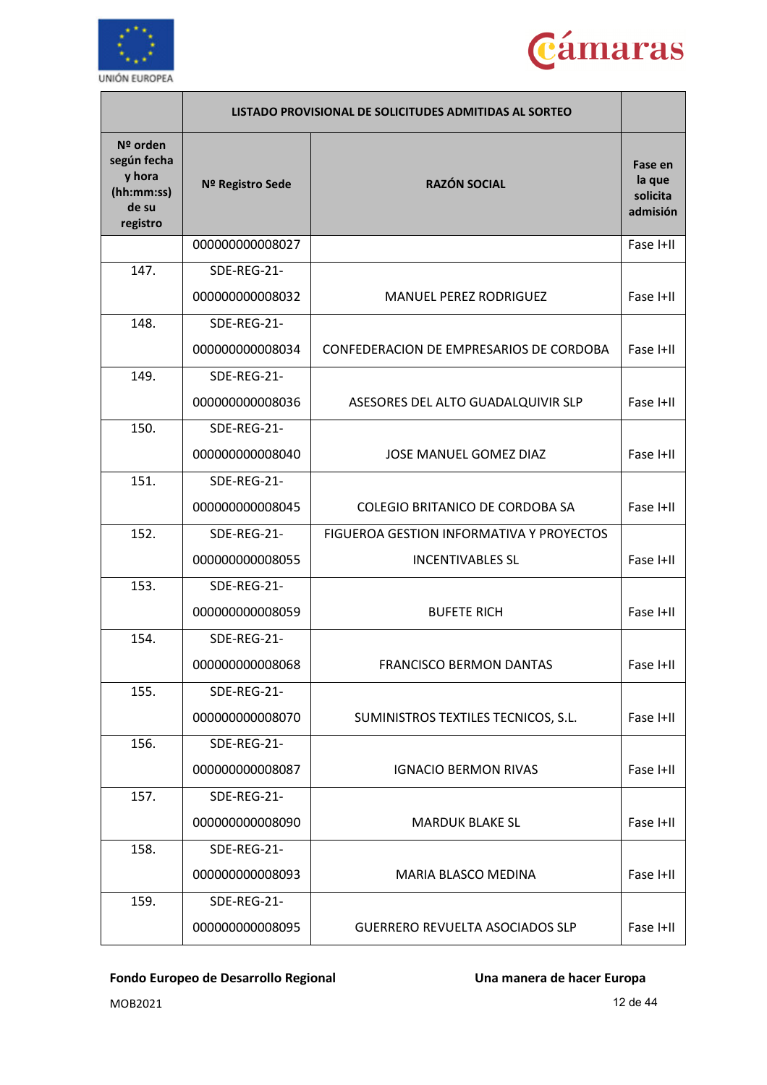



|                                                                      |                  | LISTADO PROVISIONAL DE SOLICITUDES ADMITIDAS AL SORTEO |                                           |
|----------------------------------------------------------------------|------------------|--------------------------------------------------------|-------------------------------------------|
| Nº orden<br>según fecha<br>y hora<br>(hh:mm:ss)<br>de su<br>registro | Nº Registro Sede | <b>RAZÓN SOCIAL</b>                                    | Fase en<br>la que<br>solicita<br>admisión |
|                                                                      | 000000000008027  |                                                        | Fase I+II                                 |
| 147.                                                                 | SDE-REG-21-      |                                                        |                                           |
|                                                                      | 000000000008032  | MANUEL PEREZ RODRIGUEZ                                 | Fase I+II                                 |
| 148.                                                                 | SDE-REG-21-      |                                                        |                                           |
|                                                                      | 000000000008034  | CONFEDERACION DE EMPRESARIOS DE CORDOBA                | Fase I+II                                 |
| 149.                                                                 | SDE-REG-21-      |                                                        |                                           |
|                                                                      | 000000000008036  | ASESORES DEL ALTO GUADALQUIVIR SLP                     | Fase I+II                                 |
| 150.                                                                 | SDE-REG-21-      |                                                        |                                           |
|                                                                      | 000000000008040  | <b>JOSE MANUEL GOMEZ DIAZ</b>                          | Fase I+II                                 |
| 151.                                                                 | SDE-REG-21-      |                                                        |                                           |
|                                                                      | 000000000008045  | <b>COLEGIO BRITANICO DE CORDOBA SA</b>                 | Fase I+II                                 |
| 152.                                                                 | SDE-REG-21-      | FIGUEROA GESTION INFORMATIVA Y PROYECTOS               |                                           |
|                                                                      | 000000000008055  | <b>INCENTIVABLES SL</b>                                | Fase I+II                                 |
| 153.                                                                 | SDE-REG-21-      |                                                        |                                           |
|                                                                      | 000000000008059  | <b>BUFETE RICH</b>                                     | Fase I+II                                 |
| 154.                                                                 | SDE-REG-21-      |                                                        |                                           |
|                                                                      | 000000000008068  | <b>FRANCISCO BERMON DANTAS</b>                         | Fase I+II                                 |
| 155.                                                                 | SDE-REG-21-      |                                                        |                                           |
|                                                                      | 000000000008070  | SUMINISTROS TEXTILES TECNICOS, S.L.                    | Fase I+II                                 |
| 156.                                                                 | SDE-REG-21-      |                                                        |                                           |
|                                                                      | 000000000008087  | <b>IGNACIO BERMON RIVAS</b>                            | Fase I+II                                 |
| 157.                                                                 | SDE-REG-21-      |                                                        |                                           |
|                                                                      | 000000000008090  | <b>MARDUK BLAKE SL</b>                                 | Fase I+II                                 |
| 158.                                                                 | SDE-REG-21-      |                                                        |                                           |
|                                                                      | 000000000008093  | MARIA BLASCO MEDINA                                    | Fase I+II                                 |
| 159.                                                                 | SDE-REG-21-      |                                                        |                                           |
|                                                                      | 000000000008095  | <b>GUERRERO REVUELTA ASOCIADOS SLP</b>                 | Fase I+II                                 |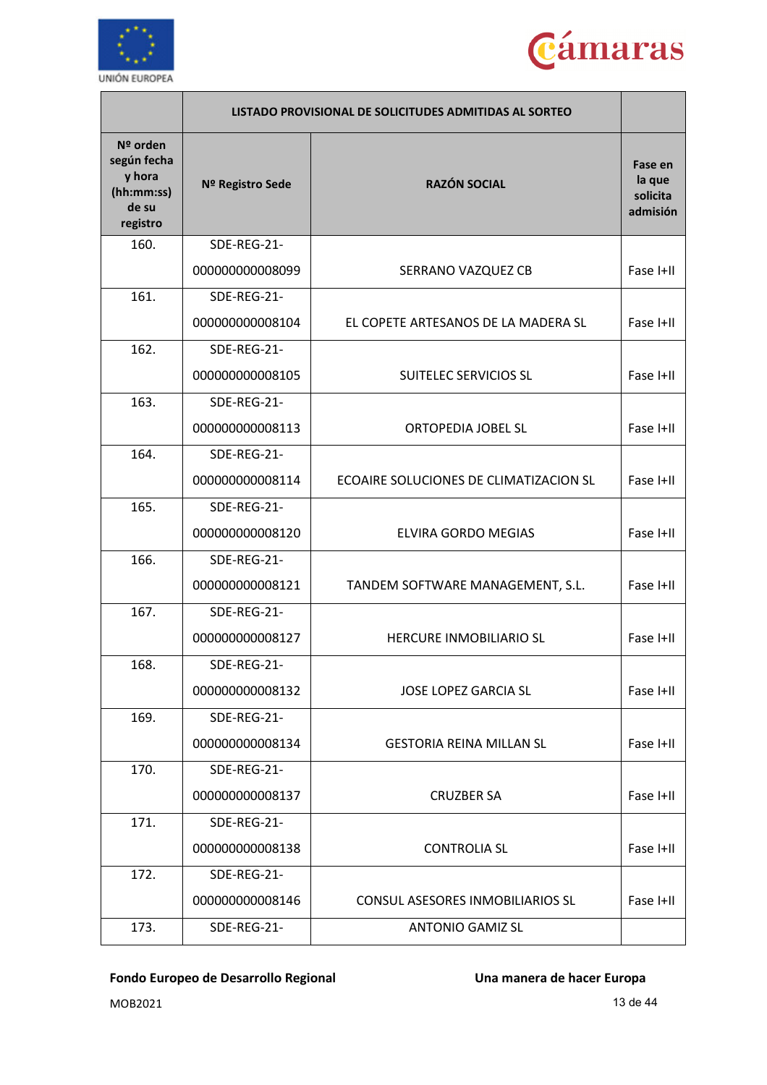



|                                                                      | LISTADO PROVISIONAL DE SOLICITUDES ADMITIDAS AL SORTEO |                                        |                                           |
|----------------------------------------------------------------------|--------------------------------------------------------|----------------------------------------|-------------------------------------------|
| Nº orden<br>según fecha<br>y hora<br>(hh:mm:ss)<br>de su<br>registro | Nº Registro Sede                                       | <b>RAZÓN SOCIAL</b>                    | Fase en<br>la que<br>solicita<br>admisión |
| 160.                                                                 | SDE-REG-21-                                            |                                        |                                           |
|                                                                      | 000000000008099                                        | SERRANO VAZQUEZ CB                     | Fase I+II                                 |
| 161.                                                                 | SDE-REG-21-                                            |                                        |                                           |
|                                                                      | 000000000008104                                        | EL COPETE ARTESANOS DE LA MADERA SL    | Fase I+II                                 |
| 162.                                                                 | SDE-REG-21-                                            |                                        |                                           |
|                                                                      | 000000000008105                                        | <b>SUITELEC SERVICIOS SL</b>           | Fase I+II                                 |
| 163.                                                                 | SDE-REG-21-                                            |                                        |                                           |
|                                                                      | 000000000008113                                        | <b>ORTOPEDIA JOBEL SL</b>              | Fase I+II                                 |
| 164.                                                                 | SDE-REG-21-                                            |                                        |                                           |
|                                                                      | 000000000008114                                        | ECOAIRE SOLUCIONES DE CLIMATIZACION SL | Fase I+II                                 |
| 165.                                                                 | SDE-REG-21-                                            |                                        |                                           |
|                                                                      | 000000000008120                                        | <b>ELVIRA GORDO MEGIAS</b>             | Fase I+II                                 |
| 166.                                                                 | SDE-REG-21-                                            |                                        |                                           |
|                                                                      | 000000000008121                                        | TANDEM SOFTWARE MANAGEMENT, S.L.       | Fase I+II                                 |
| 167.                                                                 | SDE-REG-21-                                            |                                        |                                           |
|                                                                      | 000000000008127                                        | <b>HERCURE INMOBILIARIO SL</b>         | Fase I+II                                 |
| 168.                                                                 | SDE-REG-21-                                            |                                        |                                           |
|                                                                      | 000000000008132                                        | <b>JOSE LOPEZ GARCIA SL</b>            | Fase I+II                                 |
| 169.                                                                 | SDE-REG-21-                                            |                                        |                                           |
|                                                                      | 000000000008134                                        | <b>GESTORIA REINA MILLAN SL</b>        | Fase I+II                                 |
| 170.                                                                 | SDE-REG-21-                                            |                                        |                                           |
|                                                                      | 000000000008137                                        | <b>CRUZBER SA</b>                      | Fase I+II                                 |
| 171.                                                                 | SDE-REG-21-                                            |                                        |                                           |
|                                                                      | 000000000008138                                        | <b>CONTROLIA SL</b>                    | Fase I+II                                 |
| 172.                                                                 | SDE-REG-21-                                            |                                        |                                           |
|                                                                      | 000000000008146                                        | CONSUL ASESORES INMOBILIARIOS SL       | Fase I+II                                 |
| 173.                                                                 | SDE-REG-21-                                            | <b>ANTONIO GAMIZ SL</b>                |                                           |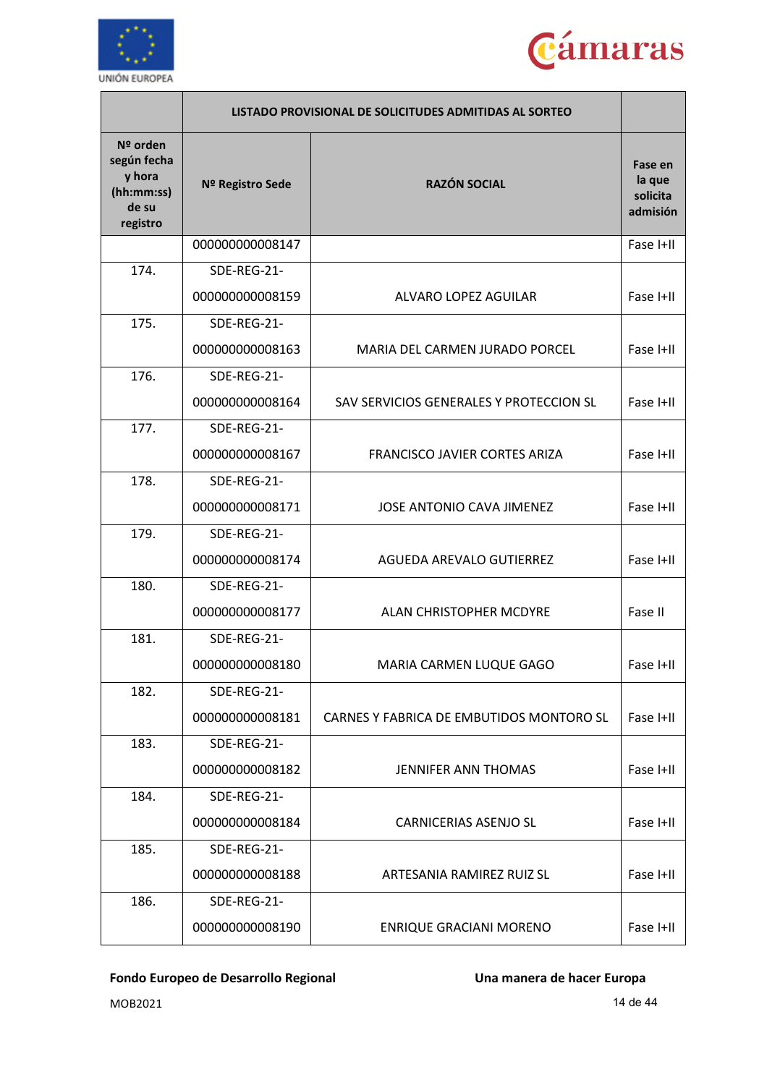



|                                                                      | LISTADO PROVISIONAL DE SOLICITUDES ADMITIDAS AL SORTEO |                                          |                                           |
|----------------------------------------------------------------------|--------------------------------------------------------|------------------------------------------|-------------------------------------------|
| Nº orden<br>según fecha<br>y hora<br>(hh:mm:ss)<br>de su<br>registro | Nº Registro Sede                                       | <b>RAZÓN SOCIAL</b>                      | Fase en<br>la que<br>solicita<br>admisión |
|                                                                      | 000000000008147                                        |                                          | Fase I+II                                 |
| 174.                                                                 | SDE-REG-21-                                            |                                          |                                           |
|                                                                      | 000000000008159                                        | ALVARO LOPEZ AGUILAR                     | Fase I+II                                 |
| 175.                                                                 | SDE-REG-21-                                            |                                          |                                           |
|                                                                      | 000000000008163                                        | MARIA DEL CARMEN JURADO PORCEL           | Fase I+II                                 |
| 176.                                                                 | SDE-REG-21-                                            |                                          |                                           |
|                                                                      | 000000000008164                                        | SAV SERVICIOS GENERALES Y PROTECCION SL  | Fase I+II                                 |
| 177.                                                                 | SDE-REG-21-                                            |                                          |                                           |
|                                                                      | 000000000008167                                        | FRANCISCO JAVIER CORTES ARIZA            | Fase I+II                                 |
| 178.                                                                 | SDE-REG-21-                                            |                                          |                                           |
|                                                                      | 000000000008171                                        | <b>JOSE ANTONIO CAVA JIMENEZ</b>         | Fase I+II                                 |
| 179.                                                                 | SDE-REG-21-                                            |                                          |                                           |
|                                                                      | 000000000008174                                        | AGUEDA AREVALO GUTIERREZ                 | Fase I+II                                 |
| 180.                                                                 | SDE-REG-21-                                            |                                          |                                           |
|                                                                      | 000000000008177                                        | ALAN CHRISTOPHER MCDYRE                  | Fase II                                   |
| 181.                                                                 | SDE-REG-21-                                            |                                          |                                           |
|                                                                      | 000000000008180                                        | MARIA CARMEN LUQUE GAGO                  | Fase I+II                                 |
| 182.                                                                 | SDE-REG-21-                                            |                                          |                                           |
|                                                                      | 000000000008181                                        | CARNES Y FABRICA DE EMBUTIDOS MONTORO SL | Fase I+II                                 |
| 183.                                                                 | SDE-REG-21-                                            |                                          |                                           |
|                                                                      | 000000000008182                                        | <b>JENNIFER ANN THOMAS</b>               | Fase I+II                                 |
| 184.                                                                 | SDE-REG-21-                                            |                                          |                                           |
|                                                                      | 000000000008184                                        | <b>CARNICERIAS ASENJO SL</b>             | Fase I+II                                 |
| 185.                                                                 | SDE-REG-21-                                            |                                          |                                           |
|                                                                      | 000000000008188                                        | ARTESANIA RAMIREZ RUIZ SL                | Fase I+II                                 |
| 186.                                                                 | SDE-REG-21-                                            |                                          |                                           |
|                                                                      | 000000000008190                                        | <b>ENRIQUE GRACIANI MORENO</b>           | Fase I+II                                 |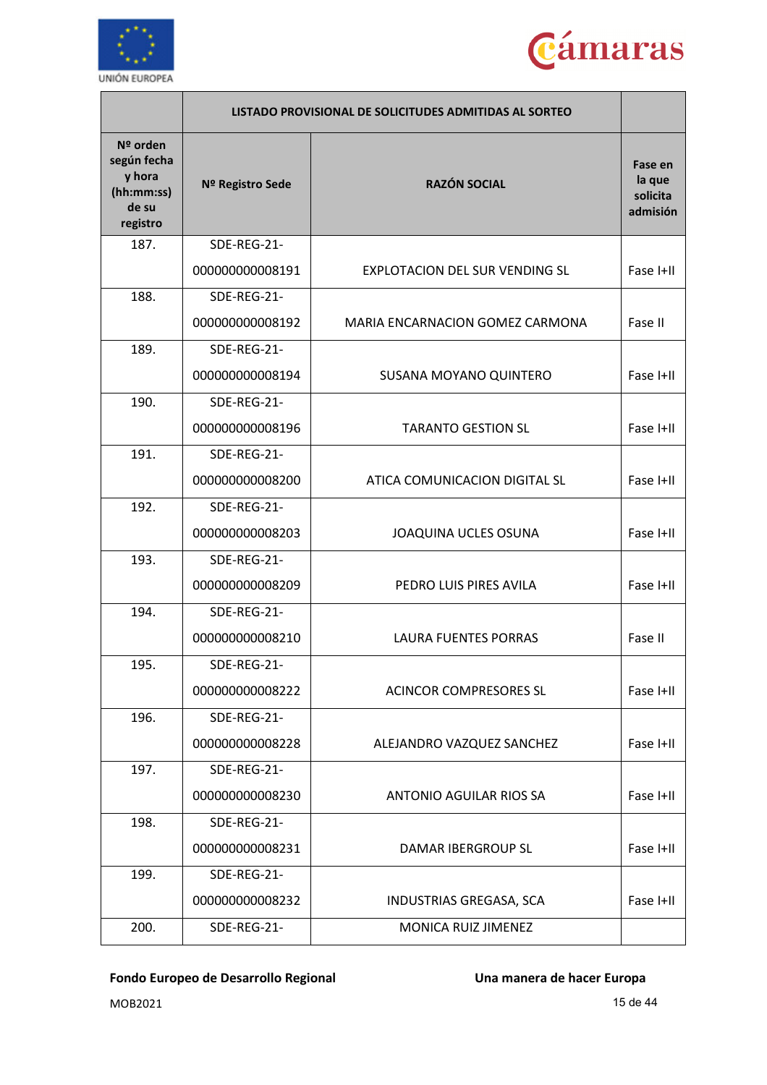



|                                                                      |                  | LISTADO PROVISIONAL DE SOLICITUDES ADMITIDAS AL SORTEO |                                           |
|----------------------------------------------------------------------|------------------|--------------------------------------------------------|-------------------------------------------|
| Nº orden<br>según fecha<br>y hora<br>(hh:mm:ss)<br>de su<br>registro | Nº Registro Sede | <b>RAZÓN SOCIAL</b>                                    | Fase en<br>la que<br>solicita<br>admisión |
| 187.                                                                 | SDE-REG-21-      |                                                        |                                           |
|                                                                      | 000000000008191  | EXPLOTACION DEL SUR VENDING SL                         | Fase I+II                                 |
| 188.                                                                 | SDE-REG-21-      |                                                        |                                           |
|                                                                      | 000000000008192  | MARIA ENCARNACION GOMEZ CARMONA                        | Fase II                                   |
| 189.                                                                 | SDE-REG-21-      |                                                        |                                           |
|                                                                      | 000000000008194  | SUSANA MOYANO QUINTERO                                 | Fase I+II                                 |
| 190.                                                                 | SDE-REG-21-      |                                                        |                                           |
|                                                                      | 000000000008196  | <b>TARANTO GESTION SL</b>                              | Fase I+II                                 |
| 191.                                                                 | SDE-REG-21-      |                                                        |                                           |
|                                                                      | 000000000008200  | ATICA COMUNICACION DIGITAL SL                          | Fase I+II                                 |
| 192.                                                                 | SDE-REG-21-      |                                                        |                                           |
|                                                                      | 000000000008203  | JOAQUINA UCLES OSUNA                                   | Fase I+II                                 |
| 193.                                                                 | SDE-REG-21-      |                                                        |                                           |
|                                                                      | 000000000008209  | PEDRO LUIS PIRES AVILA                                 | Fase I+II                                 |
| 194.                                                                 | SDE-REG-21-      |                                                        |                                           |
|                                                                      | 000000000008210  | <b>LAURA FUENTES PORRAS</b>                            | Fase II                                   |
| 195.                                                                 | SDE-REG-21-      |                                                        |                                           |
|                                                                      | 000000000008222  | <b>ACINCOR COMPRESORES SL</b>                          | Fase I+II                                 |
| 196.                                                                 | SDE-REG-21-      |                                                        |                                           |
|                                                                      | 000000000008228  | ALEJANDRO VAZQUEZ SANCHEZ                              | Fase I+II                                 |
| 197.                                                                 | SDE-REG-21-      |                                                        |                                           |
|                                                                      | 000000000008230  | ANTONIO AGUILAR RIOS SA                                | Fase I+II                                 |
| 198.                                                                 | SDE-REG-21-      |                                                        |                                           |
|                                                                      | 000000000008231  | DAMAR IBERGROUP SL                                     | Fase I+II                                 |
| 199.                                                                 | SDE-REG-21-      |                                                        |                                           |
|                                                                      | 000000000008232  | INDUSTRIAS GREGASA, SCA                                | Fase I+II                                 |
| 200.                                                                 | SDE-REG-21-      | MONICA RUIZ JIMENEZ                                    |                                           |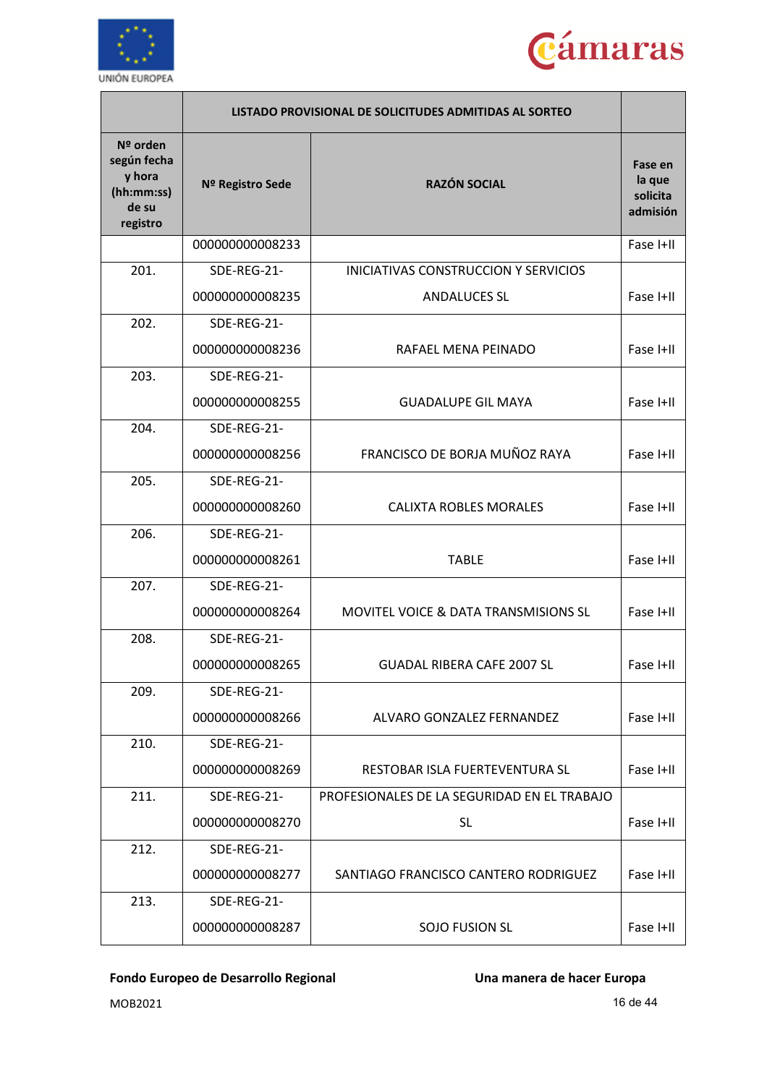



|                                                                      |                  | LISTADO PROVISIONAL DE SOLICITUDES ADMITIDAS AL SORTEO |                                           |
|----------------------------------------------------------------------|------------------|--------------------------------------------------------|-------------------------------------------|
| Nº orden<br>según fecha<br>y hora<br>(hh:mm:ss)<br>de su<br>registro | Nº Registro Sede | <b>RAZÓN SOCIAL</b>                                    | Fase en<br>la que<br>solicita<br>admisión |
|                                                                      | 000000000008233  |                                                        | Fase I+II                                 |
| 201.                                                                 | SDE-REG-21-      | INICIATIVAS CONSTRUCCION Y SERVICIOS                   |                                           |
|                                                                      | 000000000008235  | <b>ANDALUCES SL</b>                                    | Fase I+II                                 |
| 202.                                                                 | SDE-REG-21-      |                                                        |                                           |
|                                                                      | 000000000008236  | RAFAEL MENA PEINADO                                    | Fase I+II                                 |
| 203.                                                                 | SDE-REG-21-      |                                                        |                                           |
|                                                                      | 000000000008255  | <b>GUADALUPE GIL MAYA</b>                              | Fase I+II                                 |
| 204.                                                                 | SDE-REG-21-      |                                                        |                                           |
|                                                                      | 000000000008256  | FRANCISCO DE BORJA MUÑOZ RAYA                          | Fase I+II                                 |
| 205.                                                                 | SDE-REG-21-      |                                                        |                                           |
|                                                                      | 000000000008260  | <b>CALIXTA ROBLES MORALES</b>                          | Fase I+II                                 |
| 206.                                                                 | SDE-REG-21-      |                                                        |                                           |
|                                                                      | 000000000008261  | <b>TABLE</b>                                           | Fase I+II                                 |
| 207.                                                                 | SDE-REG-21-      |                                                        |                                           |
|                                                                      | 000000000008264  | <b>MOVITEL VOICE &amp; DATA TRANSMISIONS SL</b>        | Fase I+II                                 |
| 208.                                                                 | SDE-REG-21-      |                                                        |                                           |
|                                                                      | 000000000008265  | <b>GUADAL RIBERA CAFE 2007 SL</b>                      | Fase I+II                                 |
| 209.                                                                 | SDE-REG-21-      |                                                        |                                           |
|                                                                      | 000000000008266  | ALVARO GONZALEZ FERNANDEZ                              | Fase I+II                                 |
| 210.                                                                 | SDE-REG-21-      |                                                        |                                           |
|                                                                      | 000000000008269  | RESTOBAR ISLA FUERTEVENTURA SL                         | Fase I+II                                 |
| 211.                                                                 | SDE-REG-21-      | PROFESIONALES DE LA SEGURIDAD EN EL TRABAJO            |                                           |
|                                                                      | 000000000008270  | <b>SL</b>                                              | Fase I+II                                 |
| 212.                                                                 | SDE-REG-21-      |                                                        |                                           |
|                                                                      | 000000000008277  | SANTIAGO FRANCISCO CANTERO RODRIGUEZ                   | Fase I+II                                 |
| 213.                                                                 | SDE-REG-21-      |                                                        |                                           |
|                                                                      | 000000000008287  | <b>SOJO FUSION SL</b>                                  | Fase I+II                                 |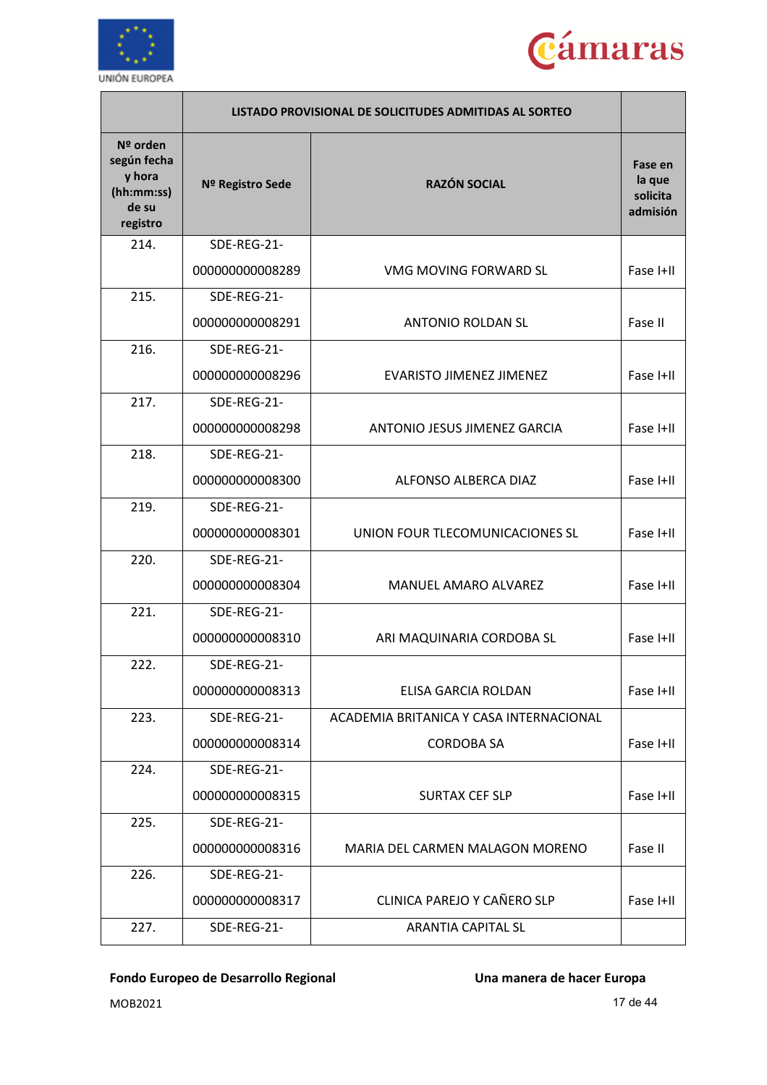



|                                                                      |                  | LISTADO PROVISIONAL DE SOLICITUDES ADMITIDAS AL SORTEO |                                           |
|----------------------------------------------------------------------|------------------|--------------------------------------------------------|-------------------------------------------|
| Nº orden<br>según fecha<br>y hora<br>(hh:mm:ss)<br>de su<br>registro | Nº Registro Sede | <b>RAZÓN SOCIAL</b>                                    | Fase en<br>la que<br>solicita<br>admisión |
| 214.                                                                 | SDE-REG-21-      |                                                        |                                           |
|                                                                      | 000000000008289  | VMG MOVING FORWARD SL                                  | Fase I+II                                 |
| 215.                                                                 | SDE-REG-21-      |                                                        |                                           |
|                                                                      | 000000000008291  | <b>ANTONIO ROLDAN SL</b>                               | Fase II                                   |
| 216.                                                                 | SDE-REG-21-      |                                                        |                                           |
|                                                                      | 000000000008296  | <b>EVARISTO JIMENEZ JIMENEZ</b>                        | Fase I+II                                 |
| 217.                                                                 | SDE-REG-21-      |                                                        |                                           |
|                                                                      | 000000000008298  | ANTONIO JESUS JIMENEZ GARCIA                           | Fase I+II                                 |
| 218.                                                                 | SDE-REG-21-      |                                                        |                                           |
|                                                                      | 000000000008300  | ALFONSO ALBERCA DIAZ                                   | Fase I+II                                 |
| 219.                                                                 | SDE-REG-21-      |                                                        |                                           |
|                                                                      | 000000000008301  | UNION FOUR TLECOMUNICACIONES SL                        | Fase I+II                                 |
| 220.                                                                 | SDE-REG-21-      |                                                        |                                           |
|                                                                      | 000000000008304  | <b>MANUEL AMARO ALVAREZ</b>                            | Fase I+II                                 |
| 221.                                                                 | SDE-REG-21-      |                                                        |                                           |
|                                                                      | 000000000008310  | ARI MAQUINARIA CORDOBA SL                              | Fase I+II                                 |
| 222.                                                                 | SDE-REG-21-      |                                                        |                                           |
|                                                                      | 000000000008313  | ELISA GARCIA ROLDAN                                    | Fase I+II                                 |
| 223.                                                                 | SDE-REG-21-      | ACADEMIA BRITANICA Y CASA INTERNACIONAL                |                                           |
|                                                                      | 000000000008314  | <b>CORDOBA SA</b>                                      | Fase I+II                                 |
| 224.                                                                 | SDE-REG-21-      |                                                        |                                           |
|                                                                      | 000000000008315  | <b>SURTAX CEF SLP</b>                                  | Fase I+II                                 |
| 225.                                                                 | SDE-REG-21-      |                                                        |                                           |
|                                                                      | 000000000008316  | MARIA DEL CARMEN MALAGON MORENO                        | Fase II                                   |
| 226.                                                                 | SDE-REG-21-      |                                                        |                                           |
|                                                                      | 000000000008317  | CLINICA PAREJO Y CAÑERO SLP                            | Fase I+II                                 |
| 227.                                                                 | SDE-REG-21-      | <b>ARANTIA CAPITAL SL</b>                              |                                           |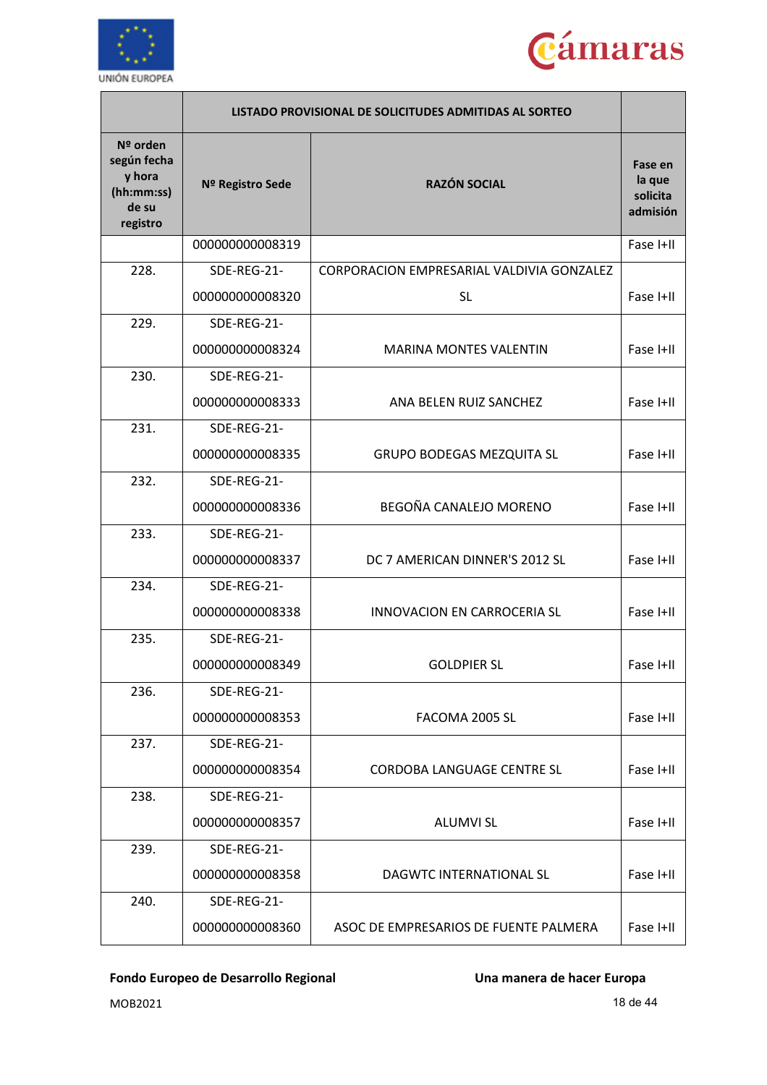



|                                                                      | LISTADO PROVISIONAL DE SOLICITUDES ADMITIDAS AL SORTEO |                                           |                                           |
|----------------------------------------------------------------------|--------------------------------------------------------|-------------------------------------------|-------------------------------------------|
| Nº orden<br>según fecha<br>y hora<br>(hh:mm:ss)<br>de su<br>registro | Nº Registro Sede                                       | <b>RAZÓN SOCIAL</b>                       | Fase en<br>la que<br>solicita<br>admisión |
|                                                                      | 000000000008319                                        |                                           | Fase I+II                                 |
| 228.                                                                 | SDE-REG-21-                                            | CORPORACION EMPRESARIAL VALDIVIA GONZALEZ |                                           |
|                                                                      | 000000000008320                                        | <b>SL</b>                                 | Fase I+II                                 |
| 229.                                                                 | SDE-REG-21-                                            |                                           |                                           |
|                                                                      | 000000000008324                                        | <b>MARINA MONTES VALENTIN</b>             | Fase I+II                                 |
| 230.                                                                 | SDE-REG-21-                                            |                                           |                                           |
|                                                                      | 000000000008333                                        | ANA BELEN RUIZ SANCHEZ                    | Fase I+II                                 |
| 231.                                                                 | SDE-REG-21-                                            |                                           |                                           |
|                                                                      | 000000000008335                                        | <b>GRUPO BODEGAS MEZQUITA SL</b>          | Fase I+II                                 |
| 232.                                                                 | SDE-REG-21-                                            |                                           |                                           |
|                                                                      | 000000000008336                                        | BEGOÑA CANALEJO MORENO                    | Fase I+II                                 |
| 233.                                                                 | SDE-REG-21-                                            |                                           |                                           |
|                                                                      | 000000000008337                                        | DC 7 AMERICAN DINNER'S 2012 SL            | Fase I+II                                 |
| 234.                                                                 | SDE-REG-21-                                            |                                           |                                           |
|                                                                      | 000000000008338                                        | <b>INNOVACION EN CARROCERIA SL</b>        | Fase I+II                                 |
| 235.                                                                 | SDE-REG-21-                                            |                                           |                                           |
|                                                                      | 000000000008349                                        | <b>GOLDPIER SL</b>                        | Fase I+II                                 |
| 236.                                                                 | SDE-REG-21-                                            |                                           |                                           |
|                                                                      | 000000000008353                                        | FACOMA 2005 SL                            | Fase I+II                                 |
| 237.                                                                 | SDE-REG-21-                                            |                                           |                                           |
|                                                                      | 000000000008354                                        | CORDOBA LANGUAGE CENTRE SL                | Fase I+II                                 |
| 238.                                                                 | SDE-REG-21-                                            |                                           |                                           |
|                                                                      | 000000000008357                                        | <b>ALUMVI SL</b>                          | Fase I+II                                 |
| 239.                                                                 | SDE-REG-21-                                            |                                           |                                           |
|                                                                      | 000000000008358                                        | DAGWTC INTERNATIONAL SL                   | Fase I+II                                 |
| 240.                                                                 | SDE-REG-21-                                            |                                           |                                           |
|                                                                      | 000000000008360                                        | ASOC DE EMPRESARIOS DE FUENTE PALMERA     | Fase I+II                                 |

 $MOB2021$  and  $18 \text{ de } 44$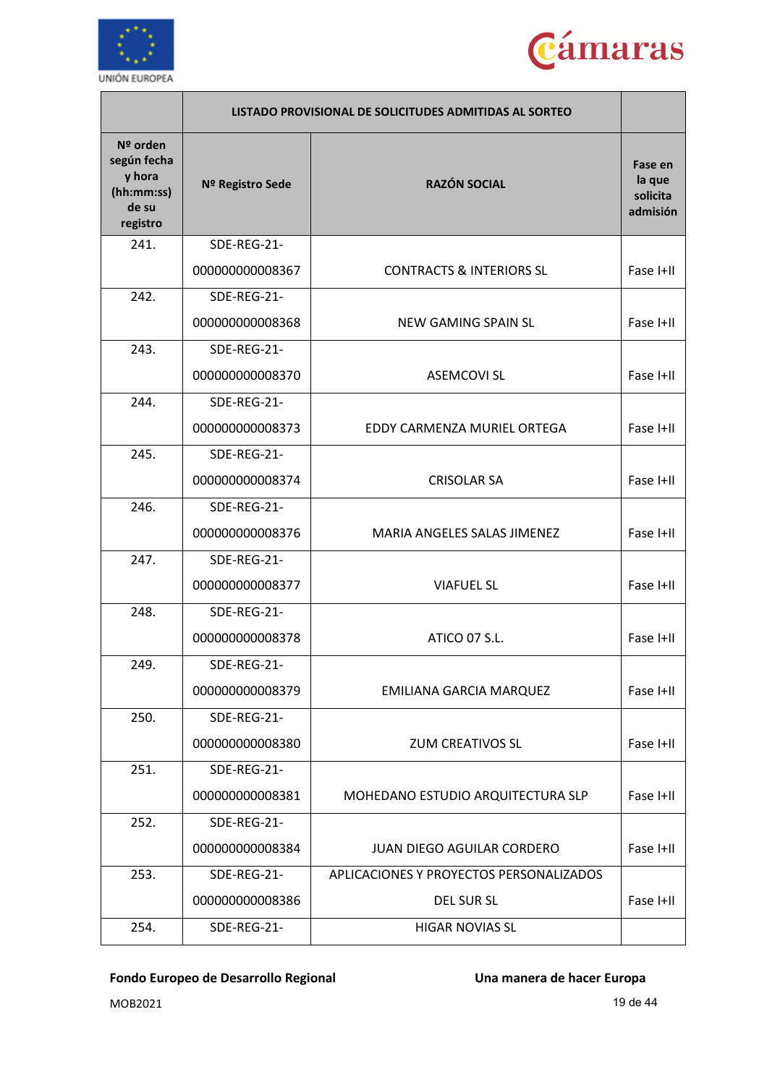



|                                                                      | LISTADO PROVISIONAL DE SOLICITUDES ADMITIDAS AL SORTEO |                                         |                                           |
|----------------------------------------------------------------------|--------------------------------------------------------|-----------------------------------------|-------------------------------------------|
| Nº orden<br>según fecha<br>y hora<br>(hh:mm:ss)<br>de su<br>registro | Nº Registro Sede                                       | <b>RAZÓN SOCIAL</b>                     | Fase en<br>la que<br>solicita<br>admisión |
| 241.                                                                 | SDE-REG-21-                                            |                                         |                                           |
|                                                                      | 000000000008367                                        | <b>CONTRACTS &amp; INTERIORS SL</b>     | Fase I+II                                 |
| 242.                                                                 | SDE-REG-21-                                            |                                         |                                           |
|                                                                      | 000000000008368                                        | NEW GAMING SPAIN SL                     | Fase I+II                                 |
| 243.                                                                 | SDE-REG-21-                                            |                                         |                                           |
|                                                                      | 000000000008370                                        | <b>ASEMCOVI SL</b>                      | Fase I+II                                 |
| 244.                                                                 | SDE-REG-21-                                            |                                         |                                           |
|                                                                      | 000000000008373                                        | EDDY CARMENZA MURIEL ORTEGA             | Fase I+II                                 |
| 245.                                                                 | SDE-REG-21-                                            |                                         |                                           |
|                                                                      | 000000000008374                                        | <b>CRISOLAR SA</b>                      | Fase I+II                                 |
| 246.                                                                 | SDE-REG-21-                                            |                                         |                                           |
|                                                                      | 000000000008376                                        | MARIA ANGELES SALAS JIMENEZ             | Fase I+II                                 |
| 247.                                                                 | SDE-REG-21-                                            |                                         |                                           |
|                                                                      | 000000000008377                                        | <b>VIAFUEL SL</b>                       | Fase I+II                                 |
| 248.                                                                 | SDE-REG-21-                                            |                                         |                                           |
|                                                                      | 000000000008378                                        | ATICO 07 S.L.                           | Fase I+II                                 |
| 249.                                                                 | SDE-REG-21-                                            |                                         |                                           |
|                                                                      | 000000000008379                                        | <b>EMILIANA GARCIA MARQUEZ</b>          | Fase I+II                                 |
| 250.                                                                 | SDE-REG-21-                                            |                                         |                                           |
|                                                                      | 000000000008380                                        | <b>ZUM CREATIVOS SL</b>                 | Fase I+II                                 |
| 251.                                                                 | SDE-REG-21-                                            |                                         |                                           |
|                                                                      | 000000000008381                                        | MOHEDANO ESTUDIO ARQUITECTURA SLP       | Fase I+II                                 |
| 252.                                                                 | SDE-REG-21-                                            |                                         |                                           |
|                                                                      | 000000000008384                                        | <b>JUAN DIEGO AGUILAR CORDERO</b>       | Fase I+II                                 |
| 253.                                                                 | SDE-REG-21-                                            | APLICACIONES Y PROYECTOS PERSONALIZADOS |                                           |
|                                                                      | 000000000008386                                        | DEL SUR SL                              | Fase I+II                                 |
| 254.                                                                 | SDE-REG-21-                                            | <b>HIGAR NOVIAS SL</b>                  |                                           |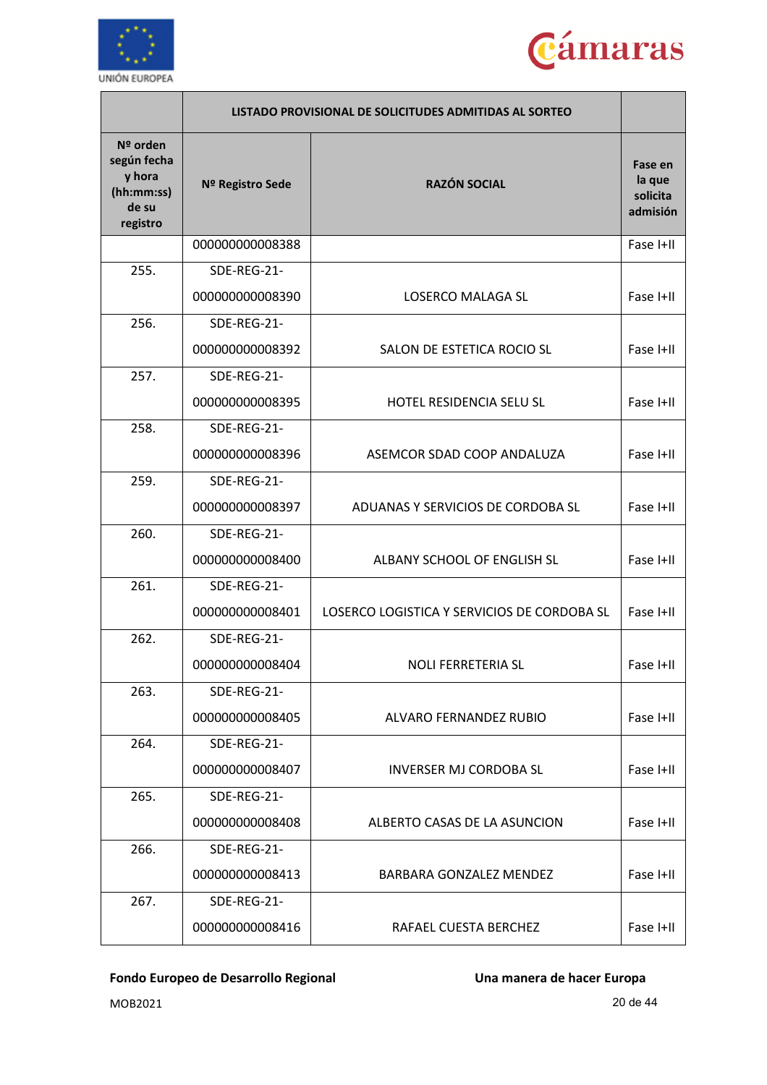



|                                                                      | LISTADO PROVISIONAL DE SOLICITUDES ADMITIDAS AL SORTEO |                                             |                                           |
|----------------------------------------------------------------------|--------------------------------------------------------|---------------------------------------------|-------------------------------------------|
| Nº orden<br>según fecha<br>y hora<br>(hh:mm:ss)<br>de su<br>registro | Nº Registro Sede                                       | <b>RAZÓN SOCIAL</b>                         | Fase en<br>la que<br>solicita<br>admisión |
|                                                                      | 000000000008388                                        |                                             | Fase I+II                                 |
| 255.                                                                 | SDE-REG-21-                                            |                                             |                                           |
|                                                                      | 000000000008390                                        | LOSERCO MALAGA SL                           | Fase I+II                                 |
| 256.                                                                 | SDE-REG-21-                                            |                                             |                                           |
|                                                                      | 000000000008392                                        | SALON DE ESTETICA ROCIO SL                  | Fase I+II                                 |
| 257.                                                                 | SDE-REG-21-                                            |                                             |                                           |
|                                                                      | 000000000008395                                        | <b>HOTEL RESIDENCIA SELU SL</b>             | Fase I+II                                 |
| 258.                                                                 | SDE-REG-21-                                            |                                             |                                           |
|                                                                      | 000000000008396                                        | ASEMCOR SDAD COOP ANDALUZA                  | Fase I+II                                 |
| 259.                                                                 | SDE-REG-21-                                            |                                             |                                           |
|                                                                      | 000000000008397                                        | ADUANAS Y SERVICIOS DE CORDOBA SL           | Fase I+II                                 |
| 260.                                                                 | SDE-REG-21-                                            |                                             |                                           |
|                                                                      | 000000000008400                                        | ALBANY SCHOOL OF ENGLISH SL                 | Fase I+II                                 |
| 261.                                                                 | SDE-REG-21-                                            |                                             |                                           |
|                                                                      | 000000000008401                                        | LOSERCO LOGISTICA Y SERVICIOS DE CORDOBA SL | Fase I+II                                 |
| 262.                                                                 | SDE-REG-21-                                            |                                             |                                           |
|                                                                      | 00000000008404                                         | <b>NOLI FERRETERIA SL</b>                   | Fase I+II                                 |
| 263.                                                                 | SDE-REG-21-                                            |                                             |                                           |
|                                                                      | 000000000008405                                        | ALVARO FERNANDEZ RUBIO                      | Fase I+II                                 |
| 264.                                                                 | SDE-REG-21-                                            |                                             |                                           |
|                                                                      | 000000000008407                                        | <b>INVERSER MJ CORDOBA SL</b>               | Fase I+II                                 |
| 265.                                                                 | SDE-REG-21-                                            |                                             |                                           |
|                                                                      | 000000000008408                                        | ALBERTO CASAS DE LA ASUNCION                | Fase I+II                                 |
| 266.                                                                 | SDE-REG-21-                                            |                                             |                                           |
|                                                                      | 000000000008413                                        | BARBARA GONZALEZ MENDEZ                     | Fase I+II                                 |
| 267.                                                                 | SDE-REG-21-                                            |                                             |                                           |
|                                                                      | 000000000008416                                        | RAFAEL CUESTA BERCHEZ                       | Fase I+II                                 |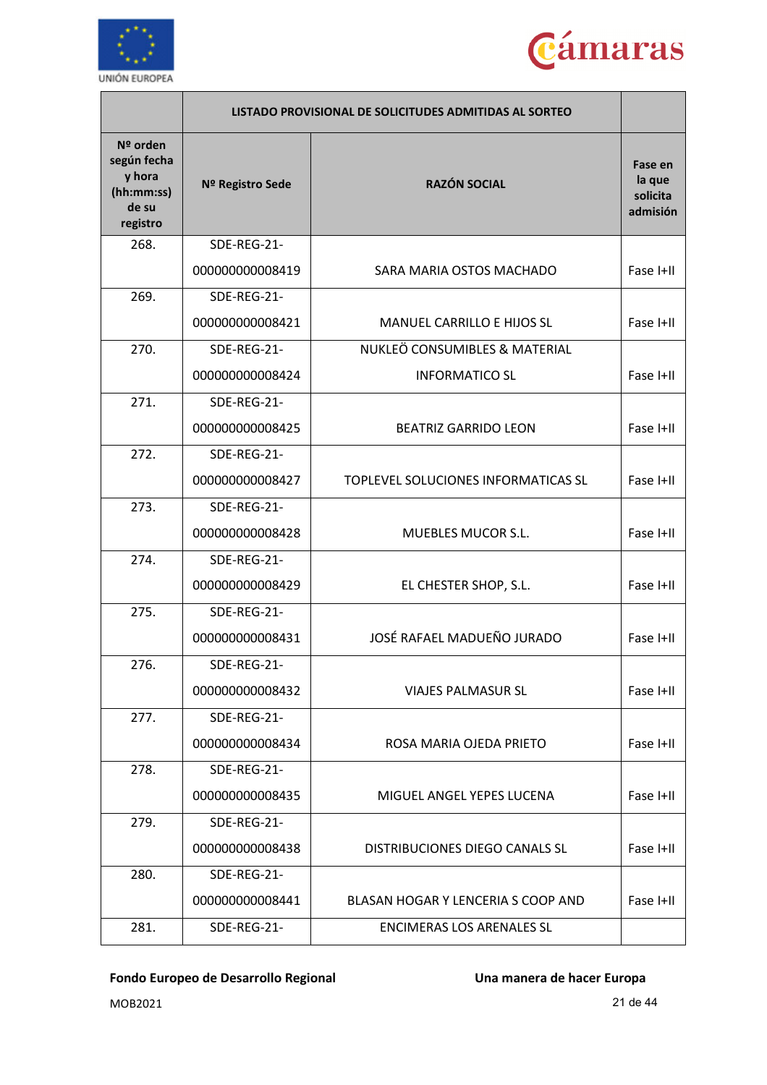



|                                                                      |                  | LISTADO PROVISIONAL DE SOLICITUDES ADMITIDAS AL SORTEO |                                           |
|----------------------------------------------------------------------|------------------|--------------------------------------------------------|-------------------------------------------|
| Nº orden<br>según fecha<br>y hora<br>(hh:mm:ss)<br>de su<br>registro | Nº Registro Sede | <b>RAZÓN SOCIAL</b>                                    | Fase en<br>la que<br>solicita<br>admisión |
| 268.                                                                 | SDE-REG-21-      |                                                        |                                           |
|                                                                      | 000000000008419  | SARA MARIA OSTOS MACHADO                               | Fase I+II                                 |
| 269.                                                                 | SDE-REG-21-      |                                                        |                                           |
|                                                                      | 000000000008421  | MANUEL CARRILLO E HIJOS SL                             | Fase I+II                                 |
| 270.                                                                 | SDE-REG-21-      | NUKLEÖ CONSUMIBLES & MATERIAL                          |                                           |
|                                                                      | 000000000008424  | <b>INFORMATICO SL</b>                                  | Fase I+II                                 |
| 271.                                                                 | SDE-REG-21-      |                                                        |                                           |
|                                                                      | 000000000008425  | <b>BEATRIZ GARRIDO LEON</b>                            | Fase I+II                                 |
| 272.                                                                 | SDE-REG-21-      |                                                        |                                           |
|                                                                      | 000000000008427  | TOPLEVEL SOLUCIONES INFORMATICAS SL                    | Fase I+II                                 |
| 273.                                                                 | SDE-REG-21-      |                                                        |                                           |
|                                                                      | 000000000008428  | <b>MUEBLES MUCOR S.L.</b>                              | Fase I+II                                 |
| 274.                                                                 | SDE-REG-21-      |                                                        |                                           |
|                                                                      | 000000000008429  | EL CHESTER SHOP, S.L.                                  | Fase I+II                                 |
| 275.                                                                 | SDE-REG-21-      |                                                        |                                           |
|                                                                      | 000000000008431  | JOSÉ RAFAEL MADUEÑO JURADO                             | Fase I+II                                 |
| 276.                                                                 | SDE-REG-21-      |                                                        |                                           |
|                                                                      | 000000000008432  | <b>VIAJES PALMASUR SL</b>                              | Fase I+II                                 |
| 277.                                                                 | SDE-REG-21-      |                                                        |                                           |
|                                                                      | 000000000008434  | ROSA MARIA OJEDA PRIETO                                | Fase I+II                                 |
| 278.                                                                 | SDE-REG-21-      |                                                        |                                           |
|                                                                      | 000000000008435  | MIGUEL ANGEL YEPES LUCENA                              | Fase I+II                                 |
| 279.                                                                 | SDE-REG-21-      |                                                        |                                           |
|                                                                      | 000000000008438  | DISTRIBUCIONES DIEGO CANALS SL                         | Fase I+II                                 |
| 280.                                                                 | SDE-REG-21-      |                                                        |                                           |
|                                                                      | 000000000008441  | BLASAN HOGAR Y LENCERIA S COOP AND                     | Fase I+II                                 |
| 281.                                                                 | SDE-REG-21-      | <b>ENCIMERAS LOS ARENALES SL</b>                       |                                           |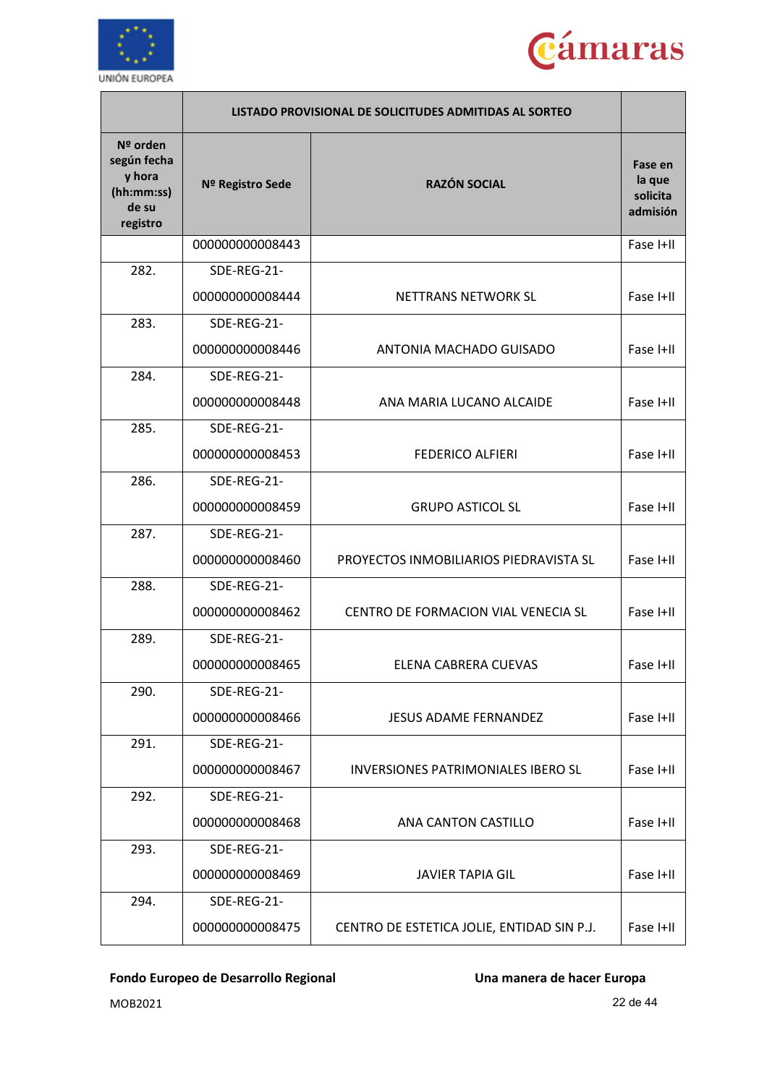



|                                                                      | LISTADO PROVISIONAL DE SOLICITUDES ADMITIDAS AL SORTEO |                                            |                                           |
|----------------------------------------------------------------------|--------------------------------------------------------|--------------------------------------------|-------------------------------------------|
| Nº orden<br>según fecha<br>y hora<br>(hh:mm:ss)<br>de su<br>registro | Nº Registro Sede                                       | <b>RAZÓN SOCIAL</b>                        | Fase en<br>la que<br>solicita<br>admisión |
|                                                                      | 000000000008443                                        |                                            | Fase I+II                                 |
| 282.                                                                 | SDE-REG-21-                                            |                                            |                                           |
|                                                                      | 000000000008444                                        | NETTRANS NETWORK SL                        | Fase I+II                                 |
| 283.                                                                 | SDE-REG-21-                                            |                                            |                                           |
|                                                                      | 000000000008446                                        | ANTONIA MACHADO GUISADO                    | Fase I+II                                 |
| 284.                                                                 | SDE-REG-21-                                            |                                            |                                           |
|                                                                      | 000000000008448                                        | ANA MARIA LUCANO ALCAIDE                   | Fase I+II                                 |
| 285.                                                                 | SDE-REG-21-                                            |                                            |                                           |
|                                                                      | 000000000008453                                        | <b>FEDERICO ALFIERI</b>                    | Fase I+II                                 |
| 286.                                                                 | SDE-REG-21-                                            |                                            |                                           |
|                                                                      | 000000000008459                                        | <b>GRUPO ASTICOL SL</b>                    | Fase I+II                                 |
| 287.                                                                 | SDE-REG-21-                                            |                                            |                                           |
|                                                                      | 000000000008460                                        | PROYECTOS INMOBILIARIOS PIEDRAVISTA SL     | Fase I+II                                 |
| 288.                                                                 | SDE-REG-21-                                            |                                            |                                           |
|                                                                      | 000000000008462                                        | CENTRO DE FORMACION VIAL VENECIA SL        | Fase I+II                                 |
| 289.                                                                 | SDE-REG-21-                                            |                                            |                                           |
|                                                                      | 000000000008465                                        | ELENA CABRERA CUEVAS                       | Fase I+II                                 |
| 290.                                                                 | SDE-REG-21-                                            |                                            |                                           |
|                                                                      | 000000000008466                                        | <b>JESUS ADAME FERNANDEZ</b>               | Fase I+II                                 |
| 291.                                                                 | SDE-REG-21-                                            |                                            |                                           |
|                                                                      | 000000000008467                                        | <b>INVERSIONES PATRIMONIALES IBERO SL</b>  | Fase I+II                                 |
| 292.                                                                 | SDE-REG-21-                                            |                                            |                                           |
|                                                                      | 000000000008468                                        | ANA CANTON CASTILLO                        | Fase I+II                                 |
| 293.                                                                 | SDE-REG-21-                                            |                                            |                                           |
|                                                                      | 000000000008469                                        | <b>JAVIER TAPIA GIL</b>                    | Fase I+II                                 |
| 294.                                                                 | SDE-REG-21-                                            |                                            |                                           |
|                                                                      | 000000000008475                                        | CENTRO DE ESTETICA JOLIE, ENTIDAD SIN P.J. | Fase I+II                                 |

MOB2021 22 de 44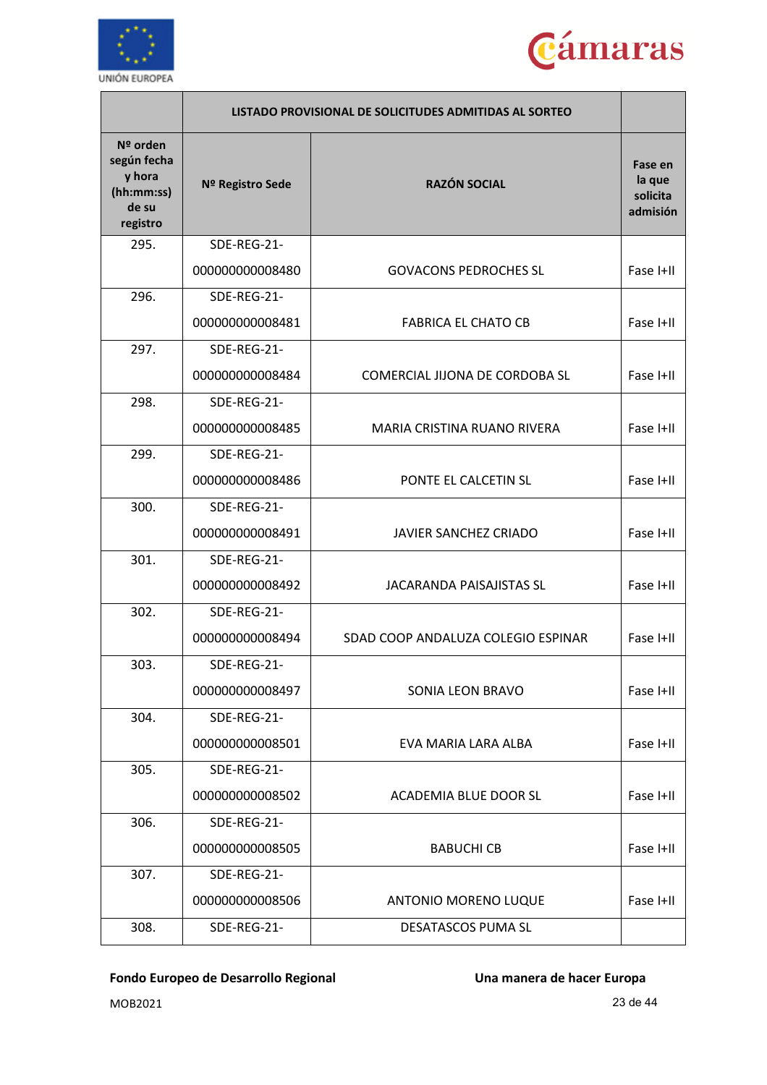



|                                                                      | LISTADO PROVISIONAL DE SOLICITUDES ADMITIDAS AL SORTEO |                                    |                                           |
|----------------------------------------------------------------------|--------------------------------------------------------|------------------------------------|-------------------------------------------|
| Nº orden<br>según fecha<br>y hora<br>(hh:mm:ss)<br>de su<br>registro | Nº Registro Sede                                       | <b>RAZÓN SOCIAL</b>                | Fase en<br>la que<br>solicita<br>admisión |
| 295.                                                                 | SDE-REG-21-                                            |                                    |                                           |
|                                                                      | 000000000008480                                        | <b>GOVACONS PEDROCHES SL</b>       | Fase I+II                                 |
| 296.                                                                 | SDE-REG-21-                                            |                                    |                                           |
|                                                                      | 000000000008481                                        | <b>FABRICA EL CHATO CB</b>         | Fase I+II                                 |
| 297.                                                                 | SDE-REG-21-                                            |                                    |                                           |
|                                                                      | 000000000008484                                        | COMERCIAL JIJONA DE CORDOBA SL     | Fase I+II                                 |
| 298.                                                                 | SDE-REG-21-                                            |                                    |                                           |
|                                                                      | 000000000008485                                        | MARIA CRISTINA RUANO RIVERA        | Fase I+II                                 |
| 299.                                                                 | SDE-REG-21-                                            |                                    |                                           |
|                                                                      | 000000000008486                                        | PONTE EL CALCETIN SL               | Fase I+II                                 |
| 300.                                                                 | SDE-REG-21-                                            |                                    |                                           |
|                                                                      | 000000000008491                                        | <b>JAVIER SANCHEZ CRIADO</b>       | Fase I+II                                 |
| 301.                                                                 | SDE-REG-21-                                            |                                    |                                           |
|                                                                      | 000000000008492                                        | <b>JACARANDA PAISAJISTAS SL</b>    | Fase I+II                                 |
| 302.                                                                 | SDE-REG-21-                                            |                                    |                                           |
|                                                                      | 000000000008494                                        | SDAD COOP ANDALUZA COLEGIO ESPINAR | Fase I+II                                 |
| 303.                                                                 | SDE-REG-21-                                            |                                    |                                           |
|                                                                      | 000000000008497                                        | SONIA LEON BRAVO                   | Fase I+II                                 |
| 304.                                                                 | SDE-REG-21-                                            |                                    |                                           |
|                                                                      | 000000000008501                                        | EVA MARIA LARA ALBA                | Fase I+II                                 |
| 305.                                                                 | SDE-REG-21-                                            |                                    |                                           |
|                                                                      | 000000000008502                                        | ACADEMIA BLUE DOOR SL              | Fase I+II                                 |
| 306.                                                                 | SDE-REG-21-                                            |                                    |                                           |
|                                                                      | 000000000008505                                        | <b>BABUCHI CB</b>                  | Fase I+II                                 |
| 307.                                                                 | SDE-REG-21-                                            |                                    |                                           |
|                                                                      | 000000000008506                                        | <b>ANTONIO MORENO LUQUE</b>        | Fase I+II                                 |
| 308.                                                                 | SDE-REG-21-                                            | DESATASCOS PUMA SL                 |                                           |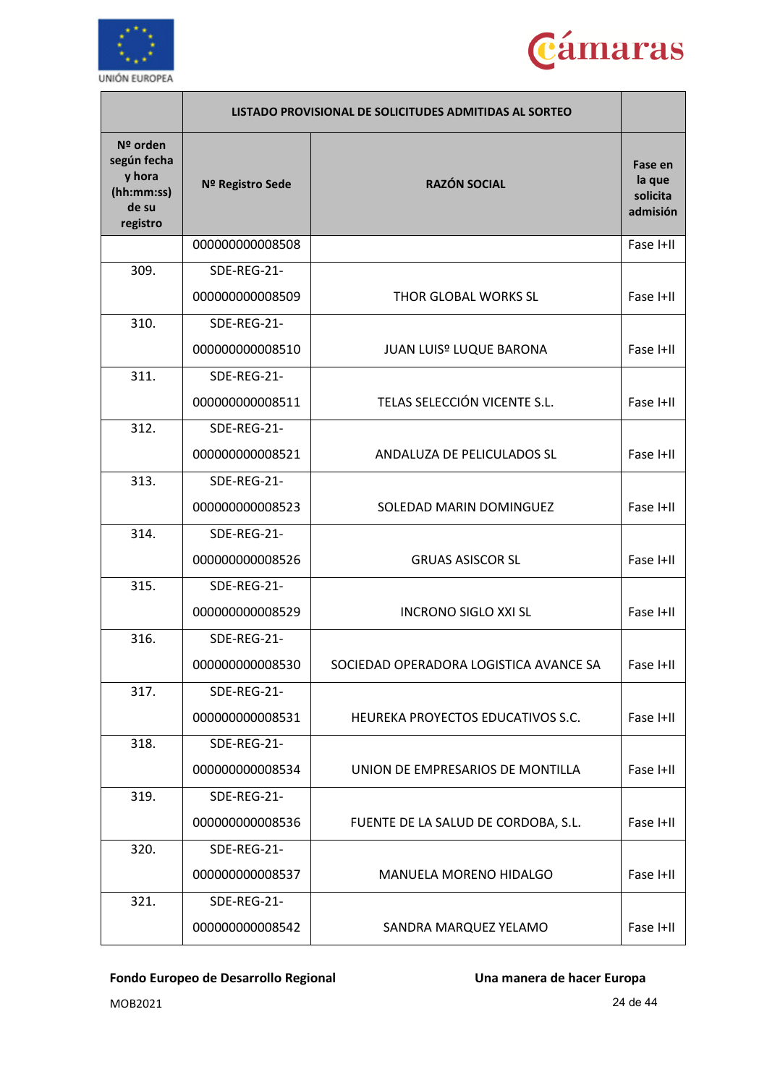



|                                                                      |                  | LISTADO PROVISIONAL DE SOLICITUDES ADMITIDAS AL SORTEO |                                           |
|----------------------------------------------------------------------|------------------|--------------------------------------------------------|-------------------------------------------|
| Nº orden<br>según fecha<br>y hora<br>(hh:mm:ss)<br>de su<br>registro | Nº Registro Sede | <b>RAZÓN SOCIAL</b>                                    | Fase en<br>la que<br>solicita<br>admisión |
|                                                                      | 000000000008508  |                                                        | Fase I+II                                 |
| 309.                                                                 | SDE-REG-21-      |                                                        |                                           |
|                                                                      | 000000000008509  | <b>THOR GLOBAL WORKS SL</b>                            | Fase I+II                                 |
| 310.                                                                 | SDE-REG-21-      |                                                        |                                           |
|                                                                      | 000000000008510  | <b>JUAN LUIS<sup>º</sup> LUQUE BARONA</b>              | Fase I+II                                 |
| 311.                                                                 | SDE-REG-21-      |                                                        |                                           |
|                                                                      | 000000000008511  | TELAS SELECCIÓN VICENTE S.L.                           | Fase I+II                                 |
| 312.                                                                 | SDE-REG-21-      |                                                        |                                           |
|                                                                      | 000000000008521  | ANDALUZA DE PELICULADOS SL                             | Fase I+II                                 |
| 313.                                                                 | SDE-REG-21-      |                                                        |                                           |
|                                                                      | 000000000008523  | SOLEDAD MARIN DOMINGUEZ                                | Fase I+II                                 |
| 314.                                                                 | SDE-REG-21-      |                                                        |                                           |
|                                                                      | 000000000008526  | <b>GRUAS ASISCOR SL</b>                                | Fase I+II                                 |
| 315.                                                                 | SDE-REG-21-      |                                                        |                                           |
|                                                                      | 000000000008529  | <b>INCRONO SIGLO XXI SL</b>                            | Fase I+II                                 |
| 316.                                                                 | SDE-REG-21-      |                                                        |                                           |
|                                                                      | 000000000008530  | SOCIEDAD OPERADORA LOGISTICA AVANCE SA                 | Fase I+II                                 |
| 317.                                                                 | SDE-REG-21-      |                                                        |                                           |
|                                                                      | 000000000008531  | HEUREKA PROYECTOS EDUCATIVOS S.C.                      | Fase I+II                                 |
| 318.                                                                 | SDE-REG-21-      |                                                        |                                           |
|                                                                      | 000000000008534  | UNION DE EMPRESARIOS DE MONTILLA                       | Fase I+II                                 |
| 319.                                                                 | SDE-REG-21-      |                                                        |                                           |
|                                                                      | 000000000008536  | FUENTE DE LA SALUD DE CORDOBA, S.L.                    | Fase I+II                                 |
| 320.                                                                 | SDE-REG-21-      |                                                        |                                           |
|                                                                      | 000000000008537  | MANUELA MORENO HIDALGO                                 | Fase I+II                                 |
| 321.                                                                 | SDE-REG-21-      |                                                        |                                           |
|                                                                      | 000000000008542  | SANDRA MARQUEZ YELAMO                                  | Fase I+II                                 |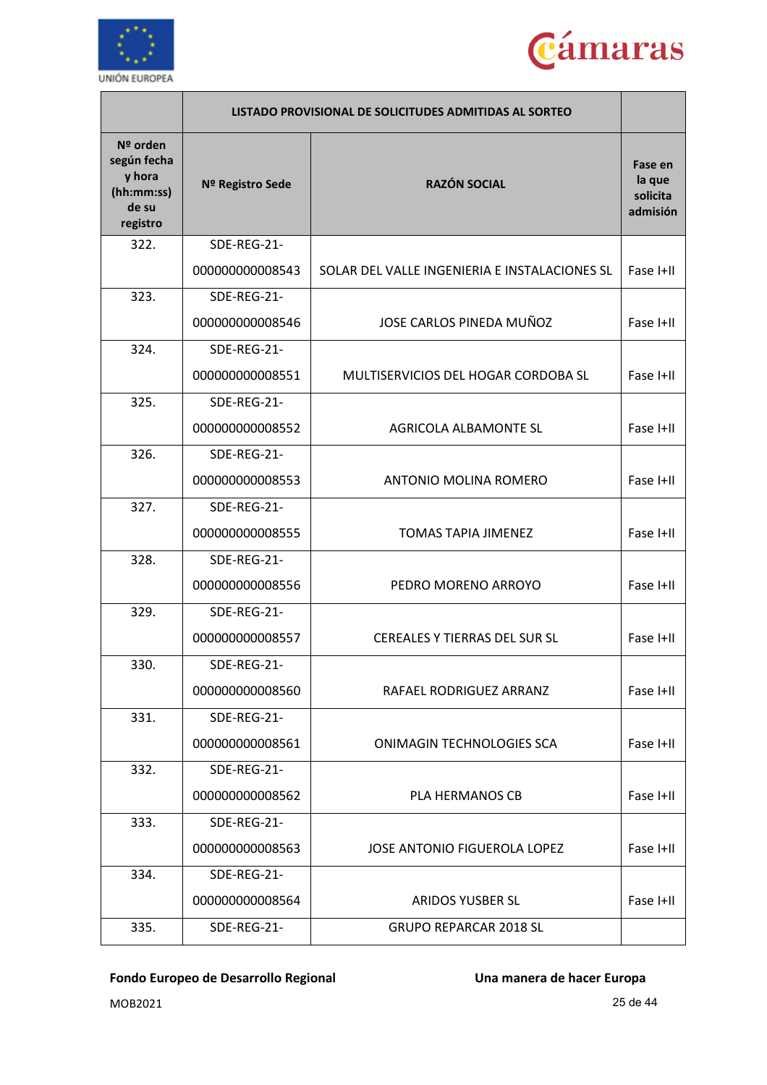



|                                                                      | LISTADO PROVISIONAL DE SOLICITUDES ADMITIDAS AL SORTEO |                                               |                                           |
|----------------------------------------------------------------------|--------------------------------------------------------|-----------------------------------------------|-------------------------------------------|
| Nº orden<br>según fecha<br>y hora<br>(hh:mm:ss)<br>de su<br>registro | Nº Registro Sede                                       | <b>RAZÓN SOCIAL</b>                           | Fase en<br>la que<br>solicita<br>admisión |
| 322.                                                                 | SDE-REG-21-                                            |                                               |                                           |
|                                                                      | 000000000008543                                        | SOLAR DEL VALLE INGENIERIA E INSTALACIONES SL | Fase I+II                                 |
| 323.                                                                 | SDE-REG-21-                                            |                                               |                                           |
|                                                                      | 000000000008546                                        | JOSE CARLOS PINEDA MUÑOZ                      | Fase I+II                                 |
| 324.                                                                 | SDE-REG-21-                                            |                                               |                                           |
|                                                                      | 000000000008551                                        | MULTISERVICIOS DEL HOGAR CORDOBA SL           | Fase I+II                                 |
| 325.                                                                 | SDE-REG-21-                                            |                                               |                                           |
|                                                                      | 000000000008552                                        | AGRICOLA ALBAMONTE SL                         | Fase I+II                                 |
| 326.                                                                 | SDE-REG-21-                                            |                                               |                                           |
|                                                                      | 000000000008553                                        | ANTONIO MOLINA ROMERO                         | Fase I+II                                 |
| 327.                                                                 | SDE-REG-21-                                            |                                               |                                           |
|                                                                      | 000000000008555                                        | <b>TOMAS TAPIA JIMENEZ</b>                    | Fase I+II                                 |
| 328.                                                                 | SDE-REG-21-                                            |                                               |                                           |
|                                                                      | 000000000008556                                        | PEDRO MORENO ARROYO                           | Fase I+II                                 |
| 329.                                                                 | SDE-REG-21-                                            |                                               |                                           |
|                                                                      | 000000000008557                                        | <b>CEREALES Y TIERRAS DEL SUR SL</b>          | Fase I+II                                 |
| 330.                                                                 | SDE-REG-21-                                            |                                               |                                           |
|                                                                      | 000000000008560                                        | RAFAEL RODRIGUEZ ARRANZ                       | Fase I+II                                 |
| 331.                                                                 | SDE-REG-21-                                            |                                               |                                           |
|                                                                      | 000000000008561                                        | <b>ONIMAGIN TECHNOLOGIES SCA</b>              | Fase I+II                                 |
| 332.                                                                 | SDE-REG-21-                                            |                                               |                                           |
|                                                                      | 000000000008562                                        | PLA HERMANOS CB                               | Fase I+II                                 |
| 333.                                                                 | SDE-REG-21-                                            |                                               |                                           |
|                                                                      | 000000000008563                                        | <b>JOSE ANTONIO FIGUEROLA LOPEZ</b>           | Fase I+II                                 |
| 334.                                                                 | SDE-REG-21-                                            |                                               |                                           |
|                                                                      | 000000000008564                                        | ARIDOS YUSBER SL                              | Fase I+II                                 |
| 335.                                                                 | SDE-REG-21-                                            | <b>GRUPO REPARCAR 2018 SL</b>                 |                                           |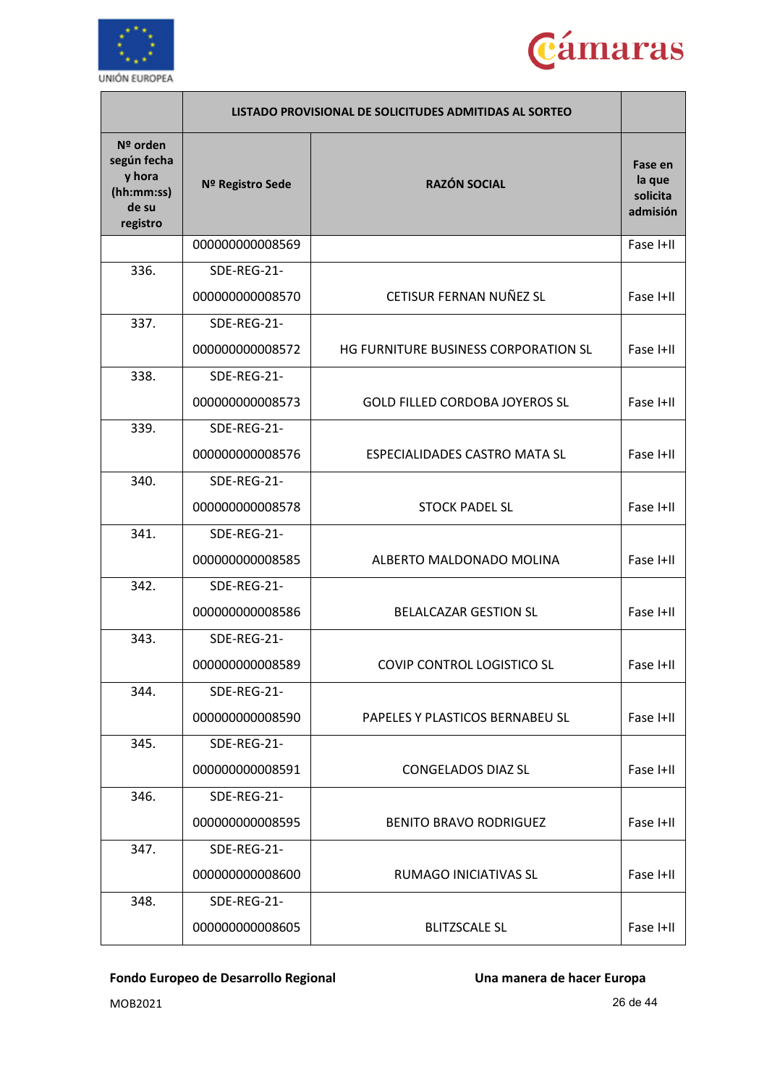



|                                                                      |                  | LISTADO PROVISIONAL DE SOLICITUDES ADMITIDAS AL SORTEO |                                           |
|----------------------------------------------------------------------|------------------|--------------------------------------------------------|-------------------------------------------|
| Nº orden<br>según fecha<br>y hora<br>(hh:mm:ss)<br>de su<br>registro | Nº Registro Sede | <b>RAZÓN SOCIAL</b>                                    | Fase en<br>la que<br>solicita<br>admisión |
|                                                                      | 000000000008569  |                                                        | Fase I+II                                 |
| 336.                                                                 | SDE-REG-21-      |                                                        |                                           |
|                                                                      | 000000000008570  | CETISUR FERNAN NUÑEZ SL                                | Fase I+II                                 |
| 337.                                                                 | SDE-REG-21-      |                                                        |                                           |
|                                                                      | 000000000008572  | HG FURNITURE BUSINESS CORPORATION SL                   | Fase I+II                                 |
| 338.                                                                 | SDE-REG-21-      |                                                        |                                           |
|                                                                      | 000000000008573  | <b>GOLD FILLED CORDOBA JOYEROS SL</b>                  | Fase I+II                                 |
| 339.                                                                 | SDE-REG-21-      |                                                        |                                           |
|                                                                      | 000000000008576  | <b>ESPECIALIDADES CASTRO MATA SL</b>                   | Fase I+II                                 |
| 340.                                                                 | SDE-REG-21-      |                                                        |                                           |
|                                                                      | 000000000008578  | <b>STOCK PADEL SL</b>                                  | Fase I+II                                 |
| 341.                                                                 | SDE-REG-21-      |                                                        |                                           |
|                                                                      | 000000000008585  | ALBERTO MALDONADO MOLINA                               | Fase I+II                                 |
| 342.                                                                 | SDE-REG-21-      |                                                        |                                           |
|                                                                      | 000000000008586  | <b>BELALCAZAR GESTION SL</b>                           | Fase I+II                                 |
| 343.                                                                 | SDE-REG-21-      |                                                        |                                           |
|                                                                      | 000000000008589  | <b>COVIP CONTROL LOGISTICO SL</b>                      | Fase I+II                                 |
| 344.                                                                 | SDE-REG-21-      |                                                        |                                           |
|                                                                      | 000000000008590  | PAPELES Y PLASTICOS BERNABEU SL                        | Fase I+II                                 |
| 345.                                                                 | SDE-REG-21-      |                                                        |                                           |
|                                                                      | 000000000008591  | <b>CONGELADOS DIAZ SL</b>                              | Fase I+II                                 |
| 346.                                                                 | SDE-REG-21-      |                                                        |                                           |
|                                                                      | 000000000008595  | <b>BENITO BRAVO RODRIGUEZ</b>                          | Fase I+II                                 |
| 347.                                                                 | SDE-REG-21-      |                                                        |                                           |
|                                                                      | 000000000008600  | RUMAGO INICIATIVAS SL                                  | Fase I+II                                 |
| 348.                                                                 | SDE-REG-21-      |                                                        |                                           |
|                                                                      | 000000000008605  | <b>BLITZSCALE SL</b>                                   | Fase I+II                                 |

MOB2021 26 de 44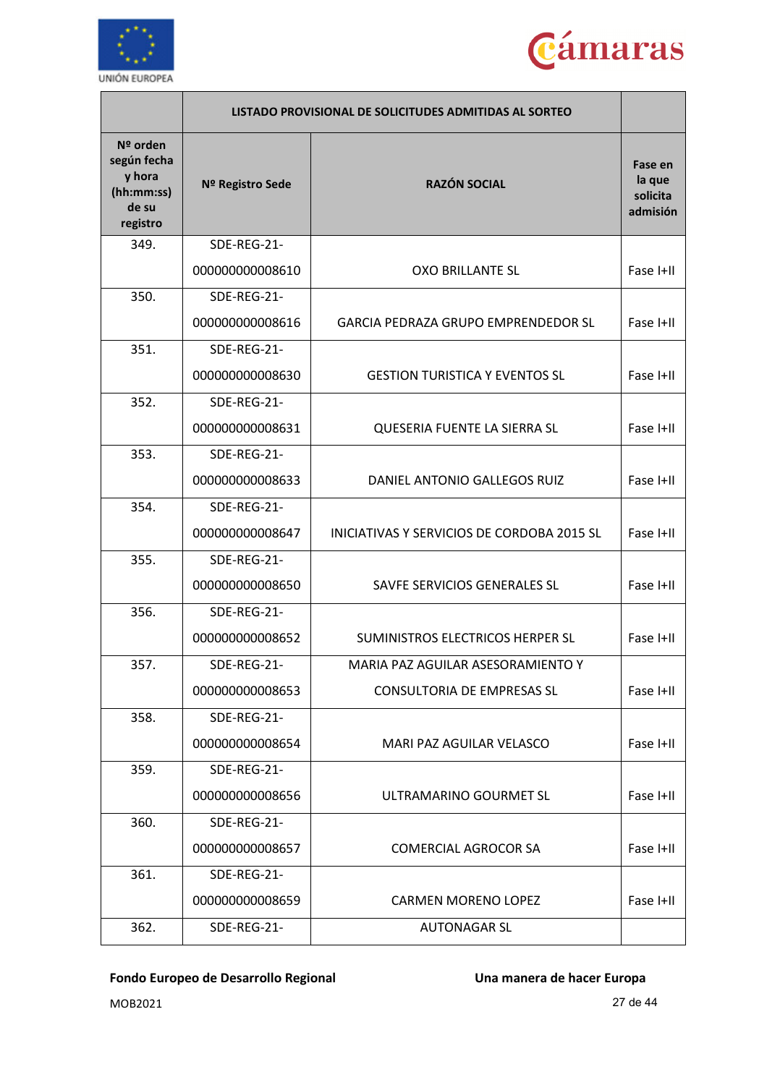



|                                                                        | LISTADO PROVISIONAL DE SOLICITUDES ADMITIDAS AL SORTEO |                                            |                                           |
|------------------------------------------------------------------------|--------------------------------------------------------|--------------------------------------------|-------------------------------------------|
| $No$ orden<br>según fecha<br>y hora<br>(hh:mm:ss)<br>de su<br>registro | Nº Registro Sede                                       | <b>RAZÓN SOCIAL</b>                        | Fase en<br>la que<br>solicita<br>admisión |
| 349.                                                                   | SDE-REG-21-                                            |                                            |                                           |
|                                                                        | 000000000008610                                        | <b>OXO BRILLANTE SL</b>                    | Fase I+II                                 |
| 350.                                                                   | SDE-REG-21-                                            |                                            |                                           |
|                                                                        | 000000000008616                                        | <b>GARCIA PEDRAZA GRUPO EMPRENDEDOR SL</b> | Fase I+II                                 |
| 351.                                                                   | SDE-REG-21-                                            |                                            |                                           |
|                                                                        | 000000000008630                                        | <b>GESTION TURISTICA Y EVENTOS SL</b>      | Fase I+II                                 |
| 352.                                                                   | SDE-REG-21-                                            |                                            |                                           |
|                                                                        | 000000000008631                                        | QUESERIA FUENTE LA SIERRA SL               | Fase I+II                                 |
| 353.                                                                   | SDE-REG-21-                                            |                                            |                                           |
|                                                                        | 000000000008633                                        | DANIEL ANTONIO GALLEGOS RUIZ               | Fase I+II                                 |
| 354.                                                                   | SDE-REG-21-                                            |                                            |                                           |
|                                                                        | 000000000008647                                        | INICIATIVAS Y SERVICIOS DE CORDOBA 2015 SL | Fase I+II                                 |
| 355.                                                                   | SDE-REG-21-                                            |                                            |                                           |
|                                                                        | 000000000008650                                        | SAVFE SERVICIOS GENERALES SL               | Fase I+II                                 |
| 356.                                                                   | SDE-REG-21-                                            |                                            |                                           |
|                                                                        | 000000000008652                                        | SUMINISTROS ELECTRICOS HERPER SL           | Fase I+II                                 |
| 357.                                                                   | SDE-REG-21-                                            | MARIA PAZ AGUILAR ASESORAMIENTO Y          |                                           |
|                                                                        | 000000000008653                                        | <b>CONSULTORIA DE EMPRESAS SL</b>          | Fase I+II                                 |
| 358.                                                                   | SDE-REG-21-                                            |                                            |                                           |
|                                                                        | 000000000008654                                        | MARI PAZ AGUILAR VELASCO                   | Fase I+II                                 |
| 359.                                                                   | SDE-REG-21-                                            |                                            |                                           |
|                                                                        | 000000000008656                                        | ULTRAMARINO GOURMET SL                     | Fase I+II                                 |
| 360.                                                                   | SDE-REG-21-                                            |                                            |                                           |
|                                                                        | 000000000008657                                        | <b>COMERCIAL AGROCOR SA</b>                | Fase I+II                                 |
| 361.                                                                   | SDE-REG-21-                                            |                                            |                                           |
|                                                                        | 000000000008659                                        | <b>CARMEN MORENO LOPEZ</b>                 | Fase I+II                                 |
| 362.                                                                   | SDE-REG-21-                                            | <b>AUTONAGAR SL</b>                        |                                           |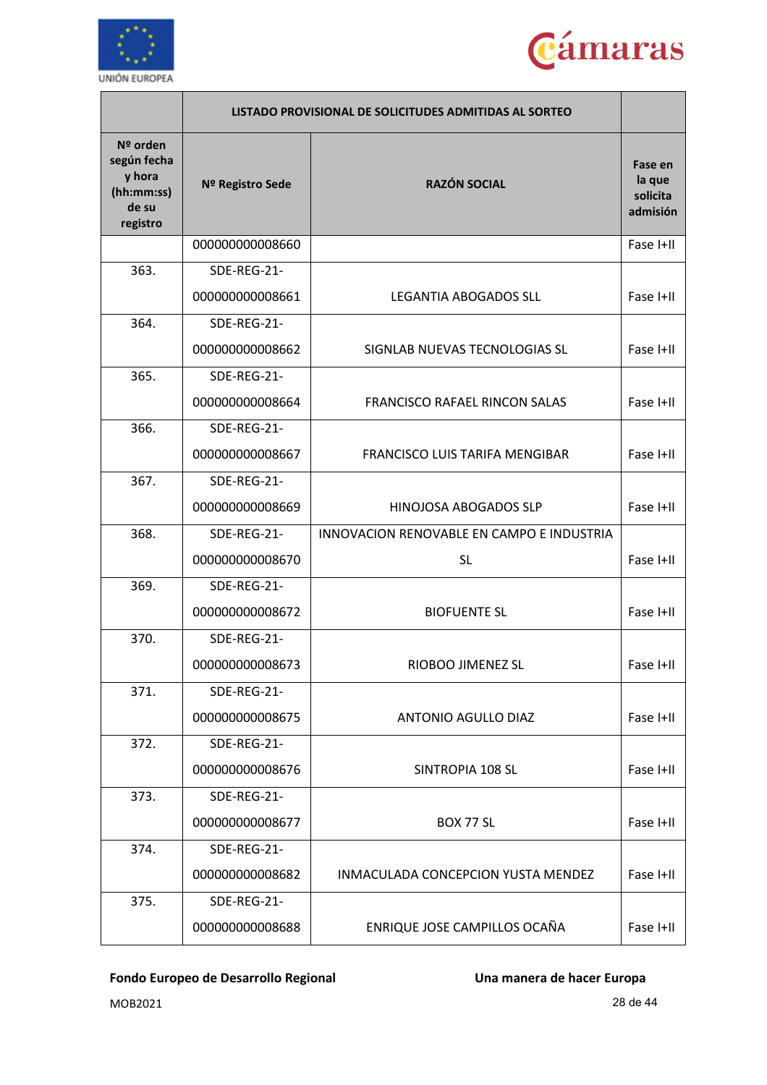



|                                                                      | LISTADO PROVISIONAL DE SOLICITUDES ADMITIDAS AL SORTEO |                                           |                                           |
|----------------------------------------------------------------------|--------------------------------------------------------|-------------------------------------------|-------------------------------------------|
| Nº orden<br>según fecha<br>y hora<br>(hh:mm:ss)<br>de su<br>registro | Nº Registro Sede                                       | <b>RAZÓN SOCIAL</b>                       | Fase en<br>la que<br>solicita<br>admisión |
|                                                                      | 000000000008660                                        |                                           | Fase I+II                                 |
| 363.                                                                 | SDE-REG-21-                                            |                                           |                                           |
|                                                                      | 000000000008661                                        | <b>LEGANTIA ABOGADOS SLL</b>              | Fase I+II                                 |
| 364.                                                                 | SDE-REG-21-                                            |                                           |                                           |
|                                                                      | 000000000008662                                        | SIGNLAB NUEVAS TECNOLOGIAS SL             | Fase I+II                                 |
| 365.                                                                 | SDE-REG-21-                                            |                                           |                                           |
|                                                                      | 000000000008664                                        | <b>FRANCISCO RAFAEL RINCON SALAS</b>      | Fase I+II                                 |
| 366.                                                                 | SDE-REG-21-                                            |                                           |                                           |
|                                                                      | 000000000008667                                        | FRANCISCO LUIS TARIFA MENGIBAR            | Fase I+II                                 |
| 367.                                                                 | SDE-REG-21-                                            |                                           |                                           |
|                                                                      | 000000000008669                                        | HINOJOSA ABOGADOS SLP                     | Fase I+II                                 |
| 368.                                                                 | SDE-REG-21-                                            | INNOVACION RENOVABLE EN CAMPO E INDUSTRIA |                                           |
|                                                                      | 000000000008670                                        | <b>SL</b>                                 | Fase I+II                                 |
| 369.                                                                 | SDE-REG-21-                                            |                                           |                                           |
|                                                                      | 000000000008672                                        | <b>BIOFUENTE SL</b>                       | Fase I+II                                 |
| 370.                                                                 | SDE-REG-21-                                            |                                           |                                           |
|                                                                      | 000000000008673                                        | RIOBOO JIMENEZ SL                         | Fase I+II                                 |
| 371.                                                                 | SDE-REG-21-                                            |                                           |                                           |
|                                                                      | 000000000008675                                        | ANTONIO AGULLO DIAZ                       | Fase I+II                                 |
| 372.                                                                 | SDE-REG-21-                                            |                                           |                                           |
|                                                                      | 000000000008676                                        | SINTROPIA 108 SL                          | Fase I+II                                 |
| 373.                                                                 | SDE-REG-21-                                            |                                           |                                           |
|                                                                      | 000000000008677                                        | <b>BOX 77 SL</b>                          | Fase I+II                                 |
| 374.                                                                 | SDE-REG-21-                                            |                                           |                                           |
|                                                                      | 000000000008682                                        | INMACULADA CONCEPCION YUSTA MENDEZ        | Fase I+II                                 |
| 375.                                                                 | SDE-REG-21-                                            |                                           |                                           |
|                                                                      | 000000000008688                                        | ENRIQUE JOSE CAMPILLOS OCAÑA              | Fase I+II                                 |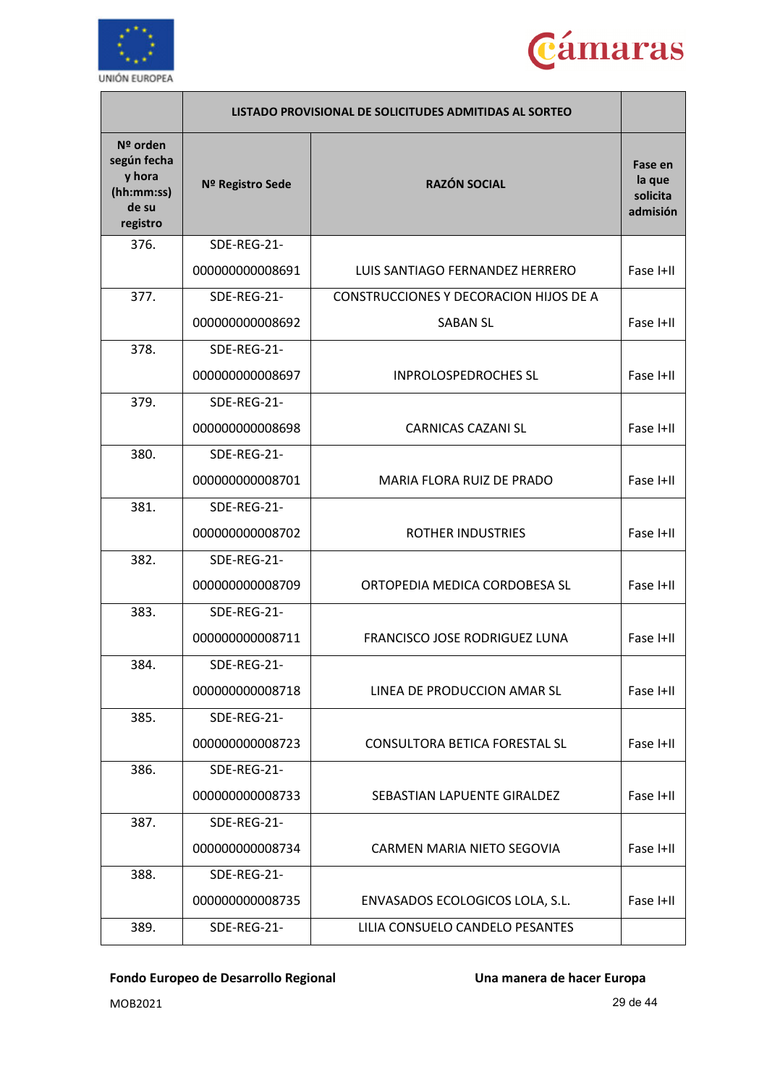



|                                                                      |                  | LISTADO PROVISIONAL DE SOLICITUDES ADMITIDAS AL SORTEO |                                           |
|----------------------------------------------------------------------|------------------|--------------------------------------------------------|-------------------------------------------|
| Nº orden<br>según fecha<br>y hora<br>(hh:mm:ss)<br>de su<br>registro | Nº Registro Sede | <b>RAZÓN SOCIAL</b>                                    | Fase en<br>la que<br>solicita<br>admisión |
| 376.                                                                 | SDE-REG-21-      |                                                        |                                           |
|                                                                      | 000000000008691  | LUIS SANTIAGO FERNANDEZ HERRERO                        | Fase I+II                                 |
| 377.                                                                 | SDE-REG-21-      | CONSTRUCCIONES Y DECORACION HIJOS DE A                 |                                           |
|                                                                      | 000000000008692  | <b>SABAN SL</b>                                        | Fase I+II                                 |
| 378.                                                                 | SDE-REG-21-      |                                                        |                                           |
|                                                                      | 000000000008697  | <b>INPROLOSPEDROCHES SL</b>                            | Fase I+II                                 |
| 379.                                                                 | SDE-REG-21-      |                                                        |                                           |
|                                                                      | 000000000008698  | <b>CARNICAS CAZANI SL</b>                              | Fase I+II                                 |
| 380.                                                                 | SDE-REG-21-      |                                                        |                                           |
|                                                                      | 000000000008701  | <b>MARIA FLORA RUIZ DE PRADO</b>                       | Fase I+II                                 |
| 381.                                                                 | SDE-REG-21-      |                                                        |                                           |
|                                                                      | 000000000008702  | <b>ROTHER INDUSTRIES</b>                               | Fase I+II                                 |
| 382.                                                                 | SDE-REG-21-      |                                                        |                                           |
|                                                                      | 000000000008709  | ORTOPEDIA MEDICA CORDOBESA SL                          | Fase I+II                                 |
| 383.                                                                 | SDE-REG-21-      |                                                        |                                           |
|                                                                      | 000000000008711  | FRANCISCO JOSE RODRIGUEZ LUNA                          | Fase I+II                                 |
| 384.                                                                 | SDE-REG-21-      |                                                        |                                           |
|                                                                      | 000000000008718  | LINEA DE PRODUCCION AMAR SL                            | Fase I+II                                 |
| 385.                                                                 | SDE-REG-21-      |                                                        |                                           |
|                                                                      | 000000000008723  | <b>CONSULTORA BETICA FORESTAL SL</b>                   | Fase I+II                                 |
| 386.                                                                 | SDE-REG-21-      |                                                        |                                           |
|                                                                      | 000000000008733  | SEBASTIAN LAPUENTE GIRALDEZ                            | Fase I+II                                 |
| 387.                                                                 | SDE-REG-21-      |                                                        |                                           |
|                                                                      | 000000000008734  | CARMEN MARIA NIETO SEGOVIA                             | Fase I+II                                 |
| 388.                                                                 | SDE-REG-21-      |                                                        |                                           |
|                                                                      | 000000000008735  | ENVASADOS ECOLOGICOS LOLA, S.L.                        | Fase I+II                                 |
| 389.                                                                 | SDE-REG-21-      | LILIA CONSUELO CANDELO PESANTES                        |                                           |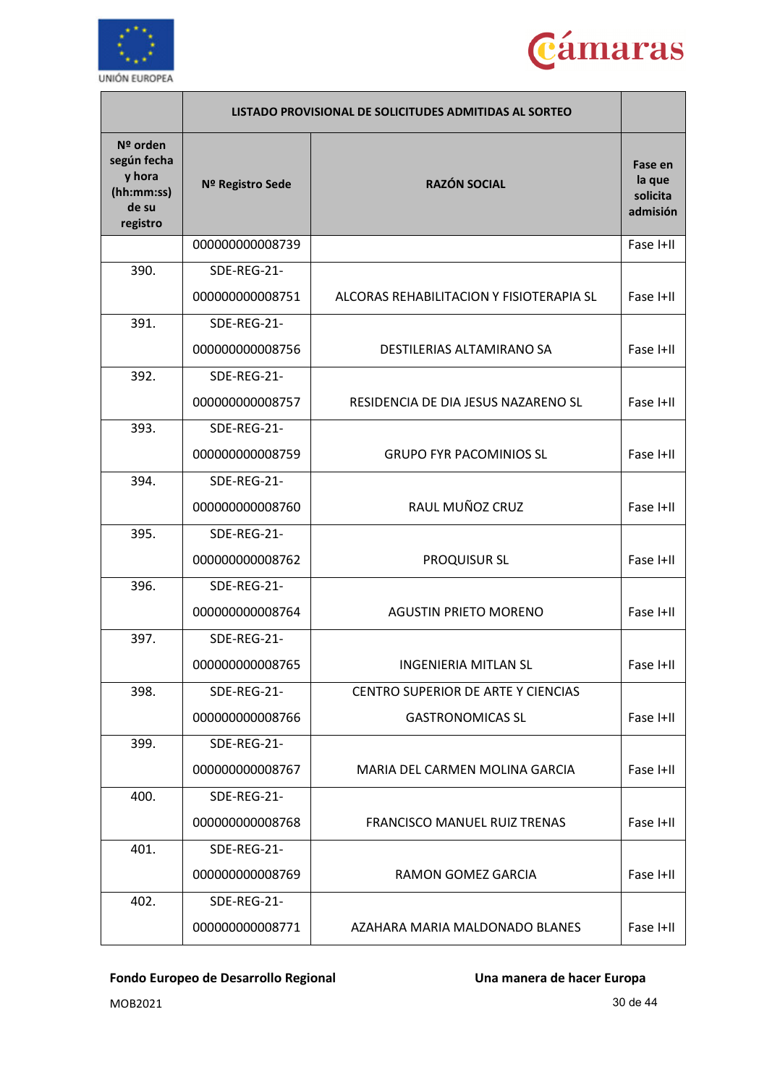



|                                                                      |                  | LISTADO PROVISIONAL DE SOLICITUDES ADMITIDAS AL SORTEO |                                           |
|----------------------------------------------------------------------|------------------|--------------------------------------------------------|-------------------------------------------|
| Nº orden<br>según fecha<br>y hora<br>(hh:mm:ss)<br>de su<br>registro | Nº Registro Sede | <b>RAZÓN SOCIAL</b>                                    | Fase en<br>la que<br>solicita<br>admisión |
|                                                                      | 000000000008739  |                                                        | Fase I+II                                 |
| 390.                                                                 | SDE-REG-21-      |                                                        |                                           |
|                                                                      | 000000000008751  | ALCORAS REHABILITACION Y FISIOTERAPIA SL               | Fase I+II                                 |
| 391.                                                                 | SDE-REG-21-      |                                                        |                                           |
|                                                                      | 000000000008756  | DESTILERIAS ALTAMIRANO SA                              | Fase I+II                                 |
| 392.                                                                 | SDE-REG-21-      |                                                        |                                           |
|                                                                      | 000000000008757  | RESIDENCIA DE DIA JESUS NAZARENO SL                    | Fase I+II                                 |
| 393.                                                                 | SDE-REG-21-      |                                                        |                                           |
|                                                                      | 000000000008759  | <b>GRUPO FYR PACOMINIOS SL</b>                         | Fase I+II                                 |
| 394.                                                                 | SDE-REG-21-      |                                                        |                                           |
|                                                                      | 000000000008760  | RAUL MUÑOZ CRUZ                                        | Fase I+II                                 |
| 395.                                                                 | SDE-REG-21-      |                                                        |                                           |
|                                                                      | 000000000008762  | <b>PROQUISUR SL</b>                                    | Fase I+II                                 |
| 396.                                                                 | SDE-REG-21-      |                                                        |                                           |
|                                                                      | 000000000008764  | <b>AGUSTIN PRIETO MORENO</b>                           | Fase I+II                                 |
| 397.                                                                 | SDE-REG-21-      |                                                        |                                           |
|                                                                      | 000000000008765  | INGENIERIA MITLAN SL                                   | Fase I+II                                 |
| 398.                                                                 | SDE-REG-21-      | CENTRO SUPERIOR DE ARTE Y CIENCIAS                     |                                           |
|                                                                      | 000000000008766  | <b>GASTRONOMICAS SL</b>                                | Fase I+II                                 |
| 399.                                                                 | SDE-REG-21-      |                                                        |                                           |
|                                                                      | 000000000008767  | MARIA DEL CARMEN MOLINA GARCIA                         | Fase I+II                                 |
| 400.                                                                 | SDE-REG-21-      |                                                        |                                           |
|                                                                      | 000000000008768  | <b>FRANCISCO MANUEL RUIZ TRENAS</b>                    | Fase I+II                                 |
| 401.                                                                 | SDE-REG-21-      |                                                        |                                           |
|                                                                      | 000000000008769  | RAMON GOMEZ GARCIA                                     | Fase I+II                                 |
| 402.                                                                 | SDE-REG-21-      |                                                        |                                           |
|                                                                      | 000000000008771  | AZAHARA MARIA MALDONADO BLANES                         | Fase I+II                                 |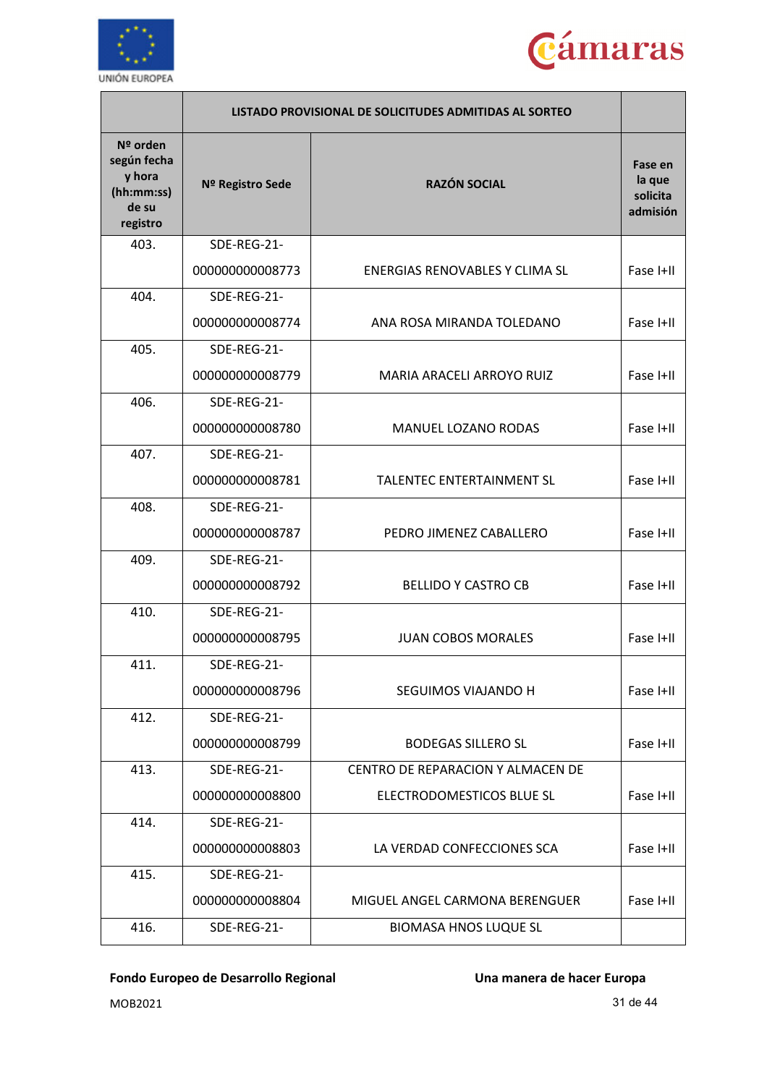



|                                                                      |                  | LISTADO PROVISIONAL DE SOLICITUDES ADMITIDAS AL SORTEO |                                           |
|----------------------------------------------------------------------|------------------|--------------------------------------------------------|-------------------------------------------|
| Nº orden<br>según fecha<br>y hora<br>(hh:mm:ss)<br>de su<br>registro | Nº Registro Sede | <b>RAZÓN SOCIAL</b>                                    | Fase en<br>la que<br>solicita<br>admisión |
| 403.                                                                 | SDE-REG-21-      |                                                        |                                           |
|                                                                      | 000000000008773  | ENERGIAS RENOVABLES Y CLIMA SL                         | Fase I+II                                 |
| 404.                                                                 | SDE-REG-21-      |                                                        |                                           |
|                                                                      | 000000000008774  | ANA ROSA MIRANDA TOLEDANO                              | Fase I+II                                 |
| 405.                                                                 | SDE-REG-21-      |                                                        |                                           |
|                                                                      | 000000000008779  | MARIA ARACELI ARROYO RUIZ                              | Fase I+II                                 |
| 406.                                                                 | SDE-REG-21-      |                                                        |                                           |
|                                                                      | 000000000008780  | MANUEL LOZANO RODAS                                    | Fase I+II                                 |
| 407.                                                                 | SDE-REG-21-      |                                                        |                                           |
|                                                                      | 000000000008781  | TALENTEC ENTERTAINMENT SL                              | Fase I+II                                 |
| 408.                                                                 | SDE-REG-21-      |                                                        |                                           |
|                                                                      | 000000000008787  | PEDRO JIMENEZ CABALLERO                                | Fase I+II                                 |
| 409.                                                                 | SDE-REG-21-      |                                                        |                                           |
|                                                                      | 000000000008792  | <b>BELLIDO Y CASTRO CB</b>                             | Fase I+II                                 |
| 410.                                                                 | SDE-REG-21-      |                                                        |                                           |
|                                                                      | 000000000008795  | <b>JUAN COBOS MORALES</b>                              | Fase I+II                                 |
| 411.                                                                 | SDE-REG-21-      |                                                        |                                           |
|                                                                      | 000000000008796  | SEGUIMOS VIAJANDO H                                    | Fase I+II                                 |
| 412.                                                                 | SDE-REG-21-      |                                                        |                                           |
|                                                                      | 000000000008799  | <b>BODEGAS SILLERO SL</b>                              | Fase I+II                                 |
| 413.                                                                 | SDE-REG-21-      | CENTRO DE REPARACION Y ALMACEN DE                      |                                           |
|                                                                      | 000000000008800  | ELECTRODOMESTICOS BLUE SL                              | Fase I+II                                 |
| 414.                                                                 | SDE-REG-21-      |                                                        |                                           |
|                                                                      | 000000000008803  | LA VERDAD CONFECCIONES SCA                             | Fase I+II                                 |
| 415.                                                                 | SDE-REG-21-      |                                                        |                                           |
|                                                                      | 000000000008804  | MIGUEL ANGEL CARMONA BERENGUER                         | Fase I+II                                 |
| 416.                                                                 | SDE-REG-21-      | <b>BIOMASA HNOS LUQUE SL</b>                           |                                           |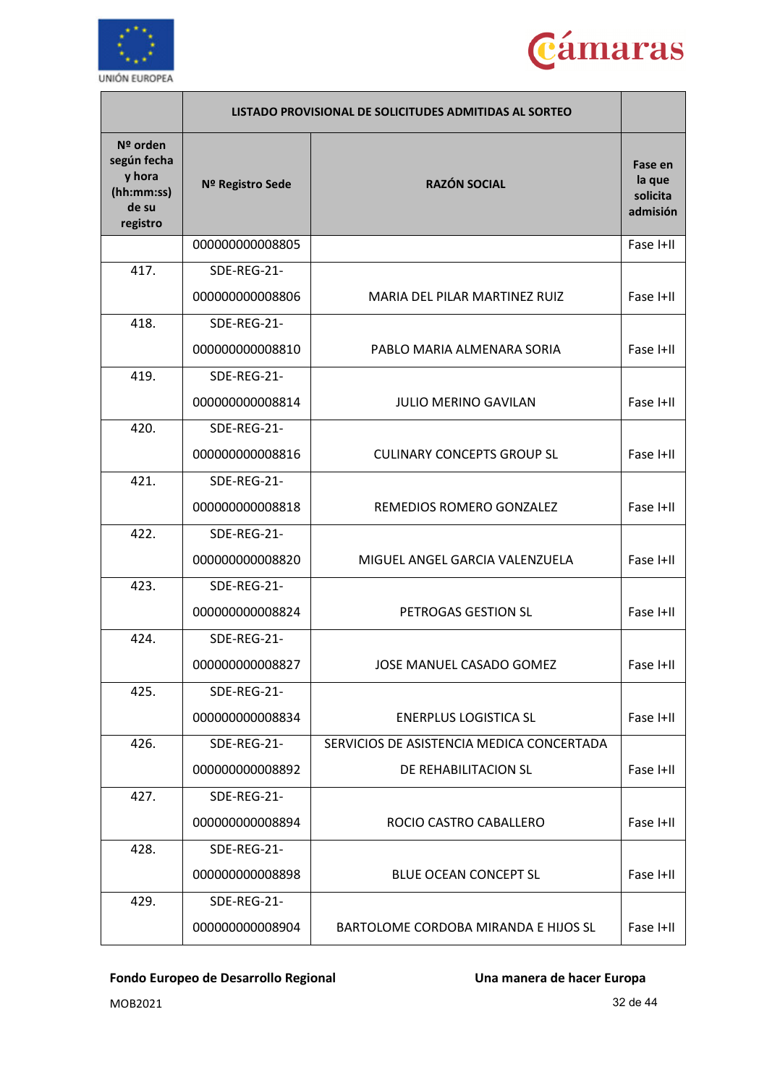



|                                                                      |                  | LISTADO PROVISIONAL DE SOLICITUDES ADMITIDAS AL SORTEO |                                           |
|----------------------------------------------------------------------|------------------|--------------------------------------------------------|-------------------------------------------|
| Nº orden<br>según fecha<br>y hora<br>(hh:mm:ss)<br>de su<br>registro | Nº Registro Sede | <b>RAZÓN SOCIAL</b>                                    | Fase en<br>la que<br>solicita<br>admisión |
|                                                                      | 000000000008805  |                                                        | Fase I+II                                 |
| 417.                                                                 | SDE-REG-21-      |                                                        |                                           |
|                                                                      | 000000000008806  | MARIA DEL PILAR MARTINEZ RUIZ                          | Fase I+II                                 |
| 418.                                                                 | SDE-REG-21-      |                                                        |                                           |
|                                                                      | 000000000008810  | PABLO MARIA ALMENARA SORIA                             | Fase I+II                                 |
| 419.                                                                 | SDE-REG-21-      |                                                        |                                           |
|                                                                      | 000000000008814  | <b>JULIO MERINO GAVILAN</b>                            | Fase I+II                                 |
| 420.                                                                 | SDE-REG-21-      |                                                        |                                           |
|                                                                      | 000000000008816  | <b>CULINARY CONCEPTS GROUP SL</b>                      | Fase I+II                                 |
| 421.                                                                 | SDE-REG-21-      |                                                        |                                           |
|                                                                      | 000000000008818  | REMEDIOS ROMERO GONZALEZ                               | Fase I+II                                 |
| 422.                                                                 | SDE-REG-21-      |                                                        |                                           |
|                                                                      | 000000000008820  | MIGUEL ANGEL GARCIA VALENZUELA                         | Fase I+II                                 |
| 423.                                                                 | SDE-REG-21-      |                                                        |                                           |
|                                                                      | 000000000008824  | PETROGAS GESTION SL                                    | Fase I+II                                 |
| 424.                                                                 | SDE-REG-21-      |                                                        |                                           |
|                                                                      | 000000000008827  | JOSE MANUEL CASADO GOMEZ                               | Fase I+II                                 |
| 425.                                                                 | SDE-REG-21-      |                                                        |                                           |
|                                                                      | 000000000008834  | <b>ENERPLUS LOGISTICA SL</b>                           | Fase I+II                                 |
| 426.                                                                 | SDE-REG-21-      | SERVICIOS DE ASISTENCIA MEDICA CONCERTADA              |                                           |
|                                                                      | 000000000008892  | DE REHABILITACION SL                                   | Fase I+II                                 |
| 427.                                                                 | SDE-REG-21-      |                                                        |                                           |
|                                                                      | 000000000008894  | ROCIO CASTRO CABALLERO                                 | Fase I+II                                 |
| 428.                                                                 | SDE-REG-21-      |                                                        |                                           |
|                                                                      | 000000000008898  | <b>BLUE OCEAN CONCEPT SL</b>                           | Fase I+II                                 |
| 429.                                                                 | SDE-REG-21-      |                                                        |                                           |
|                                                                      | 000000000008904  | BARTOLOME CORDOBA MIRANDA E HIJOS SL                   | Fase I+II                                 |

MOB2021 32 de 44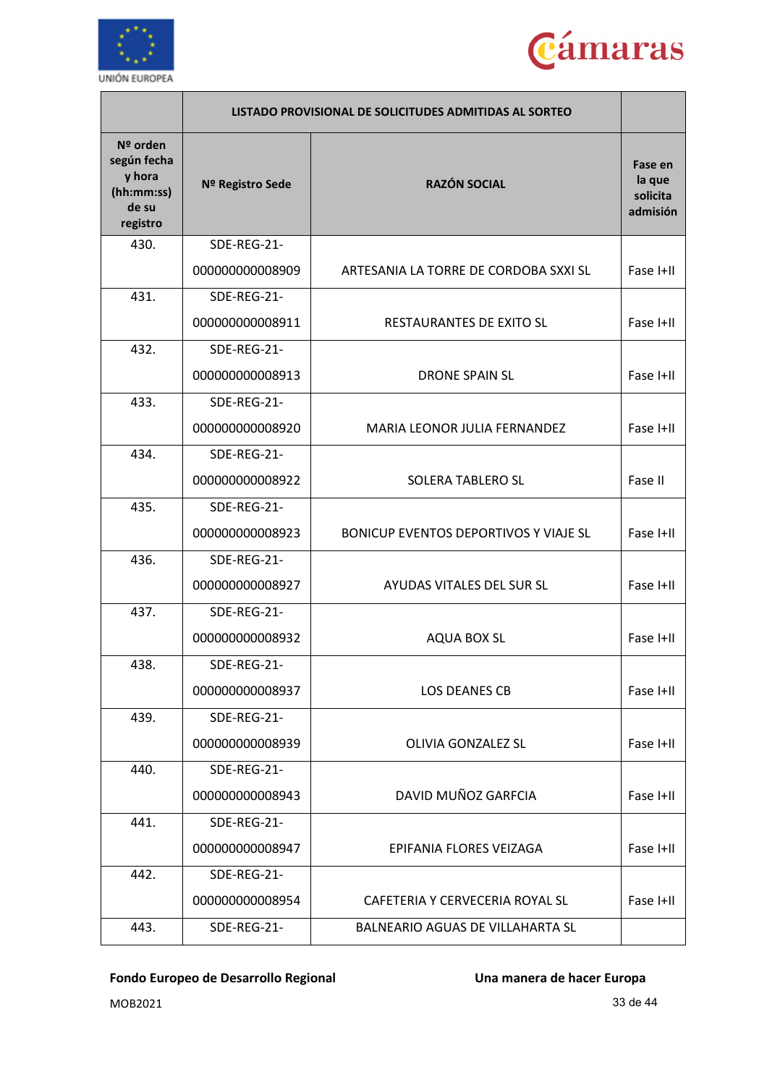



|                                                                      |                  | LISTADO PROVISIONAL DE SOLICITUDES ADMITIDAS AL SORTEO |                                           |
|----------------------------------------------------------------------|------------------|--------------------------------------------------------|-------------------------------------------|
| Nº orden<br>según fecha<br>y hora<br>(hh:mm:ss)<br>de su<br>registro | Nº Registro Sede | <b>RAZÓN SOCIAL</b>                                    | Fase en<br>la que<br>solicita<br>admisión |
| 430.                                                                 | SDE-REG-21-      |                                                        |                                           |
|                                                                      | 000000000008909  | ARTESANIA LA TORRE DE CORDOBA SXXI SL                  | Fase I+II                                 |
| 431.                                                                 | SDE-REG-21-      |                                                        |                                           |
|                                                                      | 000000000008911  | RESTAURANTES DE EXITO SL                               | Fase I+II                                 |
| 432.                                                                 | SDE-REG-21-      |                                                        |                                           |
|                                                                      | 000000000008913  | <b>DRONE SPAIN SL</b>                                  | Fase I+II                                 |
| 433.                                                                 | SDE-REG-21-      |                                                        |                                           |
|                                                                      | 000000000008920  | MARIA LEONOR JULIA FERNANDEZ                           | Fase I+II                                 |
| 434.                                                                 | SDE-REG-21-      |                                                        |                                           |
|                                                                      | 000000000008922  | <b>SOLERA TABLERO SL</b>                               | Fase II                                   |
| 435.                                                                 | SDE-REG-21-      |                                                        |                                           |
|                                                                      | 000000000008923  | BONICUP EVENTOS DEPORTIVOS Y VIAJE SL                  | Fase I+II                                 |
| 436.                                                                 | SDE-REG-21-      |                                                        |                                           |
|                                                                      | 000000000008927  | AYUDAS VITALES DEL SUR SL                              | Fase I+II                                 |
| 437.                                                                 | SDE-REG-21-      |                                                        |                                           |
|                                                                      | 000000000008932  | <b>AQUA BOX SL</b>                                     | Fase I+II                                 |
| 438.                                                                 | SDE-REG-21-      |                                                        |                                           |
|                                                                      | 000000000008937  | LOS DEANES CB                                          | Fase I+II                                 |
| 439.                                                                 | SDE-REG-21-      |                                                        |                                           |
|                                                                      | 000000000008939  | OLIVIA GONZALEZ SL                                     | Fase I+II                                 |
| 440.                                                                 | SDE-REG-21-      |                                                        |                                           |
|                                                                      | 000000000008943  | DAVID MUÑOZ GARFCIA                                    | Fase I+II                                 |
| 441.                                                                 | SDE-REG-21-      |                                                        |                                           |
|                                                                      | 000000000008947  | EPIFANIA FLORES VEIZAGA                                | Fase I+II                                 |
| 442.                                                                 | SDE-REG-21-      |                                                        |                                           |
|                                                                      | 000000000008954  | CAFETERIA Y CERVECERIA ROYAL SL                        | Fase I+II                                 |
| 443.                                                                 | SDE-REG-21-      | BALNEARIO AGUAS DE VILLAHARTA SL                       |                                           |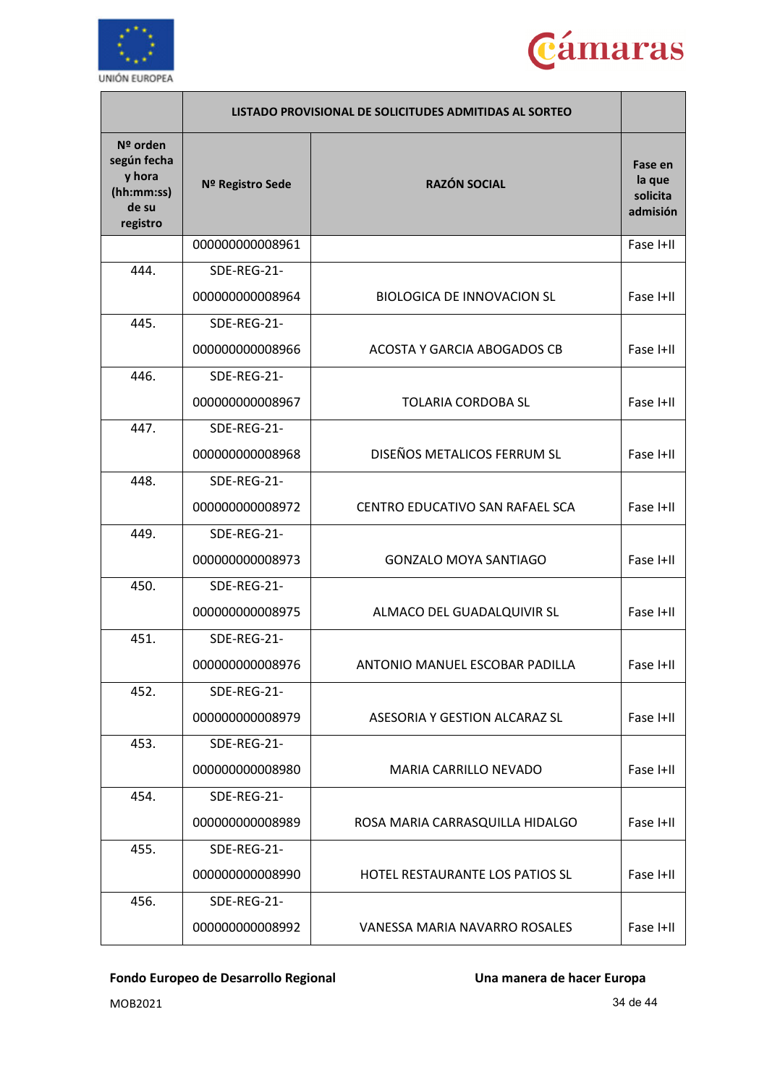



|                                                                      |                  | LISTADO PROVISIONAL DE SOLICITUDES ADMITIDAS AL SORTEO |                                           |
|----------------------------------------------------------------------|------------------|--------------------------------------------------------|-------------------------------------------|
| Nº orden<br>según fecha<br>y hora<br>(hh:mm:ss)<br>de su<br>registro | Nº Registro Sede | <b>RAZÓN SOCIAL</b>                                    | Fase en<br>la que<br>solicita<br>admisión |
|                                                                      | 000000000008961  |                                                        | Fase I+II                                 |
| 444.                                                                 | SDE-REG-21-      |                                                        |                                           |
|                                                                      | 000000000008964  | <b>BIOLOGICA DE INNOVACION SL</b>                      | Fase I+II                                 |
| 445.                                                                 | SDE-REG-21-      |                                                        |                                           |
|                                                                      | 000000000008966  | ACOSTA Y GARCIA ABOGADOS CB                            | Fase I+II                                 |
| 446.                                                                 | SDE-REG-21-      |                                                        |                                           |
|                                                                      | 000000000008967  | <b>TOLARIA CORDOBA SL</b>                              | Fase I+II                                 |
| 447.                                                                 | SDE-REG-21-      |                                                        |                                           |
|                                                                      | 000000000008968  | DISEÑOS METALICOS FERRUM SL                            | Fase I+II                                 |
| 448.                                                                 | SDE-REG-21-      |                                                        |                                           |
|                                                                      | 000000000008972  | CENTRO EDUCATIVO SAN RAFAEL SCA                        | Fase I+II                                 |
| 449.                                                                 | SDE-REG-21-      |                                                        |                                           |
|                                                                      | 000000000008973  | <b>GONZALO MOYA SANTIAGO</b>                           | Fase I+II                                 |
| 450.                                                                 | SDE-REG-21-      |                                                        |                                           |
|                                                                      | 000000000008975  | ALMACO DEL GUADALQUIVIR SL                             | Fase I+II                                 |
| 451.                                                                 | SDE-REG-21-      |                                                        |                                           |
|                                                                      | 000000000008976  | ANTONIO MANUEL ESCOBAR PADILLA                         | Fase I+II                                 |
| 452.                                                                 | SDE-REG-21-      |                                                        |                                           |
|                                                                      | 000000000008979  | ASESORIA Y GESTION ALCARAZ SL                          | Fase I+II                                 |
| 453.                                                                 | SDE-REG-21-      |                                                        |                                           |
|                                                                      | 000000000008980  | <b>MARIA CARRILLO NEVADO</b>                           | Fase I+II                                 |
| 454.                                                                 | SDE-REG-21-      |                                                        |                                           |
|                                                                      | 000000000008989  | ROSA MARIA CARRASQUILLA HIDALGO                        | Fase I+II                                 |
| 455.                                                                 | SDE-REG-21-      |                                                        |                                           |
|                                                                      | 000000000008990  | HOTEL RESTAURANTE LOS PATIOS SL                        | Fase I+II                                 |
| 456.                                                                 | SDE-REG-21-      |                                                        |                                           |
|                                                                      | 000000000008992  | VANESSA MARIA NAVARRO ROSALES                          | Fase I+II                                 |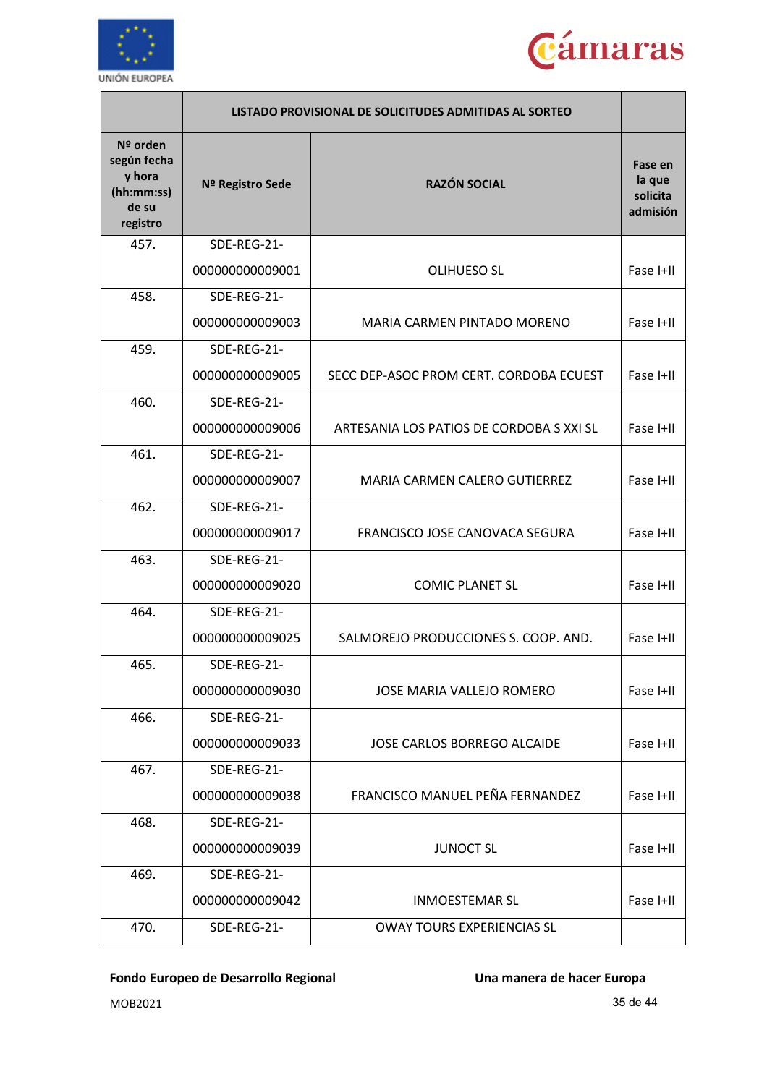



|                                                                      | LISTADO PROVISIONAL DE SOLICITUDES ADMITIDAS AL SORTEO |                                          |                                           |
|----------------------------------------------------------------------|--------------------------------------------------------|------------------------------------------|-------------------------------------------|
| Nº orden<br>según fecha<br>y hora<br>(hh:mm:ss)<br>de su<br>registro | Nº Registro Sede                                       | <b>RAZÓN SOCIAL</b>                      | Fase en<br>la que<br>solicita<br>admisión |
| 457.                                                                 | SDE-REG-21-                                            |                                          |                                           |
|                                                                      | 000000000009001                                        | <b>OLIHUESO SL</b>                       | Fase I+II                                 |
| 458.                                                                 | SDE-REG-21-                                            |                                          |                                           |
|                                                                      | 000000000009003                                        | MARIA CARMEN PINTADO MORENO              | Fase I+II                                 |
| 459.                                                                 | SDE-REG-21-                                            |                                          |                                           |
|                                                                      | 000000000009005                                        | SECC DEP-ASOC PROM CERT. CORDOBA ECUEST  | Fase I+II                                 |
| 460.                                                                 | SDE-REG-21-                                            |                                          |                                           |
|                                                                      | 000000000009006                                        | ARTESANIA LOS PATIOS DE CORDOBA S XXI SL | Fase I+II                                 |
| 461.                                                                 | SDE-REG-21-                                            |                                          |                                           |
|                                                                      | 000000000009007                                        | MARIA CARMEN CALERO GUTIERREZ            | Fase I+II                                 |
| 462.                                                                 | SDE-REG-21-                                            |                                          |                                           |
|                                                                      | 000000000009017                                        | FRANCISCO JOSE CANOVACA SEGURA           | Fase I+II                                 |
| 463.                                                                 | SDE-REG-21-                                            |                                          |                                           |
|                                                                      | 000000000009020                                        | <b>COMIC PLANET SL</b>                   | Fase I+II                                 |
| 464.                                                                 | SDE-REG-21-                                            |                                          |                                           |
|                                                                      | 000000000009025                                        | SALMOREJO PRODUCCIONES S. COOP. AND.     | Fase I+II                                 |
| 465.                                                                 | SDE-REG-21-                                            |                                          |                                           |
|                                                                      | 000000000009030                                        | JOSE MARIA VALLEJO ROMERO                | Fase I+II                                 |
| 466.                                                                 | SDE-REG-21-                                            |                                          |                                           |
|                                                                      | 000000000009033                                        | <b>JOSE CARLOS BORREGO ALCAIDE</b>       | Fase I+II                                 |
| 467.                                                                 | SDE-REG-21-                                            |                                          |                                           |
|                                                                      | 000000000009038                                        | FRANCISCO MANUEL PEÑA FERNANDEZ          | Fase I+II                                 |
| 468.                                                                 | SDE-REG-21-                                            |                                          |                                           |
|                                                                      | 000000000009039                                        | <b>JUNOCT SL</b>                         | Fase I+II                                 |
| 469.                                                                 | SDE-REG-21-                                            |                                          |                                           |
|                                                                      | 000000000009042                                        | <b>INMOESTEMAR SL</b>                    | Fase I+II                                 |
| 470.                                                                 | SDE-REG-21-                                            | <b>OWAY TOURS EXPERIENCIAS SL</b>        |                                           |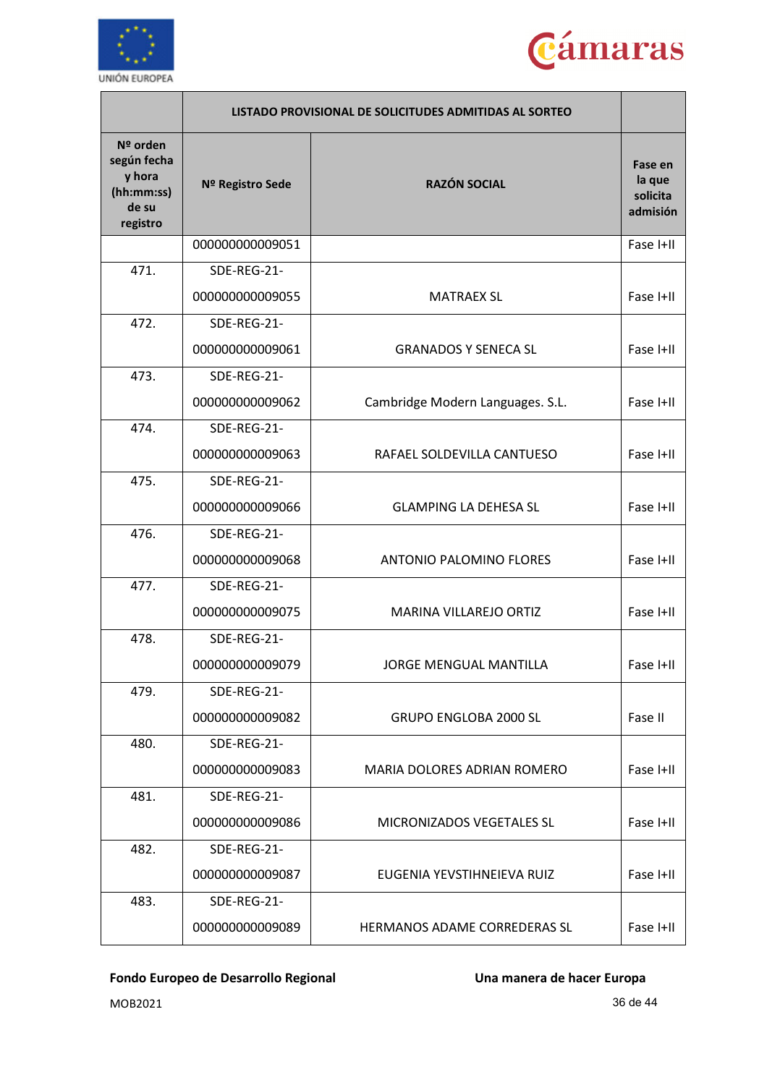



|                                                                      |                  | LISTADO PROVISIONAL DE SOLICITUDES ADMITIDAS AL SORTEO |                                           |
|----------------------------------------------------------------------|------------------|--------------------------------------------------------|-------------------------------------------|
| Nº orden<br>según fecha<br>y hora<br>(hh:mm:ss)<br>de su<br>registro | Nº Registro Sede | <b>RAZÓN SOCIAL</b>                                    | Fase en<br>la que<br>solicita<br>admisión |
|                                                                      | 000000000009051  |                                                        | Fase I+II                                 |
| 471.                                                                 | SDE-REG-21-      |                                                        |                                           |
|                                                                      | 000000000009055  | <b>MATRAEX SL</b>                                      | Fase I+II                                 |
| 472.                                                                 | SDE-REG-21-      |                                                        |                                           |
|                                                                      | 000000000009061  | <b>GRANADOS Y SENECA SL</b>                            | Fase I+II                                 |
| 473.                                                                 | SDE-REG-21-      |                                                        |                                           |
|                                                                      | 000000000009062  | Cambridge Modern Languages. S.L.                       | Fase I+II                                 |
| 474.                                                                 | SDE-REG-21-      |                                                        |                                           |
|                                                                      | 000000000009063  | RAFAEL SOLDEVILLA CANTUESO                             | Fase I+II                                 |
| 475.                                                                 | SDE-REG-21-      |                                                        |                                           |
|                                                                      | 000000000009066  | <b>GLAMPING LA DEHESA SL</b>                           | Fase I+II                                 |
| 476.                                                                 | SDE-REG-21-      |                                                        |                                           |
|                                                                      | 000000000009068  | <b>ANTONIO PALOMINO FLORES</b>                         | Fase I+II                                 |
| 477.                                                                 | SDE-REG-21-      |                                                        |                                           |
|                                                                      | 000000000009075  | MARINA VILLAREJO ORTIZ                                 | Fase I+II                                 |
| 478.                                                                 | SDE-REG-21-      |                                                        |                                           |
|                                                                      | 000000000009079  | JORGE MENGUAL MANTILLA                                 | Fase I+II                                 |
| 479.                                                                 | SDE-REG-21-      |                                                        |                                           |
|                                                                      | 000000000009082  | <b>GRUPO ENGLOBA 2000 SL</b>                           | Fase II                                   |
| 480.                                                                 | SDE-REG-21-      |                                                        |                                           |
|                                                                      | 000000000009083  | MARIA DOLORES ADRIAN ROMERO                            | Fase I+II                                 |
| 481.                                                                 | SDE-REG-21-      |                                                        |                                           |
|                                                                      | 000000000009086  | MICRONIZADOS VEGETALES SL                              | Fase I+II                                 |
| 482.                                                                 | SDE-REG-21-      |                                                        |                                           |
|                                                                      | 000000000009087  | EUGENIA YEVSTIHNEIEVA RUIZ                             | Fase I+II                                 |
| 483.                                                                 | SDE-REG-21-      |                                                        |                                           |
|                                                                      | 000000000009089  | HERMANOS ADAME CORREDERAS SL                           | Fase I+II                                 |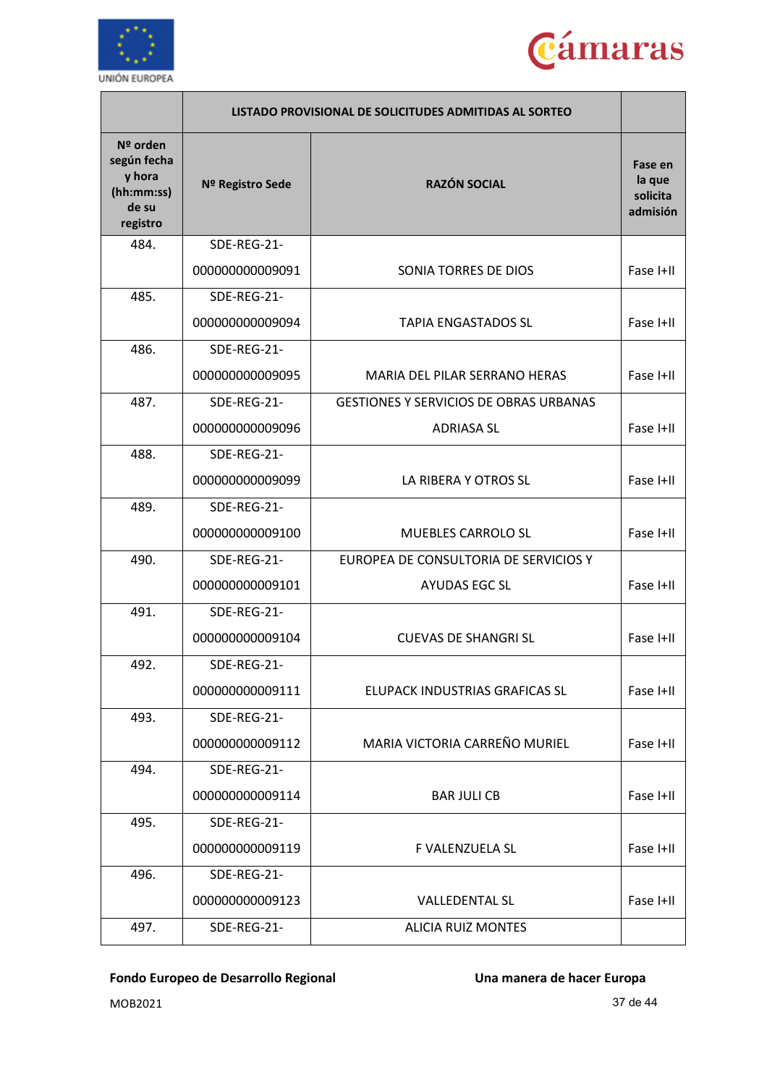



|                                                                        | LISTADO PROVISIONAL DE SOLICITUDES ADMITIDAS AL SORTEO |                                               |                                           |
|------------------------------------------------------------------------|--------------------------------------------------------|-----------------------------------------------|-------------------------------------------|
| $N2$ orden<br>según fecha<br>y hora<br>(hh:mm:ss)<br>de su<br>registro | Nº Registro Sede                                       | <b>RAZÓN SOCIAL</b>                           | Fase en<br>la que<br>solicita<br>admisión |
| 484.                                                                   | SDE-REG-21-                                            |                                               |                                           |
|                                                                        | 000000000009091                                        | <b>SONIA TORRES DE DIOS</b>                   | Fase I+II                                 |
| 485.                                                                   | SDE-REG-21-                                            |                                               |                                           |
|                                                                        | 000000000009094                                        | <b>TAPIA ENGASTADOS SL</b>                    | Fase I+II                                 |
| 486.                                                                   | SDE-REG-21-                                            |                                               |                                           |
|                                                                        | 000000000009095                                        | MARIA DEL PILAR SERRANO HERAS                 | Fase I+II                                 |
| 487.                                                                   | SDE-REG-21-                                            | <b>GESTIONES Y SERVICIOS DE OBRAS URBANAS</b> |                                           |
|                                                                        | 000000000009096                                        | <b>ADRIASA SL</b>                             | Fase I+II                                 |
| 488.                                                                   | SDE-REG-21-                                            |                                               |                                           |
|                                                                        | 000000000009099                                        | LA RIBERA Y OTROS SL                          | Fase I+II                                 |
| 489.                                                                   | SDE-REG-21-                                            |                                               |                                           |
|                                                                        | 000000000009100                                        | <b>MUEBLES CARROLO SL</b>                     | Fase I+II                                 |
| 490.                                                                   | SDE-REG-21-                                            | EUROPEA DE CONSULTORIA DE SERVICIOS Y         |                                           |
|                                                                        | 000000000009101                                        | <b>AYUDAS EGC SL</b>                          | Fase I+II                                 |
| 491.                                                                   | SDE-REG-21-                                            |                                               |                                           |
|                                                                        | 000000000009104                                        | <b>CUEVAS DE SHANGRI SL</b>                   | Fase I+II                                 |
| 492.                                                                   | SDE-REG-21-                                            |                                               |                                           |
|                                                                        | 000000000009111                                        | ELUPACK INDUSTRIAS GRAFICAS SL                | Fase I+II                                 |
| 493.                                                                   | SDE-REG-21-                                            |                                               |                                           |
|                                                                        | 000000000009112                                        | MARIA VICTORIA CARREÑO MURIEL                 | Fase I+II                                 |
| 494.                                                                   | SDE-REG-21-                                            |                                               |                                           |
|                                                                        | 000000000009114                                        | <b>BAR JULI CB</b>                            | Fase I+II                                 |
| 495.                                                                   | SDE-REG-21-                                            |                                               |                                           |
|                                                                        | 000000000009119                                        | F VALENZUELA SL                               | Fase I+II                                 |
| 496.                                                                   | SDE-REG-21-                                            |                                               |                                           |
|                                                                        | 000000000009123                                        | <b>VALLEDENTAL SL</b>                         | Fase I+II                                 |
| 497.                                                                   | SDE-REG-21-                                            | <b>ALICIA RUIZ MONTES</b>                     |                                           |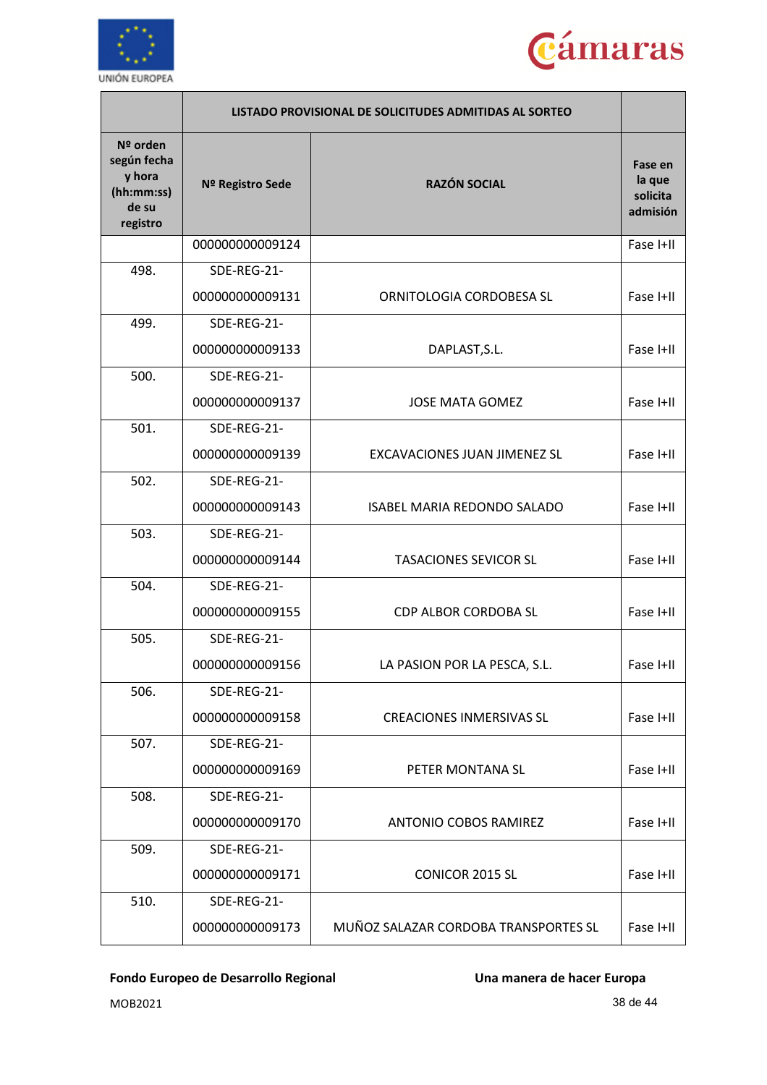



|                                                                      | LISTADO PROVISIONAL DE SOLICITUDES ADMITIDAS AL SORTEO |                                          |                                           |
|----------------------------------------------------------------------|--------------------------------------------------------|------------------------------------------|-------------------------------------------|
| Nº orden<br>según fecha<br>y hora<br>(hh:mm:ss)<br>de su<br>registro | Nº Registro Sede                                       | <b>RAZÓN SOCIAL</b>                      | Fase en<br>la que<br>solicita<br>admisión |
|                                                                      | 000000000009124                                        |                                          | Fase I+II                                 |
| 498.                                                                 | SDE-REG-21-                                            |                                          |                                           |
|                                                                      | 000000000009131                                        | ORNITOLOGIA CORDOBESA SL                 | Fase I+II                                 |
| 499.                                                                 | SDE-REG-21-                                            |                                          |                                           |
|                                                                      | 000000000009133                                        | DAPLAST, S.L.                            | Fase I+II                                 |
| 500.                                                                 | SDE-REG-21-                                            |                                          |                                           |
|                                                                      | 000000000009137                                        | <b>JOSE MATA GOMEZ</b>                   | Fase I+II                                 |
| 501.                                                                 | SDE-REG-21-                                            |                                          |                                           |
|                                                                      | 000000000009139                                        | <b>EXCAVACIONES JUAN JIMENEZ SL</b>      | Fase I+II                                 |
| 502.                                                                 | SDE-REG-21-                                            |                                          |                                           |
|                                                                      | 000000000009143                                        | <b>ISABEL MARIA REDONDO SALADO</b>       | Fase I+II                                 |
| 503.                                                                 | SDE-REG-21-                                            |                                          |                                           |
|                                                                      | 000000000009144                                        | <b>TASACIONES SEVICOR SL</b>             | Fase I+II                                 |
| 504.                                                                 | SDE-REG-21-                                            |                                          |                                           |
|                                                                      | 000000000009155                                        | <b>CDP ALBOR CORDOBA SL</b><br>Fase I+II |                                           |
| 505.                                                                 | SDE-REG-21-                                            |                                          |                                           |
|                                                                      | 00000000009156                                         | LA PASION POR LA PESCA, S.L.             | Fase I+II                                 |
| 506.                                                                 | SDE-REG-21-                                            |                                          |                                           |
|                                                                      | 000000000009158                                        | <b>CREACIONES INMERSIVAS SL</b>          | Fase I+II                                 |
| 507.                                                                 | SDE-REG-21-                                            |                                          |                                           |
|                                                                      | 000000000009169                                        | PETER MONTANA SL                         | Fase I+II                                 |
| 508.                                                                 | SDE-REG-21-                                            |                                          |                                           |
|                                                                      | 000000000009170                                        | <b>ANTONIO COBOS RAMIREZ</b>             | Fase I+II                                 |
| 509.                                                                 | SDE-REG-21-                                            |                                          |                                           |
|                                                                      | 000000000009171                                        | <b>CONICOR 2015 SL</b>                   | Fase I+II                                 |
| 510.                                                                 | SDE-REG-21-                                            |                                          |                                           |
|                                                                      | 000000000009173                                        | MUÑOZ SALAZAR CORDOBA TRANSPORTES SL     | Fase I+II                                 |

MOB2021 38 de 44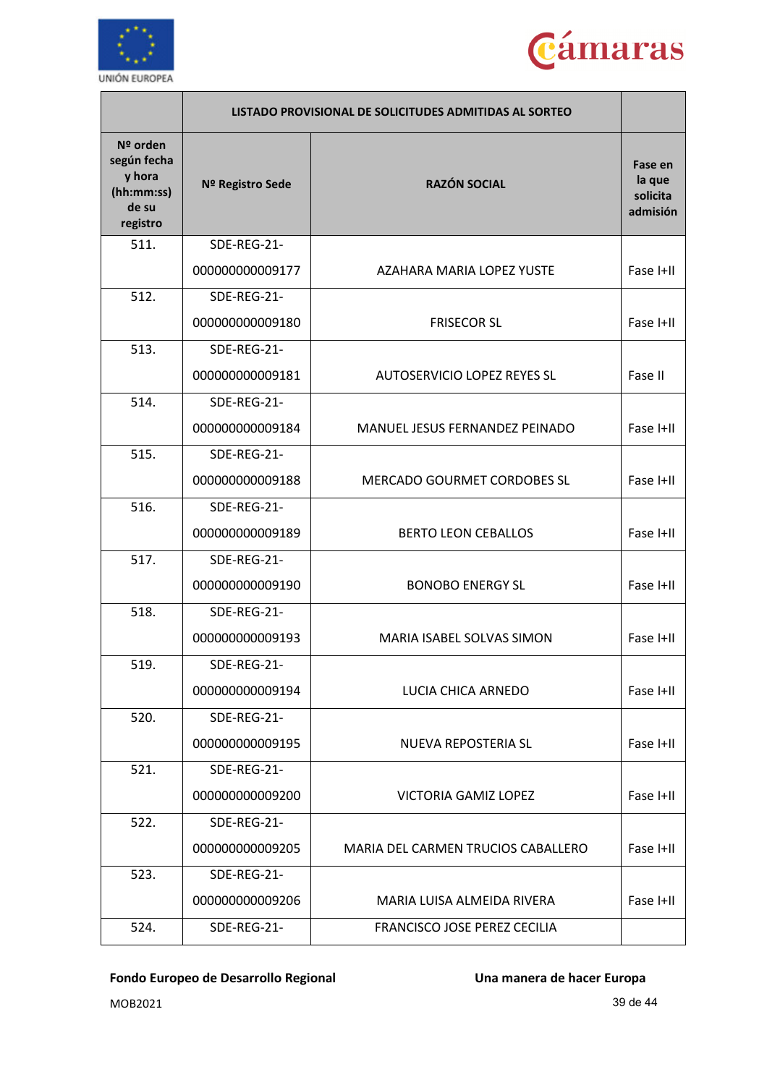



|                                                                      | LISTADO PROVISIONAL DE SOLICITUDES ADMITIDAS AL SORTEO |                                          |                                           |
|----------------------------------------------------------------------|--------------------------------------------------------|------------------------------------------|-------------------------------------------|
| Nº orden<br>según fecha<br>y hora<br>(hh:mm:ss)<br>de su<br>registro | Nº Registro Sede                                       | <b>RAZÓN SOCIAL</b>                      | Fase en<br>la que<br>solicita<br>admisión |
| 511.                                                                 | SDE-REG-21-                                            |                                          |                                           |
|                                                                      | 000000000009177                                        | AZAHARA MARIA LOPEZ YUSTE                | Fase I+II                                 |
| 512.                                                                 | SDE-REG-21-                                            |                                          |                                           |
|                                                                      | 000000000009180                                        | <b>FRISECOR SL</b>                       | Fase I+II                                 |
| 513.                                                                 | SDE-REG-21-                                            |                                          |                                           |
|                                                                      | 000000000009181                                        | <b>AUTOSERVICIO LOPEZ REYES SL</b>       | Fase II                                   |
| 514.                                                                 | SDE-REG-21-                                            |                                          |                                           |
|                                                                      | 000000000009184                                        | MANUEL JESUS FERNANDEZ PEINADO           | Fase I+II                                 |
| 515.                                                                 | SDE-REG-21-                                            |                                          |                                           |
|                                                                      | 000000000009188                                        | <b>MERCADO GOURMET CORDOBES SL</b>       | Fase I+II                                 |
| 516.                                                                 | SDE-REG-21-                                            |                                          |                                           |
|                                                                      | 000000000009189                                        | <b>BERTO LEON CEBALLOS</b>               | Fase I+II                                 |
| 517.                                                                 | SDE-REG-21-                                            |                                          |                                           |
|                                                                      | 000000000009190                                        | <b>BONOBO ENERGY SL</b><br>Fase I+II     |                                           |
| 518.                                                                 | SDE-REG-21-                                            |                                          |                                           |
|                                                                      | 000000000009193                                        | MARIA ISABEL SOLVAS SIMON                | Fase I+II                                 |
| 519.                                                                 | SDE-REG-21-                                            |                                          |                                           |
|                                                                      | 000000000009194                                        | LUCIA CHICA ARNEDO                       | Fase I+II                                 |
| 520.                                                                 | SDE-REG-21-                                            |                                          |                                           |
|                                                                      | 000000000009195                                        | NUEVA REPOSTERIA SL                      | Fase I+II                                 |
| 521.                                                                 | SDE-REG-21-                                            |                                          |                                           |
|                                                                      | 000000000009200                                        | <b>VICTORIA GAMIZ LOPEZ</b><br>Fase I+II |                                           |
| 522.                                                                 | SDE-REG-21-                                            |                                          |                                           |
|                                                                      | 000000000009205                                        | MARIA DEL CARMEN TRUCIOS CABALLERO       | Fase I+II                                 |
| 523.                                                                 | SDE-REG-21-                                            |                                          |                                           |
|                                                                      | 000000000009206                                        | MARIA LUISA ALMEIDA RIVERA               | Fase I+II                                 |
| 524.                                                                 | SDE-REG-21-                                            | FRANCISCO JOSE PEREZ CECILIA             |                                           |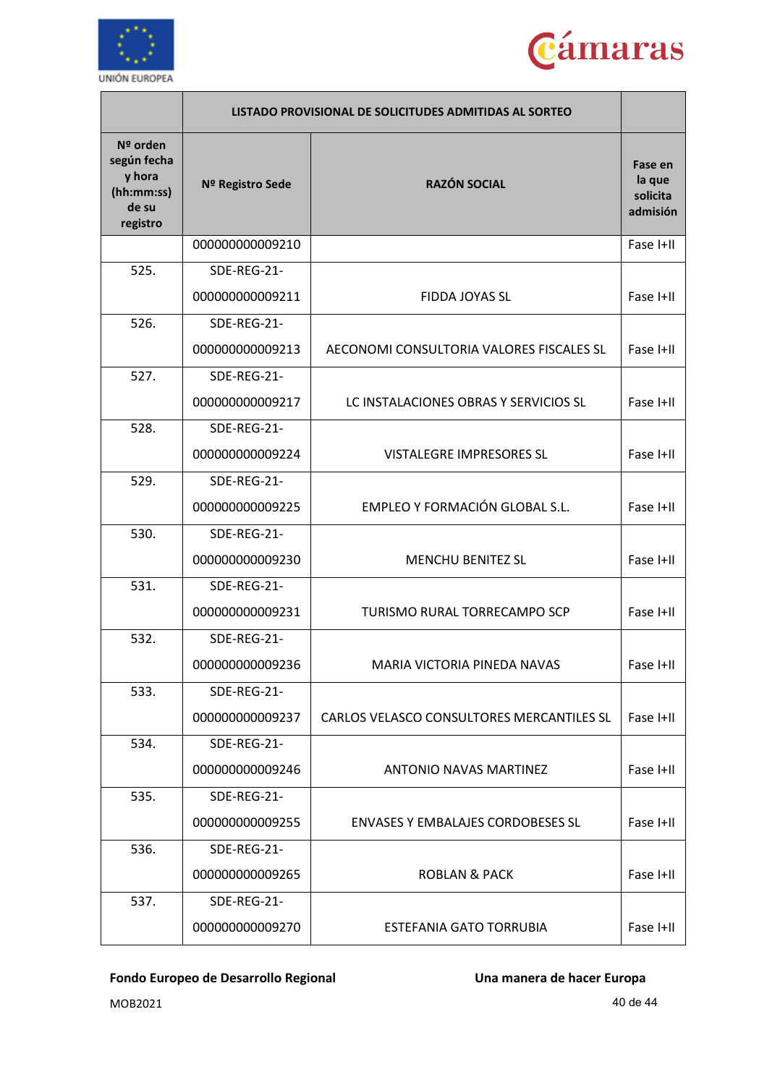



|                                                                      | LISTADO PROVISIONAL DE SOLICITUDES ADMITIDAS AL SORTEO |                                                  |                                           |
|----------------------------------------------------------------------|--------------------------------------------------------|--------------------------------------------------|-------------------------------------------|
| Nº orden<br>según fecha<br>y hora<br>(hh:mm:ss)<br>de su<br>registro | Nº Registro Sede                                       | <b>RAZÓN SOCIAL</b>                              | Fase en<br>la que<br>solicita<br>admisión |
|                                                                      | 000000000009210                                        |                                                  | Fase I+II                                 |
| 525.                                                                 | SDE-REG-21-                                            |                                                  |                                           |
|                                                                      | 000000000009211                                        | FIDDA JOYAS SL                                   | Fase I+II                                 |
| 526.                                                                 | SDE-REG-21-                                            |                                                  |                                           |
|                                                                      | 000000000009213                                        | AECONOMI CONSULTORIA VALORES FISCALES SL         | Fase I+II                                 |
| 527.                                                                 | SDE-REG-21-                                            |                                                  |                                           |
|                                                                      | 000000000009217                                        | LC INSTALACIONES OBRAS Y SERVICIOS SL            | Fase I+II                                 |
| 528.                                                                 | SDE-REG-21-                                            |                                                  |                                           |
|                                                                      | 000000000009224                                        | VISTALEGRE IMPRESORES SL                         | Fase I+II                                 |
| 529.                                                                 | SDE-REG-21-                                            |                                                  |                                           |
|                                                                      | 000000000009225                                        | EMPLEO Y FORMACIÓN GLOBAL S.L.                   | Fase I+II                                 |
| 530.                                                                 | SDE-REG-21-                                            |                                                  |                                           |
|                                                                      | 000000000009230                                        | <b>MENCHU BENITEZ SL</b>                         | Fase I+II                                 |
| 531.                                                                 | SDE-REG-21-                                            |                                                  |                                           |
|                                                                      | 000000000009231                                        | <b>TURISMO RURAL TORRECAMPO SCP</b><br>Fase I+II |                                           |
| 532.                                                                 | SDE-REG-21-                                            |                                                  |                                           |
|                                                                      | 000000000009236                                        | MARIA VICTORIA PINEDA NAVAS                      | Fase I+II                                 |
| 533.                                                                 | SDE-REG-21-                                            |                                                  |                                           |
|                                                                      | 000000000009237                                        | CARLOS VELASCO CONSULTORES MERCANTILES SL        | Fase I+II                                 |
| 534.                                                                 | SDE-REG-21-                                            |                                                  |                                           |
|                                                                      | 000000000009246                                        | <b>ANTONIO NAVAS MARTINFZ</b>                    | Fase I+II                                 |
| 535.                                                                 | SDE-REG-21-                                            |                                                  |                                           |
|                                                                      | 000000000009255                                        | <b>ENVASES Y EMBALAJES CORDOBESES SL</b>         | Fase I+II                                 |
| 536.                                                                 | SDE-REG-21-                                            |                                                  |                                           |
|                                                                      | 000000000009265                                        | <b>ROBLAN &amp; PACK</b>                         | Fase I+II                                 |
| 537.                                                                 | SDE-REG-21-                                            |                                                  |                                           |
|                                                                      | 000000000009270                                        | <b>ESTEFANIA GATO TORRUBIA</b>                   | Fase I+II                                 |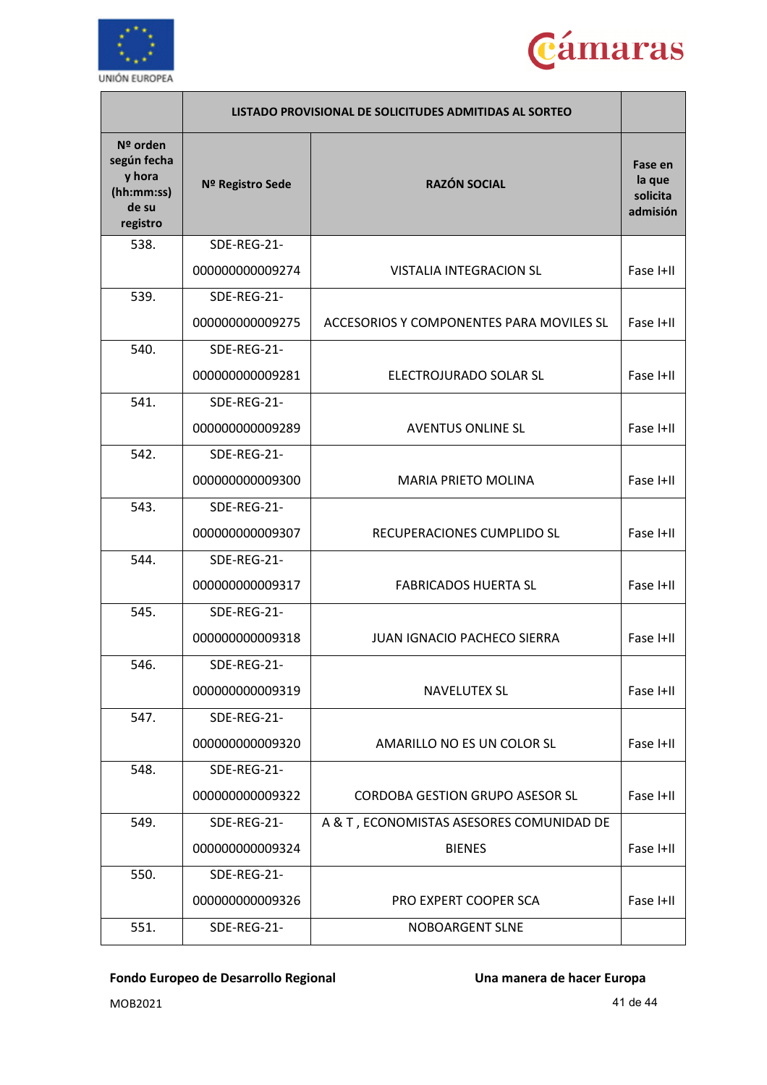



|                                                                      | LISTADO PROVISIONAL DE SOLICITUDES ADMITIDAS AL SORTEO |                                                     |                                           |
|----------------------------------------------------------------------|--------------------------------------------------------|-----------------------------------------------------|-------------------------------------------|
| Nº orden<br>según fecha<br>y hora<br>(hh:mm:ss)<br>de su<br>registro | Nº Registro Sede                                       | <b>RAZÓN SOCIAL</b>                                 | Fase en<br>la que<br>solicita<br>admisión |
| 538.                                                                 | SDE-REG-21-                                            |                                                     |                                           |
|                                                                      | 000000000009274                                        | VISTALIA INTEGRACION SL                             | Fase I+II                                 |
| 539.                                                                 | SDE-REG-21-                                            |                                                     |                                           |
|                                                                      | 000000000009275                                        | ACCESORIOS Y COMPONENTES PARA MOVILES SL            | Fase I+II                                 |
| 540.                                                                 | SDE-REG-21-                                            |                                                     |                                           |
|                                                                      | 000000000009281                                        | ELECTROJURADO SOLAR SL                              | Fase I+II                                 |
| 541.                                                                 | SDE-REG-21-                                            |                                                     |                                           |
|                                                                      | 00000000009289                                         | <b>AVENTUS ONLINE SL</b>                            | Fase I+II                                 |
| 542.                                                                 | SDE-REG-21-                                            |                                                     |                                           |
|                                                                      | 000000000009300                                        | <b>MARIA PRIETO MOLINA</b>                          | Fase I+II                                 |
| 543.                                                                 | SDE-REG-21-                                            |                                                     |                                           |
|                                                                      | 000000000009307                                        | RECUPERACIONES CUMPLIDO SL<br>Fase I+II             |                                           |
| 544.                                                                 | SDE-REG-21-                                            |                                                     |                                           |
|                                                                      | 000000000009317                                        | <b>FABRICADOS HUERTA SL</b><br>Fase I+II            |                                           |
| 545.                                                                 | SDE-REG-21-                                            |                                                     |                                           |
|                                                                      | 000000000009318                                        | <b>JUAN IGNACIO PACHECO SIERRA</b><br>Fase I+II     |                                           |
| 546.                                                                 | SDE-REG-21-                                            |                                                     |                                           |
|                                                                      | 000000000009319                                        | <b>NAVELUTEX SL</b>                                 | Fase I+II                                 |
| 547.                                                                 | SDE-REG-21-                                            |                                                     |                                           |
|                                                                      | 000000000009320                                        | AMARILLO NO ES UN COLOR SL                          | Fase I+II                                 |
| 548.                                                                 | SDE-REG-21-                                            |                                                     |                                           |
|                                                                      | 000000000009322                                        | <b>CORDOBA GESTION GRUPO ASESOR SL</b><br>Fase I+II |                                           |
| 549.                                                                 | SDE-REG-21-                                            | A & T, ECONOMISTAS ASESORES COMUNIDAD DE            |                                           |
|                                                                      | 000000000009324                                        | <b>BIENES</b><br>Fase I+II                          |                                           |
| 550.                                                                 | SDE-REG-21-                                            |                                                     |                                           |
|                                                                      | 000000000009326                                        | PRO EXPERT COOPER SCA                               | Fase I+II                                 |
| 551.                                                                 | SDE-REG-21-                                            | <b>NOBOARGENT SLNE</b>                              |                                           |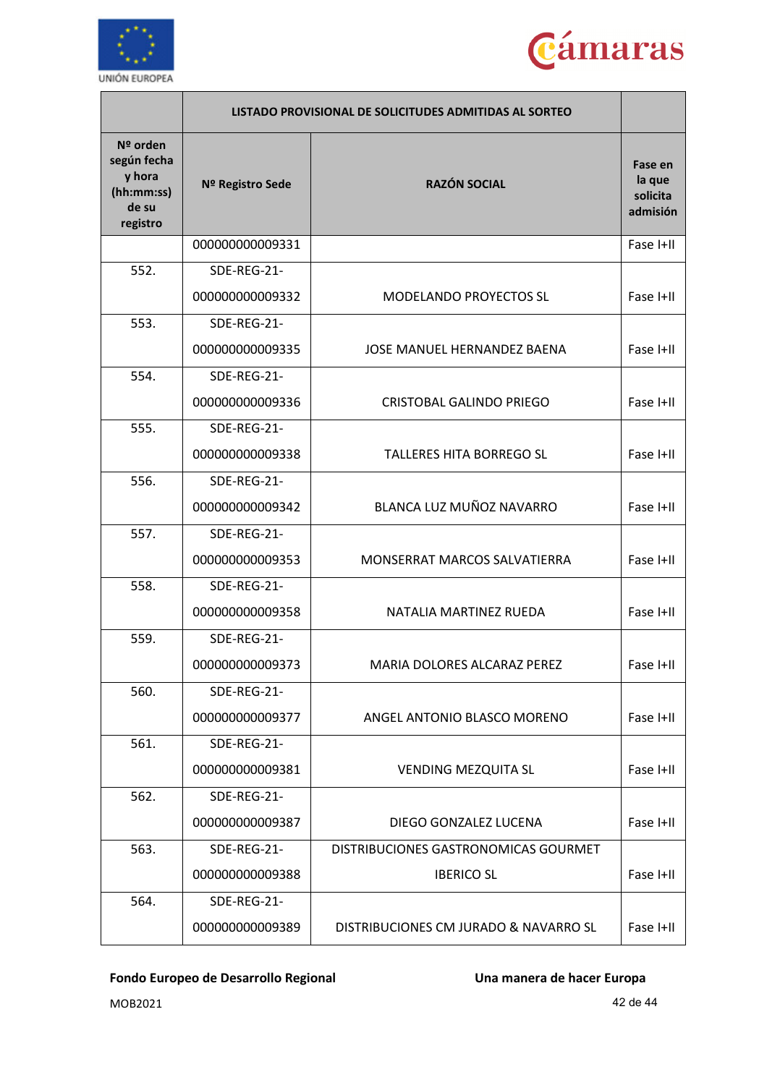



|                                                                      | LISTADO PROVISIONAL DE SOLICITUDES ADMITIDAS AL SORTEO |                                       |                                           |
|----------------------------------------------------------------------|--------------------------------------------------------|---------------------------------------|-------------------------------------------|
| Nº orden<br>según fecha<br>y hora<br>(hh:mm:ss)<br>de su<br>registro | Nº Registro Sede                                       | <b>RAZÓN SOCIAL</b>                   | Fase en<br>la que<br>solicita<br>admisión |
|                                                                      | 000000000009331                                        |                                       | Fase I+II                                 |
| 552.                                                                 | SDE-REG-21-                                            |                                       |                                           |
|                                                                      | 000000000009332                                        | <b>MODELANDO PROYECTOS SL</b>         | Fase I+II                                 |
| 553.                                                                 | SDE-REG-21-                                            |                                       |                                           |
|                                                                      | 000000000009335                                        | JOSE MANUEL HERNANDEZ BAENA           | Fase I+II                                 |
| 554.                                                                 | SDE-REG-21-                                            |                                       |                                           |
|                                                                      | 000000000009336                                        | <b>CRISTOBAL GALINDO PRIEGO</b>       | Fase I+II                                 |
| 555.                                                                 | SDE-REG-21-                                            |                                       |                                           |
|                                                                      | 000000000009338                                        | <b>TALLERES HITA BORREGO SL</b>       | Fase I+II                                 |
| 556.                                                                 | SDE-REG-21-                                            |                                       |                                           |
|                                                                      | 000000000009342                                        | BLANCA LUZ MUÑOZ NAVARRO              | Fase I+II                                 |
| 557.                                                                 | SDE-REG-21-                                            |                                       |                                           |
|                                                                      | 000000000009353                                        | MONSERRAT MARCOS SALVATIERRA          | Fase I+II                                 |
| 558.                                                                 | SDE-REG-21-                                            |                                       |                                           |
|                                                                      | 000000000009358                                        | NATALIA MARTINEZ RUEDA                | Fase I+II                                 |
| 559.                                                                 | SDE-REG-21-                                            |                                       |                                           |
|                                                                      | 000000000009373                                        | MARIA DOLORES ALCARAZ PEREZ           | Fase I+II                                 |
| 560.                                                                 | SDE-REG-21-                                            |                                       |                                           |
|                                                                      | 000000000009377                                        | ANGEL ANTONIO BLASCO MORENO           | Fase I+II                                 |
| 561.                                                                 | SDE-REG-21-                                            |                                       |                                           |
|                                                                      | 000000000009381                                        | <b>VENDING MEZQUITA SL</b>            | Fase I+II                                 |
| 562.                                                                 | SDE-REG-21-                                            |                                       |                                           |
|                                                                      | 000000000009387                                        | DIEGO GONZALEZ LUCENA                 | Fase I+II                                 |
| 563.                                                                 | SDE-REG-21-                                            | DISTRIBUCIONES GASTRONOMICAS GOURMET  |                                           |
|                                                                      | 000000000009388                                        | <b>IBERICO SL</b>                     | Fase I+II                                 |
| 564.                                                                 | SDE-REG-21-                                            |                                       |                                           |
|                                                                      | 000000000009389                                        | DISTRIBUCIONES CM JURADO & NAVARRO SL | Fase I+II                                 |

MOB2021 42 de 44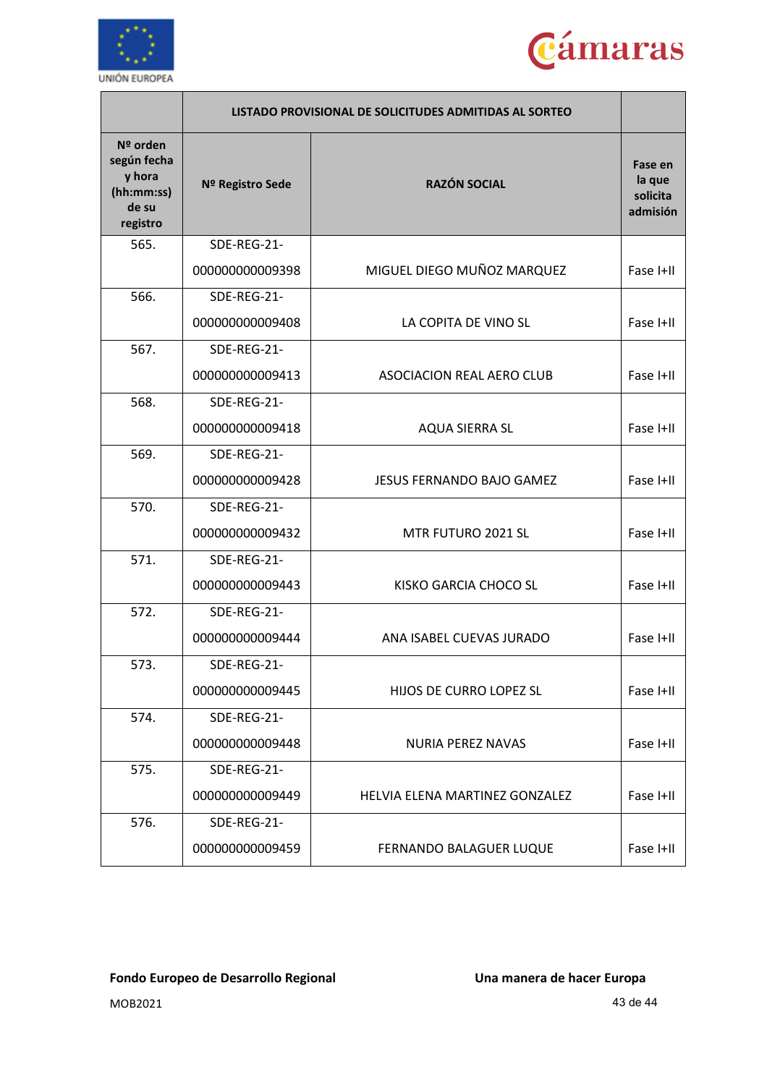



|                                                                      | LISTADO PROVISIONAL DE SOLICITUDES ADMITIDAS AL SORTEO |                                       |                                           |
|----------------------------------------------------------------------|--------------------------------------------------------|---------------------------------------|-------------------------------------------|
| Nº orden<br>según fecha<br>y hora<br>(hh:mm:ss)<br>de su<br>registro | Nº Registro Sede                                       | <b>RAZÓN SOCIAL</b>                   | Fase en<br>la que<br>solicita<br>admisión |
| 565.                                                                 | SDE-REG-21-                                            |                                       |                                           |
|                                                                      | 000000000009398                                        | MIGUEL DIEGO MUÑOZ MARQUEZ            | Fase I+II                                 |
| 566.                                                                 | SDE-REG-21-                                            |                                       |                                           |
|                                                                      | 000000000009408                                        | LA COPITA DE VINO SL                  | Fase I+II                                 |
| 567.                                                                 | SDE-REG-21-                                            |                                       |                                           |
|                                                                      | 000000000009413                                        | <b>ASOCIACION REAL AERO CLUB</b>      | Fase I+II                                 |
| 568.                                                                 | SDE-REG-21-                                            |                                       |                                           |
|                                                                      | 000000000009418                                        | <b>AQUA SIERRA SL</b>                 | Fase I+II                                 |
| 569.                                                                 | SDE-REG-21-                                            |                                       |                                           |
|                                                                      | 000000000009428                                        | <b>JESUS FERNANDO BAJO GAMEZ</b>      | Fase I+II                                 |
| 570.                                                                 | SDE-REG-21-                                            |                                       |                                           |
|                                                                      | 000000000009432                                        | MTR FUTURO 2021 SL                    | Fase I+II                                 |
| 571.                                                                 | SDE-REG-21-                                            |                                       |                                           |
|                                                                      | 000000000009443                                        | KISKO GARCIA CHOCO SL                 | Fase I+II                                 |
| 572.                                                                 | SDE-REG-21-                                            |                                       |                                           |
|                                                                      | 000000000009444                                        | ANA ISABEL CUEVAS JURADO              | Fase I+II                                 |
| 573.                                                                 | SDE-REG-21-                                            |                                       |                                           |
|                                                                      | 000000000009445                                        | HIJOS DE CURRO LOPEZ SL               | Fase I+II                                 |
| 574.                                                                 | SDE-REG-21-                                            |                                       |                                           |
|                                                                      | 000000000009448                                        | <b>NURIA PEREZ NAVAS</b>              | Fase I+II                                 |
| 575.                                                                 | SDE-REG-21-                                            |                                       |                                           |
|                                                                      | 000000000009449                                        | <b>HELVIA ELENA MARTINEZ GONZALEZ</b> | Fase I+II                                 |
| 576.                                                                 | SDE-REG-21-                                            |                                       |                                           |
|                                                                      | 000000000009459                                        | FERNANDO BALAGUER LUQUE               | Fase I+II                                 |